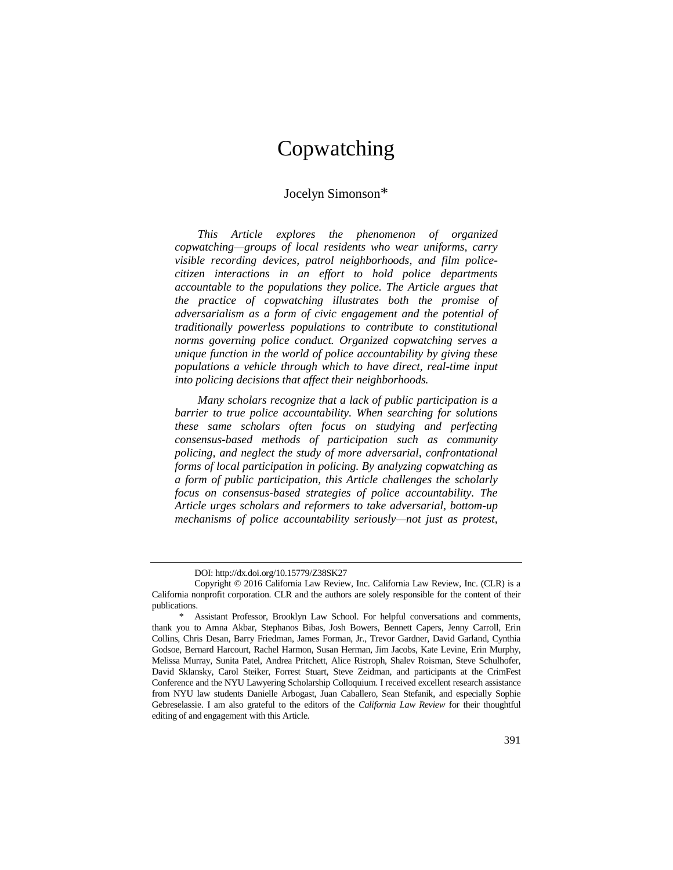# Copwatching

## Jocelyn Simonson\*

*This Article explores the phenomenon of organized copwatching—groups of local residents who wear uniforms, carry visible recording devices, patrol neighborhoods, and film policecitizen interactions in an effort to hold police departments accountable to the populations they police. The Article argues that the practice of copwatching illustrates both the promise of adversarialism as a form of civic engagement and the potential of traditionally powerless populations to contribute to constitutional norms governing police conduct. Organized copwatching serves a unique function in the world of police accountability by giving these populations a vehicle through which to have direct, real-time input into policing decisions that affect their neighborhoods.*

*Many scholars recognize that a lack of public participation is a barrier to true police accountability. When searching for solutions these same scholars often focus on studying and perfecting consensus-based methods of participation such as community policing, and neglect the study of more adversarial, confrontational forms of local participation in policing. By analyzing copwatching as a form of public participation, this Article challenges the scholarly focus on consensus-based strategies of police accountability. The Article urges scholars and reformers to take adversarial, bottom-up mechanisms of police accountability seriously—not just as protest,* 

DOI: http://dx.doi.org/10.15779/Z38SK27

Copyright © 2016 California Law Review, Inc. California Law Review, Inc. (CLR) is a California nonprofit corporation. CLR and the authors are solely responsible for the content of their publications.

Assistant Professor, Brooklyn Law School. For helpful conversations and comments, thank you to Amna Akbar, Stephanos Bibas, Josh Bowers, Bennett Capers, Jenny Carroll, Erin Collins, Chris Desan, Barry Friedman, James Forman, Jr., Trevor Gardner, David Garland, Cynthia Godsoe, Bernard Harcourt, Rachel Harmon, Susan Herman, Jim Jacobs, Kate Levine, Erin Murphy, Melissa Murray, Sunita Patel, Andrea Pritchett, Alice Ristroph, Shalev Roisman, Steve Schulhofer, David Sklansky, Carol Steiker, Forrest Stuart, Steve Zeidman, and participants at the CrimFest Conference and the NYU Lawyering Scholarship Colloquium. I received excellent research assistance from NYU law students Danielle Arbogast, Juan Caballero, Sean Stefanik, and especially Sophie Gebreselassie. I am also grateful to the editors of the *California Law Review* for their thoughtful editing of and engagement with this Article.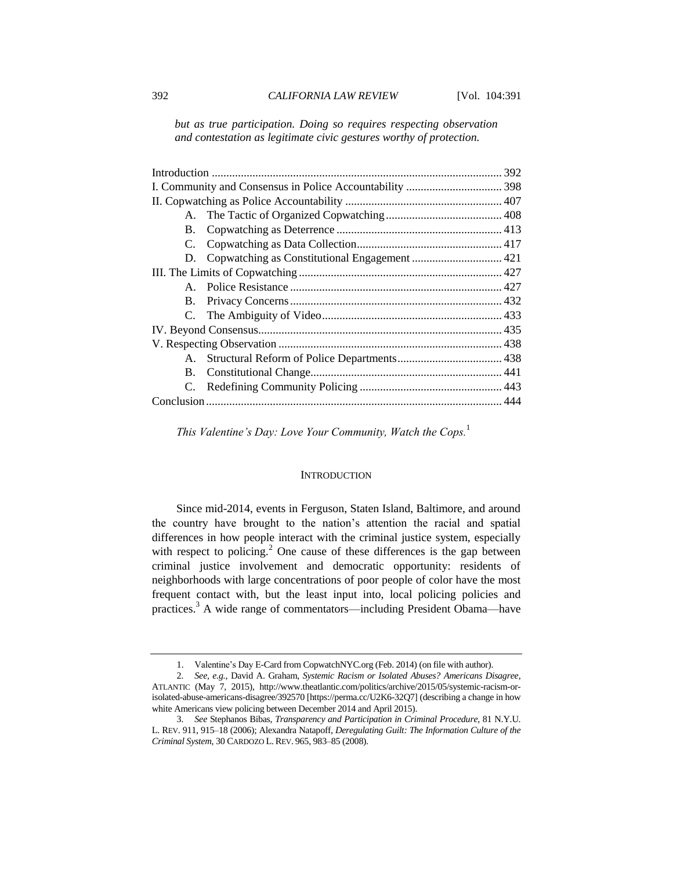*but as true participation. Doing so requires respecting observation and contestation as legitimate civic gestures worthy of protection.*

*This Valentine's Day: Love Your Community, Watch the Cops.*<sup>1</sup>

#### **INTRODUCTION**

Since mid-2014, events in Ferguson, Staten Island, Baltimore, and around the country have brought to the nation's attention the racial and spatial differences in how people interact with the criminal justice system, especially with respect to policing.<sup>2</sup> One cause of these differences is the gap between criminal justice involvement and democratic opportunity: residents of neighborhoods with large concentrations of poor people of color have the most frequent contact with, but the least input into, local policing policies and practices.<sup>3</sup> A wide range of commentators—including President Obama—have

<sup>1.</sup> Valentine's Day E-Card from CopwatchNYC.org (Feb. 2014) (on file with author).

<sup>2</sup>*. See, e.g.*, David A. Graham, *Systemic Racism or Isolated Abuses? Americans Disagree*, ATLANTIC (May 7, 2015), http://www.theatlantic.com/politics/archive/2015/05/systemic-racism-orisolated-abuse-americans-disagree/392570 [https://perma.cc/U2K6-32Q7] (describing a change in how white Americans view policing between December 2014 and April 2015).

<sup>3</sup>*. See* Stephanos Bibas, *Transparency and Participation in Criminal Procedure*, 81 N.Y.U. L. REV. 911, 915–18 (2006); Alexandra Natapoff, *Deregulating Guilt: The Information Culture of the Criminal System*, 30 CARDOZO L. REV. 965, 983–85 (2008).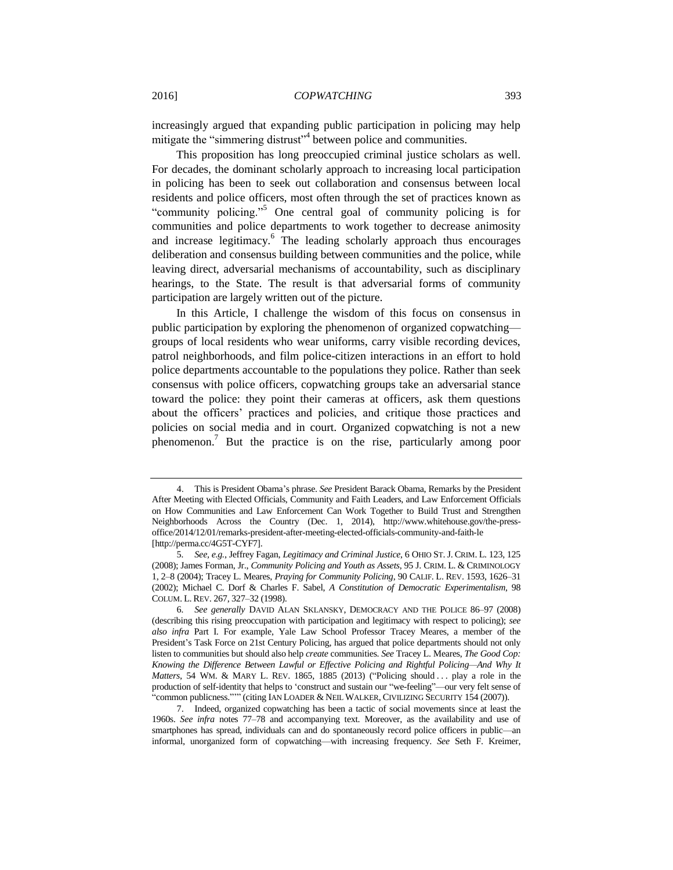increasingly argued that expanding public participation in policing may help mitigate the "simmering distrust"<sup>4</sup> between police and communities.

<span id="page-2-1"></span>This proposition has long preoccupied criminal justice scholars as well. For decades, the dominant scholarly approach to increasing local participation in policing has been to seek out collaboration and consensus between local residents and police officers, most often through the set of practices known as "community policing."<sup>5</sup> One central goal of community policing is for communities and police departments to work together to decrease animosity and increase legitimacy.<sup>6</sup> The leading scholarly approach thus encourages deliberation and consensus building between communities and the police, while leaving direct, adversarial mechanisms of accountability, such as disciplinary hearings, to the State. The result is that adversarial forms of community participation are largely written out of the picture.

<span id="page-2-2"></span>In this Article, I challenge the wisdom of this focus on consensus in public participation by exploring the phenomenon of organized copwatching groups of local residents who wear uniforms, carry visible recording devices, patrol neighborhoods, and film police-citizen interactions in an effort to hold police departments accountable to the populations they police. Rather than seek consensus with police officers, copwatching groups take an adversarial stance toward the police: they point their cameras at officers, ask them questions about the officers' practices and policies, and critique those practices and policies on social media and in court. Organized copwatching is not a new phenomenon.<sup>7</sup> But the practice is on the rise, particularly among poor

<span id="page-2-0"></span><sup>4.</sup> This is President Obama's phrase. *See* President Barack Obama, Remarks by the President After Meeting with Elected Officials, Community and Faith Leaders, and Law Enforcement Officials on How Communities and Law Enforcement Can Work Together to Build Trust and Strengthen Neighborhoods Across the Country (Dec. 1, 2014), http://www.whitehouse.gov/the-pressoffice/2014/12/01/remarks-president-after-meeting-elected-officials-community-and-faith-le [http://perma.cc/4G5T-CYF7].

<sup>5</sup>*. See, e.g.*, Jeffrey Fagan, *Legitimacy and Criminal Justice*, 6 OHIO ST. J. CRIM. L. 123, 125 (2008); James Forman, Jr., *Community Policing and Youth as Assets*, 95 J. CRIM. L. & CRIMINOLOGY 1, 2–8 (2004); Tracey L. Meares, *Praying for Community Policing*, 90 CALIF. L. REV. 1593, 1626–31 (2002); Michael C. Dorf & Charles F. Sabel, *A Constitution of Democratic Experimentalism,* 98 COLUM. L. REV. 267, 327–32 (1998).

<sup>6</sup>*. See generally* DAVID ALAN SKLANSKY, DEMOCRACY AND THE POLICE 86–97 (2008) (describing this rising preoccupation with participation and legitimacy with respect to policing); *see also infra* Part I. For example, Yale Law School Professor Tracey Meares, a member of the President's Task Force on 21st Century Policing, has argued that police departments should not only listen to communities but should also help *create* communities. *See* Tracey L. Meares, *The Good Cop: Knowing the Difference Between Lawful or Effective Policing and Rightful Policing—And Why It Matters*, 54 WM. & MARY L. REV. 1865, 1885 (2013) ("Policing should ... play a role in the production of self-identity that helps to 'construct and sustain our "we-feeling"—our very felt sense of "common publicness."'" (citing IAN LOADER & NEIL WALKER, CIVILIZING SECURITY 154 (2007)).

<sup>7.</sup> Indeed, organized copwatching has been a tactic of social movements since at least the 1960s. *See infra* notes [77](#page-17-0)[–78](#page-18-0) and accompanying text. Moreover, as the availability and use of smartphones has spread, individuals can and do spontaneously record police officers in public—an informal, unorganized form of copwatching—with increasing frequency. *See* Seth F. Kreimer,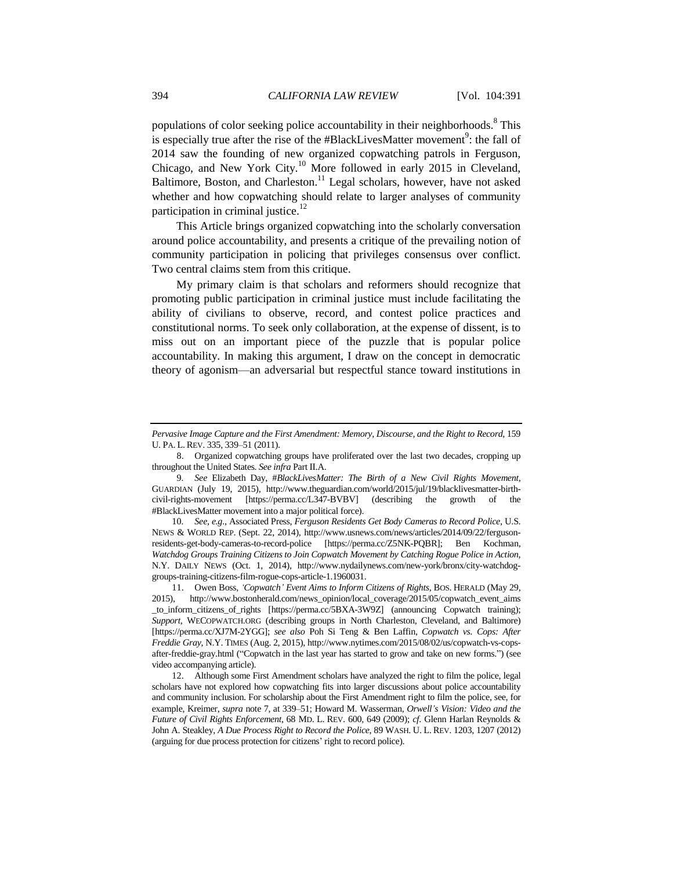<span id="page-3-2"></span><span id="page-3-0"></span>populations of color seeking police accountability in their neighborhoods.<sup>8</sup> This is especially true after the rise of the #BlackLivesMatter movement<sup>9</sup>: the fall of 2014 saw the founding of new organized copwatching patrols in Ferguson, Chicago, and New York City.<sup>10</sup> More followed in early 2015 in Cleveland, Baltimore, Boston, and Charleston.<sup>11</sup> Legal scholars, however, have not asked whether and how copwatching should relate to larger analyses of community participation in criminal justice.<sup>12</sup>

<span id="page-3-3"></span><span id="page-3-1"></span>This Article brings organized copwatching into the scholarly conversation around police accountability, and presents a critique of the prevailing notion of community participation in policing that privileges consensus over conflict. Two central claims stem from this critique.

My primary claim is that scholars and reformers should recognize that promoting public participation in criminal justice must include facilitating the ability of civilians to observe, record, and contest police practices and constitutional norms. To seek only collaboration, at the expense of dissent, is to miss out on an important piece of the puzzle that is popular police accountability. In making this argument, I draw on the concept in democratic theory of agonism—an adversarial but respectful stance toward institutions in

10*. See, e.g.*, Associated Press, *Ferguson Residents Get Body Cameras to Record Police*, U.S. NEWS & WORLD REP. (Sept. 22, 2014), http://www.usnews.com/news/articles/2014/09/22/fergusonresidents-get-body-cameras-to-record-police [https://perma.cc/Z5NK-PQBR]; Ben Kochman, *Watchdog Groups Training Citizens to Join Copwatch Movement by Catching Rogue Police in Action*, N.Y. DAILY NEWS (Oct. 1, 2014), http://www.nydailynews.com/new-york/bronx/city-watchdoggroups-training-citizens-film-rogue-cops-article-1.1960031.

*Pervasive Image Capture and the First Amendment: Memory, Discourse, and the Right to Record, 159* U. PA. L. REV. 335, 339–51 (2011).

<sup>8.</sup> Organized copwatching groups have proliferated over the last two decades, cropping up throughout the United States. *See infra* Part II.A.

<sup>9</sup>*. See* Elizabeth Day, #*BlackLivesMatter: The Birth of a New Civil Rights Movement*, GUARDIAN (July 19, 2015), http://www.theguardian.com/world/2015/jul/19/blacklivesmatter-birthcivil-rights-movement [https://perma.cc/L347-BVBV] (describing the growth of the #BlackLivesMatter movement into a major political force).

<sup>11.</sup> Owen Boss, *'Copwatch' Event Aims to Inform Citizens of Rights*, BOS. HERALD (May 29, 2015), http://www.bostonherald.com/news\_opinion/local\_coverage/2015/05/copwatch\_event\_aims \_to\_inform\_citizens\_of\_rights [https://perma.cc/5BXA-3W9Z] (announcing Copwatch training); *Support*, WECOPWATCH.ORG (describing groups in North Charleston, Cleveland, and Baltimore) [https://perma.cc/XJ7M-2YGG]; *see also* Poh Si Teng & Ben Laffin, *Copwatch vs. Cops: After Freddie Gray*, N.Y. TIMES (Aug. 2, 2015), http://www.nytimes.com/2015/08/02/us/copwatch-vs-copsafter-freddie-gray.html ("Copwatch in the last year has started to grow and take on new forms.") (see video accompanying article).

<sup>12.</sup> Although some First Amendment scholars have analyzed the right to film the police, legal scholars have not explored how copwatching fits into larger discussions about police accountability and community inclusion. For scholarship about the First Amendment right to film the police, see, for example, Kreimer, *supra* note [7,](#page-2-0) at 339–51; Howard M. Wasserman, *Orwell's Vision: Video and the Future of Civil Rights Enforcement*, 68 MD. L. REV. 600, 649 (2009); *cf*. Glenn Harlan Reynolds & John A. Steakley, *A Due Process Right to Record the Police*, 89 WASH. U. L. REV. 1203, 1207 (2012) (arguing for due process protection for citizens' right to record police).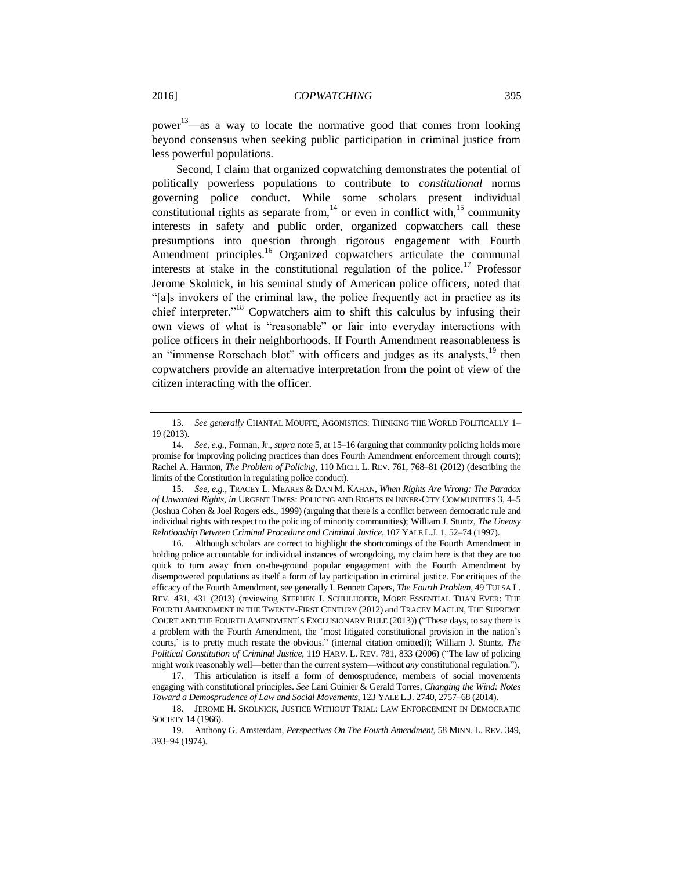<span id="page-4-3"></span>power<sup>13</sup>—as a way to locate the normative good that comes from looking beyond consensus when seeking public participation in criminal justice from less powerful populations.

<span id="page-4-4"></span><span id="page-4-2"></span><span id="page-4-1"></span>Second, I claim that organized copwatching demonstrates the potential of politically powerless populations to contribute to *constitutional* norms governing police conduct. While some scholars present individual constitutional rights as separate from,  $14$  or even in conflict with,  $15$  community interests in safety and public order, organized copwatchers call these presumptions into question through rigorous engagement with Fourth Amendment principles.<sup>16</sup> Organized copwatchers articulate the communal interests at stake in the constitutional regulation of the police.<sup>17</sup> Professor Jerome Skolnick, in his seminal study of American police officers, noted that "[a]s invokers of the criminal law, the police frequently act in practice as its chief interpreter."<sup>18</sup> Copwatchers aim to shift this calculus by infusing their own views of what is "reasonable" or fair into everyday interactions with police officers in their neighborhoods. If Fourth Amendment reasonableness is an "immense Rorschach blot" with officers and judges as its analysts, <sup>19</sup> then copwatchers provide an alternative interpretation from the point of view of the citizen interacting with the officer.

16. Although scholars are correct to highlight the shortcomings of the Fourth Amendment in holding police accountable for individual instances of wrongdoing, my claim here is that they are too quick to turn away from on-the-ground popular engagement with the Fourth Amendment by disempowered populations as itself a form of lay participation in criminal justice. For critiques of the efficacy of the Fourth Amendment, see generally I. Bennett Capers, *The Fourth Problem*, 49 TULSA L. REV. 431, 431 (2013) (reviewing STEPHEN J. SCHULHOFER, MORE ESSENTIAL THAN EVER: THE FOURTH AMENDMENT IN THE TWENTY-FIRST CENTURY (2012) and TRACEY MACLIN, THE SUPREME COURT AND THE FOURTH AMENDMENT'S EXCLUSIONARY RULE (2013)) ("These days, to say there is a problem with the Fourth Amendment, the 'most litigated constitutional provision in the nation's courts,' is to pretty much restate the obvious." (internal citation omitted)); William J. Stuntz, *The Political Constitution of Criminal Justice*, 119 HARV. L. REV. 781, 833 (2006) ("The law of policing might work reasonably well—better than the current system—without *any* constitutional regulation.").

<span id="page-4-0"></span><sup>13</sup>*. See generally* CHANTAL MOUFFE, AGONISTICS: THINKING THE WORLD POLITICALLY 1– 19 (2013).

<sup>14</sup>*. See, e.g.*, Forman, Jr.*, supra* not[e 5,](#page-2-1) at 15–16 (arguing that community policing holds more promise for improving policing practices than does Fourth Amendment enforcement through courts); Rachel A. Harmon, *The Problem of Policing*, 110 MICH. L. REV. 761, 768–81 (2012) (describing the limits of the Constitution in regulating police conduct).

<sup>15</sup>*. See, e.g.*, TRACEY L. MEARES & DAN M. KAHAN, *When Rights Are Wrong: The Paradox of Unwanted Rights*, *in* URGENT TIMES: POLICING AND RIGHTS IN INNER-CITY COMMUNITIES 3, 4–5 (Joshua Cohen & Joel Rogers eds., 1999) (arguing that there is a conflict between democratic rule and individual rights with respect to the policing of minority communities); William J. Stuntz, *The Uneasy Relationship Between Criminal Procedure and Criminal Justice*, 107 YALE L.J. 1, 52–74 (1997).

<sup>17.</sup> This articulation is itself a form of demosprudence, members of social movements engaging with constitutional principles. *See* Lani Guinier & Gerald Torres, *Changing the Wind: Notes Toward a Demosprudence of Law and Social Movements*, 123 YALE L.J. 2740, 2757–68 (2014).

<sup>18.</sup> JEROME H. SKOLNICK, JUSTICE WITHOUT TRIAL: LAW ENFORCEMENT IN DEMOCRATIC SOCIETY 14 (1966).

<sup>19.</sup> Anthony G. Amsterdam, *Perspectives On The Fourth Amendment*, 58 MINN. L. REV. 349, 393–94 (1974).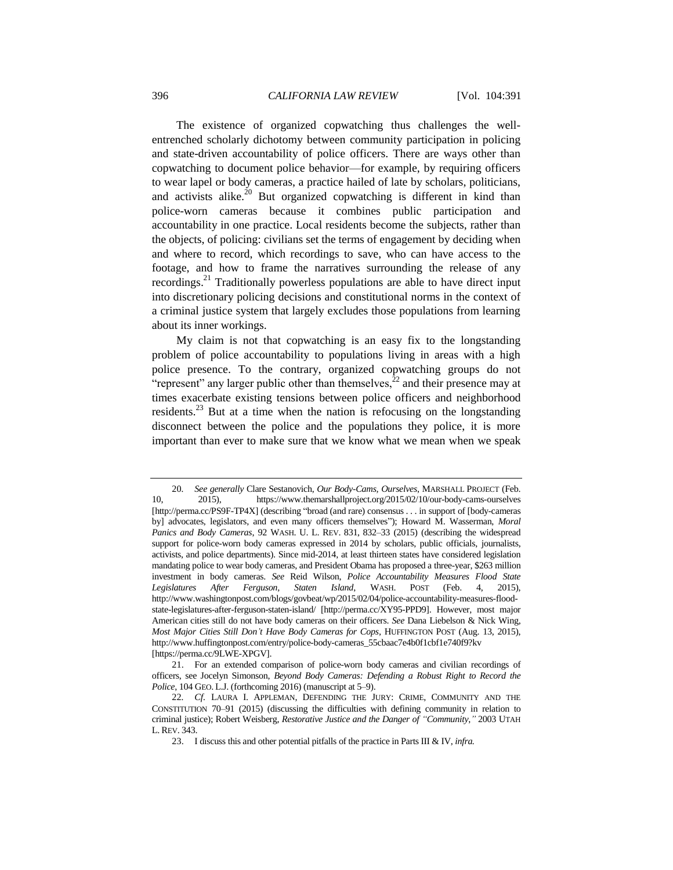<span id="page-5-1"></span>The existence of organized copwatching thus challenges the wellentrenched scholarly dichotomy between community participation in policing and state-driven accountability of police officers. There are ways other than copwatching to document police behavior—for example, by requiring officers to wear lapel or body cameras, a practice hailed of late by scholars, politicians, and activists alike.<sup>20</sup> But organized copwatching is different in kind than police-worn cameras because it combines public participation and accountability in one practice. Local residents become the subjects, rather than the objects, of policing: civilians set the terms of engagement by deciding when and where to record, which recordings to save, who can have access to the footage, and how to frame the narratives surrounding the release of any recordings.<sup>21</sup> Traditionally powerless populations are able to have direct input into discretionary policing decisions and constitutional norms in the context of a criminal justice system that largely excludes those populations from learning about its inner workings.

<span id="page-5-2"></span><span id="page-5-0"></span>My claim is not that copwatching is an easy fix to the longstanding problem of police accountability to populations living in areas with a high police presence. To the contrary, organized copwatching groups do not "represent" any larger public other than themselves, $^{22}$  and their presence may at times exacerbate existing tensions between police officers and neighborhood residents.<sup>23</sup> But at a time when the nation is refocusing on the longstanding disconnect between the police and the populations they police, it is more important than ever to make sure that we know what we mean when we speak

<sup>20</sup>*. See generally* Clare Sestanovich, *Our Body-Cams, Ourselves*, MARSHALL PROJECT (Feb. 10, 2015), https://www.themarshallproject.org/2015/02/10/our-body-cams-ourselves [http://perma.cc/PS9F-TP4X] (describing "broad (and rare) consensus . . . in support of [body-cameras by] advocates, legislators, and even many officers themselves"); Howard M. Wasserman, *Moral Panics and Body Cameras*, 92 WASH. U. L. REV. 831, 832–33 (2015) (describing the widespread support for police-worn body cameras expressed in 2014 by scholars, public officials, journalists, activists, and police departments). Since mid-2014, at least thirteen states have considered legislation mandating police to wear body cameras, and President Obama has proposed a three-year, \$263 million investment in body cameras. *See* Reid Wilson, *Police Accountability Measures Flood State Legislatures After Ferguson, Staten Island*, WASH. POST (Feb. 4, 2015), http://www.washingtonpost.com/blogs/govbeat/wp/2015/02/04/police-accountability-measures-floodstate-legislatures-after-ferguson-staten-island/ [http://perma.cc/XY95-PPD9]. However, most major American cities still do not have body cameras on their officers. *See* Dana Liebelson & Nick Wing, *Most Major Cities Still Don't Have Body Cameras for Cops*, HUFFINGTON POST (Aug. 13, 2015), http://www.huffingtonpost.com/entry/police-body-cameras\_55cbaac7e4b0f1cbf1e740f9?kv [https://perma.cc/9LWE-XPGV].

<sup>21.</sup> For an extended comparison of police-worn body cameras and civilian recordings of officers, see Jocelyn Simonson, *Beyond Body Cameras: Defending a Robust Right to Record the Police*, 104 GEO. L.J. (forthcoming 2016) (manuscript at 5–9).

<sup>22</sup>*. Cf.* LAURA I. APPLEMAN, DEFENDING THE JURY: CRIME, COMMUNITY AND THE CONSTITUTION 70–91 (2015) (discussing the difficulties with defining community in relation to criminal justice); Robert Weisberg, *Restorative Justice and the Danger of "Community*,*"* 2003 UTAH L. REV. 343.

<sup>23.</sup> I discuss this and other potential pitfalls of the practice in Parts III & IV, *infra.*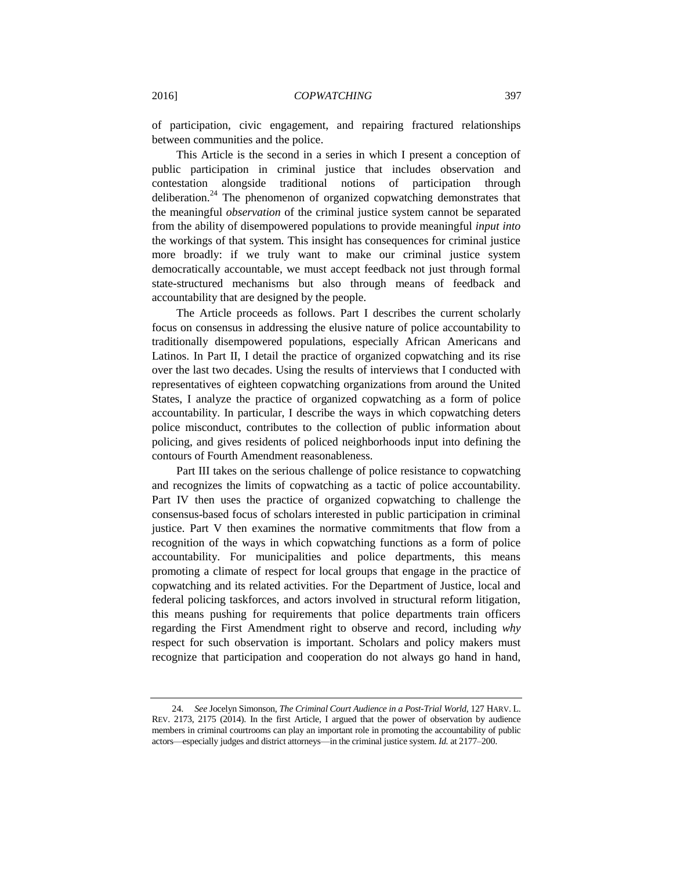of participation, civic engagement, and repairing fractured relationships between communities and the police.

<span id="page-6-0"></span>This Article is the second in a series in which I present a conception of public participation in criminal justice that includes observation and contestation alongside traditional notions of participation through deliberation.<sup>24</sup> The phenomenon of organized copwatching demonstrates that the meaningful *observation* of the criminal justice system cannot be separated from the ability of disempowered populations to provide meaningful *input into* the workings of that system. This insight has consequences for criminal justice more broadly: if we truly want to make our criminal justice system democratically accountable, we must accept feedback not just through formal state-structured mechanisms but also through means of feedback and accountability that are designed by the people.

The Article proceeds as follows. Part I describes the current scholarly focus on consensus in addressing the elusive nature of police accountability to traditionally disempowered populations, especially African Americans and Latinos. In Part II, I detail the practice of organized copwatching and its rise over the last two decades. Using the results of interviews that I conducted with representatives of eighteen copwatching organizations from around the United States, I analyze the practice of organized copwatching as a form of police accountability. In particular, I describe the ways in which copwatching deters police misconduct, contributes to the collection of public information about policing, and gives residents of policed neighborhoods input into defining the contours of Fourth Amendment reasonableness.

Part III takes on the serious challenge of police resistance to copwatching and recognizes the limits of copwatching as a tactic of police accountability. Part IV then uses the practice of organized copwatching to challenge the consensus-based focus of scholars interested in public participation in criminal justice. Part V then examines the normative commitments that flow from a recognition of the ways in which copwatching functions as a form of police accountability. For municipalities and police departments, this means promoting a climate of respect for local groups that engage in the practice of copwatching and its related activities. For the Department of Justice, local and federal policing taskforces, and actors involved in structural reform litigation, this means pushing for requirements that police departments train officers regarding the First Amendment right to observe and record, including *why* respect for such observation is important. Scholars and policy makers must recognize that participation and cooperation do not always go hand in hand,

<sup>24</sup>*. See* Jocelyn Simonson, *The Criminal Court Audience in a Post-Trial World*, 127 HARV. L. REV. 2173, 2175 (2014). In the first Article, I argued that the power of observation by audience members in criminal courtrooms can play an important role in promoting the accountability of public actors—especially judges and district attorneys—in the criminal justice system. *Id.* at 2177–200.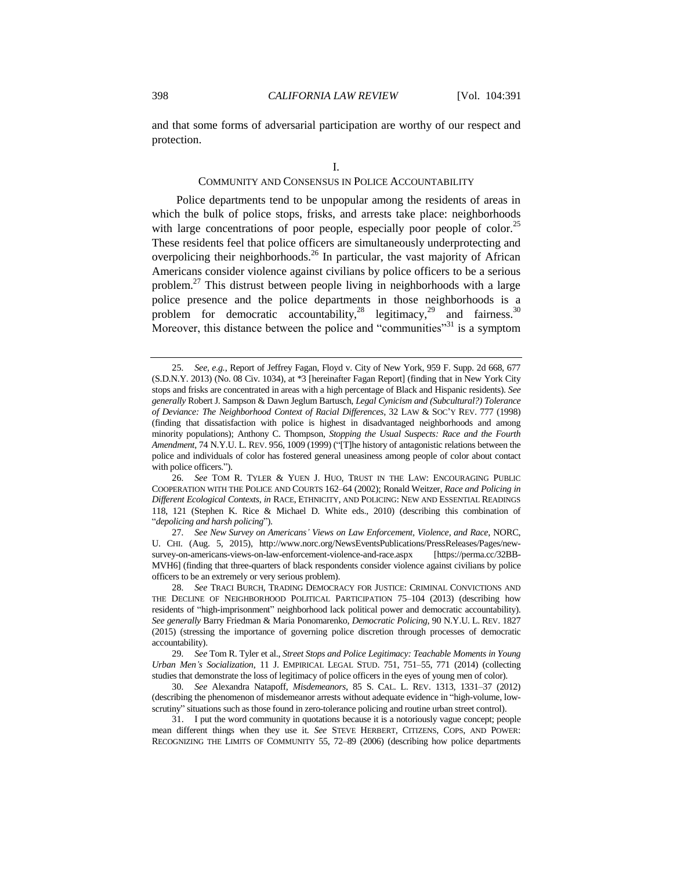and that some forms of adversarial participation are worthy of our respect and protection.

<span id="page-7-4"></span><span id="page-7-3"></span><span id="page-7-2"></span><span id="page-7-1"></span><span id="page-7-0"></span>I.

#### COMMUNITY AND CONSENSUS IN POLICE ACCOUNTABILITY

Police departments tend to be unpopular among the residents of areas in which the bulk of police stops, frisks, and arrests take place: neighborhoods with large concentrations of poor people, especially poor people of color.<sup>25</sup> These residents feel that police officers are simultaneously underprotecting and overpolicing their neighborhoods.<sup>26</sup> In particular, the vast majority of African Americans consider violence against civilians by police officers to be a serious problem.<sup>27</sup> This distrust between people living in neighborhoods with a large police presence and the police departments in those neighborhoods is a problem for democratic accountability, <sup>28</sup> legitimacy, <sup>29</sup> and fairness.<sup>30</sup> Moreover, this distance between the police and "communities"<sup>31</sup> is a symptom

27*. See New Survey on Americans' Views on Law Enforcement, Violence, and Race*, NORC, U. CHI. (Aug. 5, 2015), http://www.norc.org/NewsEventsPublications/PressReleases/Pages/newsurvey-on-americans-views-on-law-enforcement-violence-and-race.aspx [https://perma.cc/32BB-MVH6] (finding that three-quarters of black respondents consider violence against civilians by police officers to be an extremely or very serious problem).

<sup>25</sup>*. See, e.g.*, Report of Jeffrey Fagan, Floyd v. City of New York, 959 F. Supp. 2d 668, 677 (S.D.N.Y. 2013) (No. 08 Civ. 1034), at \*3 [hereinafter Fagan Report] (finding that in New York City stops and frisks are concentrated in areas with a high percentage of Black and Hispanic residents). *See generally* Robert J. Sampson & Dawn Jeglum Bartusch, *Legal Cynicism and (Subcultural?) Tolerance of Deviance: The Neighborhood Context of Racial Differences*, 32 LAW & SOC'Y REV. 777 (1998) (finding that dissatisfaction with police is highest in disadvantaged neighborhoods and among minority populations); Anthony C. Thompson, *Stopping the Usual Suspects: Race and the Fourth Amendment*, 74 N.Y.U. L. REV. 956, 1009 (1999) ("[T]he history of antagonistic relations between the police and individuals of color has fostered general uneasiness among people of color about contact with police officers.").

<sup>26</sup>*. See* TOM R. TYLER & YUEN J. HUO, TRUST IN THE LAW: ENCOURAGING PUBLIC COOPERATION WITH THE POLICE AND COURTS 162–64 (2002); Ronald Weitzer, *Race and Policing in Different Ecological Contexts*, *in* RACE, ETHNICITY, AND POLICING: NEW AND ESSENTIAL READINGS 118, 121 (Stephen K. Rice & Michael D. White eds., 2010) (describing this combination of "*depolicing and harsh policing*").

<sup>28</sup>*. See* TRACI BURCH, TRADING DEMOCRACY FOR JUSTICE: CRIMINAL CONVICTIONS AND THE DECLINE OF NEIGHBORHOOD POLITICAL PARTICIPATION 75–104 (2013) (describing how residents of "high-imprisonment" neighborhood lack political power and democratic accountability). *See generally* Barry Friedman & Maria Ponomarenko, *Democratic Policing*, 90 N.Y.U. L. REV. 1827 (2015) (stressing the importance of governing police discretion through processes of democratic accountability).

<sup>29</sup>*. See* Tom R. Tyler et al., *Street Stops and Police Legitimacy: Teachable Moments in Young Urban Men's Socialization*, 11 J. EMPIRICAL LEGAL STUD. 751, 751–55, 771 (2014) (collecting studies that demonstrate the loss of legitimacy of police officers in the eyes of young men of color).

<sup>30</sup>*. See* Alexandra Natapoff, *Misdemeanors*, 85 S. CAL. L. REV. 1313, 1331–37 (2012) (describing the phenomenon of misdemeanor arrests without adequate evidence in "high-volume, lowscrutiny" situations such as those found in zero-tolerance policing and routine urban street control).

<sup>31.</sup> I put the word community in quotations because it is a notoriously vague concept; people mean different things when they use it. *See* STEVE HERBERT, CITIZENS, COPS, AND POWER: RECOGNIZING THE LIMITS OF COMMUNITY 55, 72–89 (2006) (describing how police departments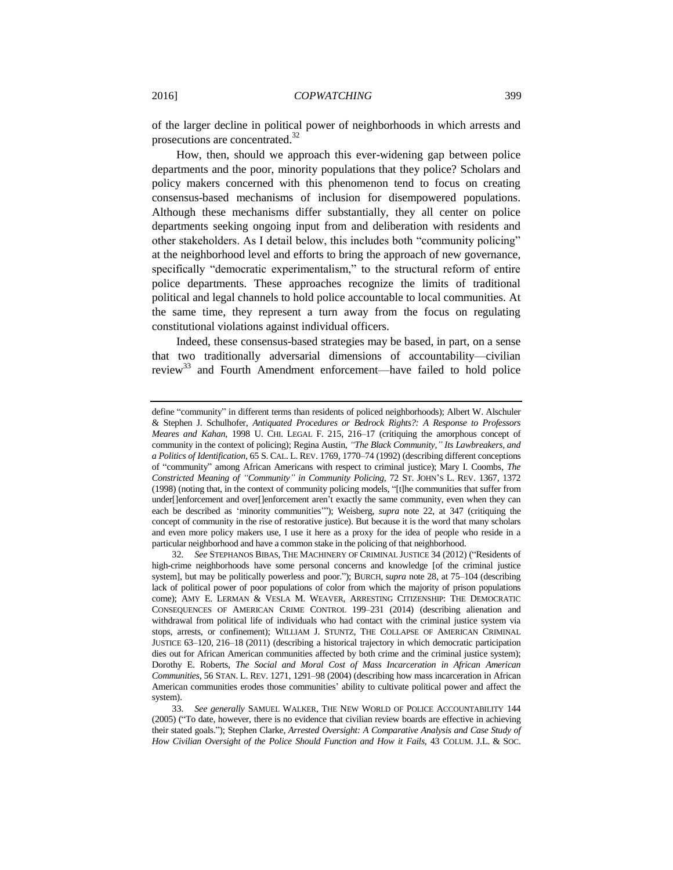<span id="page-8-0"></span>of the larger decline in political power of neighborhoods in which arrests and prosecutions are concentrated.<sup>32</sup>

How, then, should we approach this ever-widening gap between police departments and the poor, minority populations that they police? Scholars and policy makers concerned with this phenomenon tend to focus on creating consensus-based mechanisms of inclusion for disempowered populations. Although these mechanisms differ substantially, they all center on police departments seeking ongoing input from and deliberation with residents and other stakeholders. As I detail below, this includes both "community policing" at the neighborhood level and efforts to bring the approach of new governance, specifically "democratic experimentalism," to the structural reform of entire police departments. These approaches recognize the limits of traditional political and legal channels to hold police accountable to local communities. At the same time, they represent a turn away from the focus on regulating constitutional violations against individual officers.

<span id="page-8-1"></span>Indeed, these consensus-based strategies may be based, in part, on a sense that two traditionally adversarial dimensions of accountability—civilian review<sup>33</sup> and Fourth Amendment enforcement—have failed to hold police

define "community" in different terms than residents of policed neighborhoods); Albert W. Alschuler & Stephen J. Schulhofer, *Antiquated Procedures or Bedrock Rights?: A Response to Professors Meares and Kahan,* 1998 U. CHI. LEGAL F. 215, 216–17 (critiquing the amorphous concept of community in the context of policing); Regina Austin, *"The Black Community," Its Lawbreakers, and a Politics of Identification*, 65 S. CAL. L. REV. 1769, 1770–74 (1992) (describing different conceptions of "community" among African Americans with respect to criminal justice); Mary I. Coombs, *The Constricted Meaning of "Community" in Community Policing*, 72 ST. JOHN'S L. REV. 1367, 1372 (1998) (noting that, in the context of community policing models, "[t]he communities that suffer from under[]enforcement and over[]enforcement aren't exactly the same community, even when they can each be described as 'minority communities'"); Weisberg, *supra* note [22,](#page-5-0) at 347 (critiquing the concept of community in the rise of restorative justice). But because it is the word that many scholars and even more policy makers use, I use it here as a proxy for the idea of people who reside in a particular neighborhood and have a common stake in the policing of that neighborhood.

<sup>32</sup>*. See* STEPHANOS BIBAS, THE MACHINERY OF CRIMINAL JUSTICE 34 (2012) ("Residents of high-crime neighborhoods have some personal concerns and knowledge [of the criminal justice system], but may be politically powerless and poor."); BURCH, *supra* note [28,](#page-7-0) at 75–104 (describing lack of political power of poor populations of color from which the majority of prison populations come); AMY E. LERMAN & VESLA M. WEAVER, ARRESTING CITIZENSHIP: THE DEMOCRATIC CONSEQUENCES OF AMERICAN CRIME CONTROL 199–231 (2014) (describing alienation and withdrawal from political life of individuals who had contact with the criminal justice system via stops, arrests, or confinement); WILLIAM J. STUNTZ, THE COLLAPSE OF AMERICAN CRIMINAL JUSTICE 63–120, 216–18 (2011) (describing a historical trajectory in which democratic participation dies out for African American communities affected by both crime and the criminal justice system); Dorothy E. Roberts, *The Social and Moral Cost of Mass Incarceration in African American Communities*, 56 STAN. L. REV. 1271, 1291–98 (2004) (describing how mass incarceration in African American communities erodes those communities' ability to cultivate political power and affect the system).

<sup>33</sup>*. See generally* SAMUEL WALKER, THE NEW WORLD OF POLICE ACCOUNTABILITY 144 (2005) ("To date, however, there is no evidence that civilian review boards are effective in achieving their stated goals."); Stephen Clarke, *Arrested Oversight: A Comparative Analysis and Case Study of How Civilian Oversight of the Police Should Function and How it Fails*, 43 COLUM. J.L. & SOC.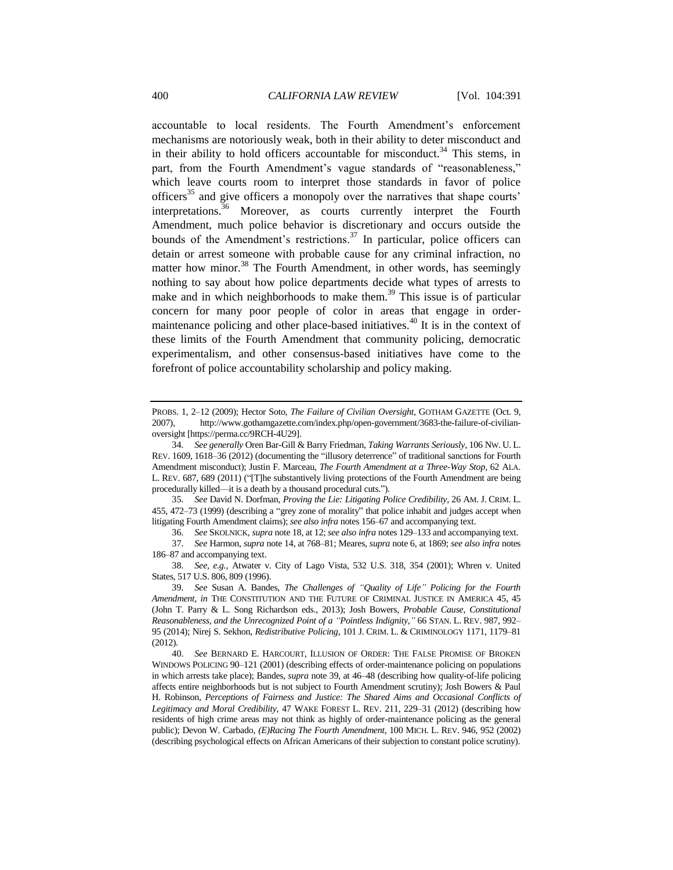<span id="page-9-3"></span><span id="page-9-2"></span>accountable to local residents. The Fourth Amendment's enforcement mechanisms are notoriously weak, both in their ability to deter misconduct and in their ability to hold officers accountable for misconduct.<sup>34</sup> This stems, in part, from the Fourth Amendment's vague standards of "reasonableness," which leave courts room to interpret those standards in favor of police officers<sup>35</sup> and give officers a monopoly over the narratives that shape courts' interpretations.<sup>36</sup> Moreover, as courts currently interpret the Fourth Amendment, much police behavior is discretionary and occurs outside the bounds of the Amendment's restrictions.<sup>37</sup> In particular, police officers can detain or arrest someone with probable cause for any criminal infraction, no matter how minor.<sup>38</sup> The Fourth Amendment, in other words, has seemingly nothing to say about how police departments decide what types of arrests to make and in which neighborhoods to make them.<sup>39</sup> This issue is of particular concern for many poor people of color in areas that engage in ordermaintenance policing and other place-based initiatives.<sup>40</sup> It is in the context of these limits of the Fourth Amendment that community policing, democratic experimentalism, and other consensus-based initiatives have come to the forefront of police accountability scholarship and policy making.

35*. See* David N. Dorfman, *Proving the Lie: Litigating Police Credibility*, 26 AM. J. CRIM. L. 455, 472–73 (1999) (describing a "grey zone of morality" that police inhabit and judges accept when litigating Fourth Amendment claims); *see also infra* notes 156–67 and accompanying text.

36*. See* SKOLNICK, *supra* not[e 18,](#page-4-0) at 12; *see also infra* note[s 129](#page-26-0)[–133](#page-26-1) and accompanying text.

37*. See* Harmon, *supra* not[e 14,](#page-4-1) at 768–81; Meares, *supra* not[e 6,](#page-2-2) at 1869; *see also infra* notes 186–87 and accompanying text.

38*. See, e.g.*, Atwater v. City of Lago Vista, 532 U.S. 318, 354 (2001); Whren v. United States, 517 U.S. 806, 809 (1996).

<span id="page-9-1"></span><span id="page-9-0"></span>PROBS. 1, 2–12 (2009); Hector Soto, *The Failure of Civilian Oversight*, GOTHAM GAZETTE (Oct. 9, 2007), http://www.gothamgazette.com/index.php/open-government/3683-the-failure-of-civilianoversight [https://perma.cc/9RCH-4U29].

<sup>34</sup>*. See generally* Oren Bar-Gill & Barry Friedman, *Taking Warrants Seriously*, 106 NW. U. L. REV. 1609, 1618–36 (2012) (documenting the "illusory deterrence" of traditional sanctions for Fourth Amendment misconduct); Justin F. Marceau, *The Fourth Amendment at a Three-Way Stop*, 62 ALA. L. REV. 687, 689 (2011) ("[T]he substantively living protections of the Fourth Amendment are being procedurally killed—it is a death by a thousand procedural cuts.").

<sup>39</sup>*. See* Susan A. Bandes, *The Challenges of "Quality of Life" Policing for the Fourth Amendment*, *in* THE CONSTITUTION AND THE FUTURE OF CRIMINAL JUSTICE IN AMERICA 45, 45 (John T. Parry & L. Song Richardson eds., 2013); Josh Bowers, *Probable Cause, Constitutional Reasonableness, and the Unrecognized Point of a "Pointless Indignity*,*"* 66 STAN. L. REV. 987, 992– 95 (2014); Nirej S. Sekhon, *Redistributive Policing*, 101 J. CRIM. L. & CRIMINOLOGY 1171, 1179–81 (2012).

<sup>40</sup>*. See* BERNARD E. HARCOURT, ILLUSION OF ORDER: THE FALSE PROMISE OF BROKEN WINDOWS POLICING 90–121 (2001) (describing effects of order-maintenance policing on populations in which arrests take place); Bandes, *supra* not[e 39,](#page-9-0) at 46–48 (describing how quality-of-life policing affects entire neighborhoods but is not subject to Fourth Amendment scrutiny); Josh Bowers & Paul H. Robinson, *Perceptions of Fairness and Justice: The Shared Aims and Occasional Conflicts of Legitimacy and Moral Credibility*, 47 WAKE FOREST L. REV. 211, 229–31 (2012) (describing how residents of high crime areas may not think as highly of order-maintenance policing as the general public); Devon W. Carbado, *(E)Racing The Fourth Amendment*, 100 MICH. L. REV. 946, 952 (2002) (describing psychological effects on African Americans of their subjection to constant police scrutiny).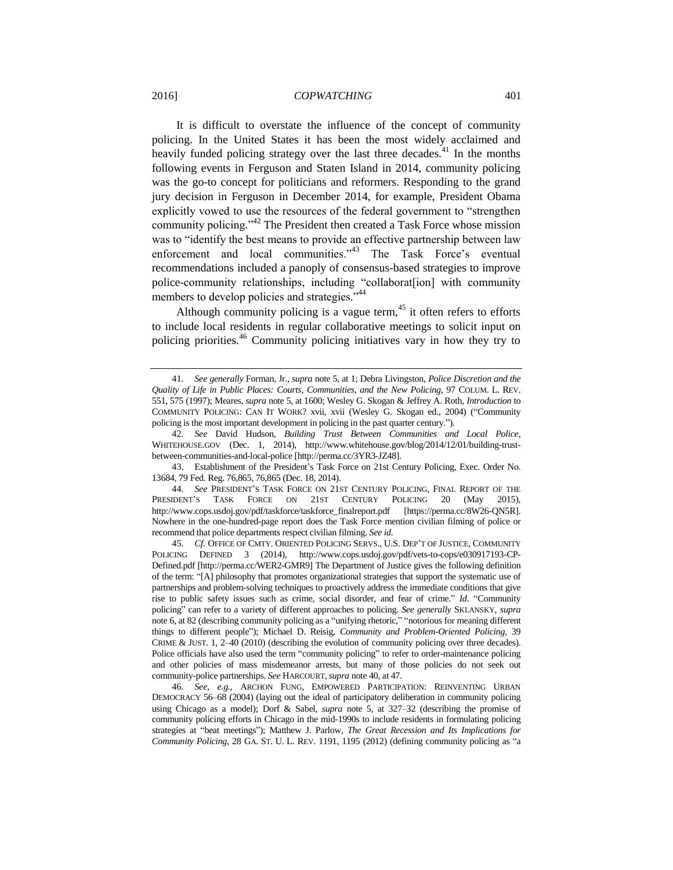<span id="page-10-0"></span>It is difficult to overstate the influence of the concept of community policing. In the United States it has been the most widely acclaimed and heavily funded policing strategy over the last three decades.<sup>41</sup> In the months following events in Ferguson and Staten Island in 2014, community policing was the go-to concept for politicians and reformers. Responding to the grand jury decision in Ferguson in December 2014, for example, President Obama explicitly vowed to use the resources of the federal government to "strengthen community policing."<sup>42</sup> The President then created a Task Force whose mission was to "identify the best means to provide an effective partnership between law enforcement and local communities."<sup>43</sup> The Task Force's eventual recommendations included a panoply of consensus-based strategies to improve police-community relationships, including "collaborat[ion] with community members to develop policies and strategies."<sup>44</sup>

<span id="page-10-2"></span><span id="page-10-1"></span>Although community policing is a vague term,<sup>45</sup> it often refers to efforts to include local residents in regular collaborative meetings to solicit input on policing priorities.<sup>46</sup> Community policing initiatives vary in how they try to

<sup>41</sup>*. See generally* Forman, Jr., *supra* not[e 5,](#page-2-1) at 1; Debra Livingston, *Police Discretion and the Quality of Life in Public Places: Courts, Communities, and the New Policing*, 97 COLUM. L. REV. 551, 575 (1997); Meares, *supra* not[e 5,](#page-2-1) at 1600; Wesley G. Skogan & Jeffrey A. Roth, *Introduction* to COMMUNITY POLICING: CAN IT WORK? xvii, xvii (Wesley G. Skogan ed., 2004) ("Community policing is the most important development in policing in the past quarter century.").

<sup>42</sup>*. See* David Hudson, *Building Trust Between Communities and Local Police*, WHITEHOUSE.GOV (Dec. 1, 2014), http://www.whitehouse.gov/blog/2014/12/01/building-trustbetween-communities-and-local-police [http://perma.cc/3YR3-JZ48].

<sup>43.</sup> Establishment of the President's Task Force on 21st Century Policing, Exec. Order No. 13684, 79 Fed. Reg. 76,865, 76,865 (Dec. 18, 2014).

<sup>44</sup>*. See* PRESIDENT'S TASK FORCE ON 21ST CENTURY POLICING, FINAL REPORT OF THE PRESIDENT'S TASK FORCE ON 21ST CENTURY POLICING 20 (May 2015), http://www.cops.usdoj.gov/pdf/taskforce/taskforce\_finalreport.pdf [https://perma.cc/8W26-QN5R]. Nowhere in the one-hundred-page report does the Task Force mention civilian filming of police or recommend that police departments respect civilian filming. *See id.*

<sup>45</sup>*. Cf.* OFFICE OF CMTY. ORIENTED POLICING SERVS., U.S. DEP'T OF JUSTICE, COMMUNITY POLICING DEFINED 3 (2014), http://www.cops.usdoj.gov/pdf/vets-to-cops/e030917193-CP-Defined.pdf [http://perma.cc/WER2-GMR9] The Department of Justice gives the following definition of the term: "[A] philosophy that promotes organizational strategies that support the systematic use of partnerships and problem-solving techniques to proactively address the immediate conditions that give rise to public safety issues such as crime, social disorder, and fear of crime." *Id*. "Community policing" can refer to a variety of different approaches to policing. *See generally* SKLANSKY, *supra*  not[e 6,](#page-2-2) at 82 (describing community policing as a "unifying rhetoric," "notorious for meaning different things to different people"); Michael D. Reisig, *Community and Problem-Oriented Policing*, 39 CRIME & JUST. 1, 2–40 (2010) (describing the evolution of community policing over three decades). Police officials have also used the term "community policing" to refer to order-maintenance policing and other policies of mass misdemeanor arrests, but many of those policies do not seek out community-police partnerships. *See* HARCOURT,*supra* not[e 40,](#page-9-1) at 47.

<sup>46</sup>*. See, e.g.*, ARCHON FUNG, EMPOWERED PARTICIPATION: REINVENTING URBAN DEMOCRACY 56–68 (2004) (laying out the ideal of participatory deliberation in community policing using Chicago as a model); Dorf & Sabel, *supra* note [5,](#page-2-1) at 327–32 (describing the promise of community policing efforts in Chicago in the mid-1990s to include residents in formulating policing strategies at "beat meetings"); Matthew J. Parlow, *The Great Recession and Its Implications for Community Policing*, 28 GA. ST. U. L. REV. 1191, 1195 (2012) (defining community policing as "a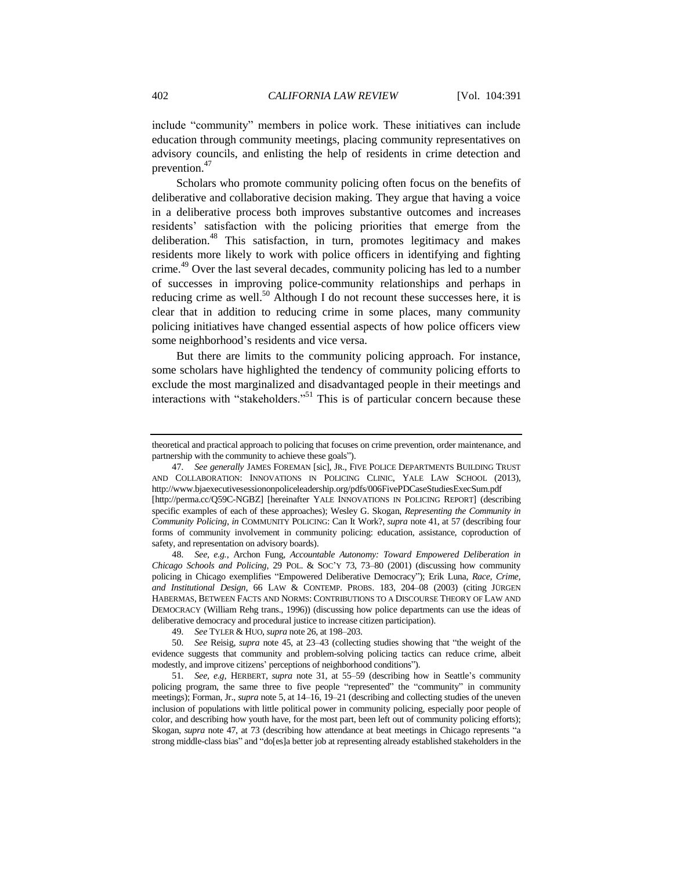include "community" members in police work. These initiatives can include education through community meetings, placing community representatives on advisory councils, and enlisting the help of residents in crime detection and prevention.<sup>47</sup>

<span id="page-11-1"></span><span id="page-11-0"></span>Scholars who promote community policing often focus on the benefits of deliberative and collaborative decision making. They argue that having a voice in a deliberative process both improves substantive outcomes and increases residents' satisfaction with the policing priorities that emerge from the deliberation.<sup>48</sup> This satisfaction, in turn, promotes legitimacy and makes residents more likely to work with police officers in identifying and fighting crime.<sup>49</sup> Over the last several decades, community policing has led to a number of successes in improving police-community relationships and perhaps in reducing crime as well.<sup>50</sup> Although I do not recount these successes here, it is clear that in addition to reducing crime in some places, many community policing initiatives have changed essential aspects of how police officers view some neighborhood's residents and vice versa.

<span id="page-11-2"></span>But there are limits to the community policing approach. For instance, some scholars have highlighted the tendency of community policing efforts to exclude the most marginalized and disadvantaged people in their meetings and interactions with "stakeholders."<sup>51</sup> This is of particular concern because these

48*. See, e.g.*, Archon Fung, *Accountable Autonomy: Toward Empowered Deliberation in Chicago Schools and Policing*, 29 POL. & SOC'Y 73, 73–80 (2001) (discussing how community policing in Chicago exemplifies "Empowered Deliberative Democracy"); Erik Luna, *Race, Crime, and Institutional Design*, 66 LAW & CONTEMP. PROBS. 183, 204–08 (2003) (citing JÜRGEN HABERMAS, BETWEEN FACTS AND NORMS: CONTRIBUTIONS TO A DISCOURSE THEORY OF LAW AND DEMOCRACY (William Rehg trans., 1996)) (discussing how police departments can use the ideas of deliberative democracy and procedural justice to increase citizen participation).

49*. See* TYLER & HUO, *supra* not[e 26,](#page-7-1) at 198–203.

50*. See* Reisig, *supra* note [45,](#page-10-1) at 23–43 (collecting studies showing that "the weight of the evidence suggests that community and problem-solving policing tactics can reduce crime, albeit modestly, and improve citizens' perceptions of neighborhood conditions").

51*. See, e.g*, HERBERT, *supra* note [31,](#page-7-2) at 55–59 (describing how in Seattle's community policing program, the same three to five people "represented" the "community" in community meetings); Forman, Jr., *supra* not[e 5,](#page-2-1) at 14–16, 19–21 (describing and collecting studies of the uneven inclusion of populations with little political power in community policing, especially poor people of color, and describing how youth have, for the most part, been left out of community policing efforts); Skogan, *supra* note [47,](#page-11-0) at 73 (describing how attendance at beat meetings in Chicago represents "a strong middle-class bias" and "do[es]a better job at representing already established stakeholders in the

theoretical and practical approach to policing that focuses on crime prevention, order maintenance, and partnership with the community to achieve these goals").

<sup>47</sup>*. See generally* JAMES FOREMAN [sic], JR., FIVE POLICE DEPARTMENTS BUILDING TRUST AND COLLABORATION: INNOVATIONS IN POLICING CLINIC, YALE LAW SCHOOL (2013), http://www.bjaexecutivesessiononpoliceleadership.org/pdfs/006FivePDCaseStudiesExecSum.pdf [http://perma.cc/Q59C-NGBZ] [hereinafter YALE INNOVATIONS IN POLICING REPORT] (describing specific examples of each of these approaches); Wesley G. Skogan, *Representing the Community in Community Policing*, *in* COMMUNITY POLICING: Can It Work?, *supra* note [41,](#page-10-0) at 57 (describing four forms of community involvement in community policing: education, assistance, coproduction of safety, and representation on advisory boards).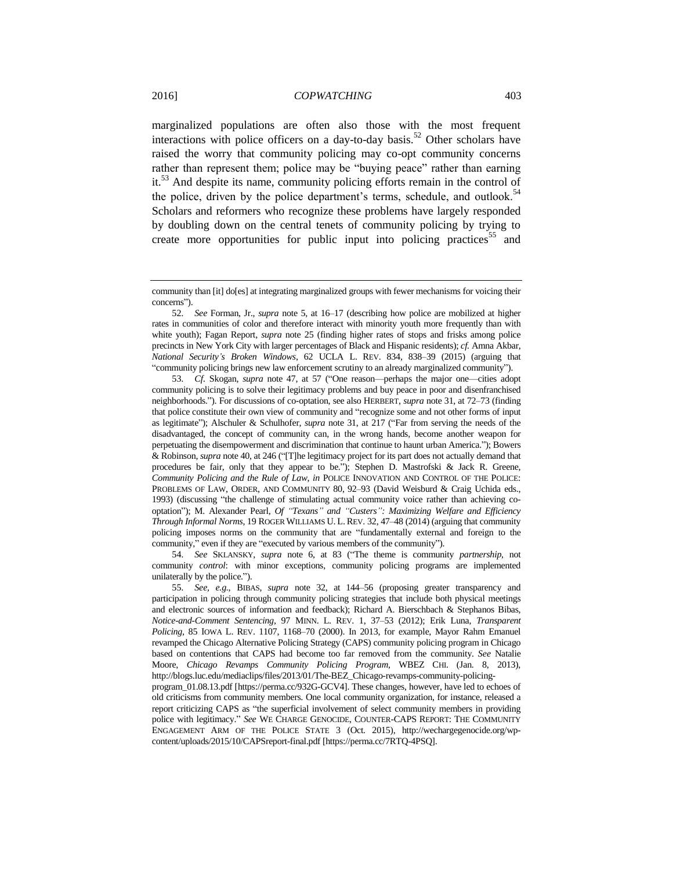<span id="page-12-1"></span>marginalized populations are often also those with the most frequent interactions with police officers on a day-to-day basis.<sup>52</sup> Other scholars have raised the worry that community policing may co-opt community concerns rather than represent them; police may be "buying peace" rather than earning it.<sup>53</sup> And despite its name, community policing efforts remain in the control of the police, driven by the police department's terms, schedule, and outlook.<sup>54</sup> Scholars and reformers who recognize these problems have largely responded by doubling down on the central tenets of community policing by trying to create more opportunities for public input into policing practices<sup>55</sup> and

53*. Cf.* Skogan, *supra* note [47,](#page-11-0) at 57 ("One reason—perhaps the major one—cities adopt community policing is to solve their legitimacy problems and buy peace in poor and disenfranchised neighborhoods."). For discussions of co-optation, see also HERBERT, *supra* not[e 31,](#page-7-2) at 72–73 (finding that police constitute their own view of community and "recognize some and not other forms of input as legitimate"); Alschuler & Schulhofer, *supra* note [31,](#page-7-2) at 217 ("Far from serving the needs of the disadvantaged, the concept of community can, in the wrong hands, become another weapon for perpetuating the disempowerment and discrimination that continue to haunt urban America."); Bowers & Robinson, *supra* not[e 40,](#page-9-1) at 246 ("[T]he legitimacy project for its part does not actually demand that procedures be fair, only that they appear to be."); Stephen D. Mastrofski & Jack R. Greene, *Community Policing and the Rule of Law*, *in* POLICE INNOVATION AND CONTROL OF THE POLICE: PROBLEMS OF LAW, ORDER, AND COMMUNITY 80, 92–93 (David Weisburd & Craig Uchida eds., 1993) (discussing "the challenge of stimulating actual community voice rather than achieving cooptation"); M. Alexander Pearl, *Of "Texans" and "Custers": Maximizing Welfare and Efficiency Through Informal Norms*, 19 ROGER WILLIAMS U. L. REV. 32, 47–48 (2014) (arguing that community policing imposes norms on the community that are "fundamentally external and foreign to the community," even if they are "executed by various members of the community").

54*. See* SKLANSKY, *supra* note [6,](#page-2-2) at 83 ("The theme is community *partnership*, not community *control*: with minor exceptions, community policing programs are implemented unilaterally by the police.").

55*. See, e.g.*, BIBAS, *supra* note [32,](#page-8-0) at 144–56 (proposing greater transparency and participation in policing through community policing strategies that include both physical meetings and electronic sources of information and feedback); Richard A. Bierschbach & Stephanos Bibas, *Notice-and-Comment Sentencing*, 97 MINN. L. REV. 1, 37–53 (2012); Erik Luna, *Transparent Policing*, 85 IOWA L. REV. 1107, 1168–70 (2000). In 2013, for example, Mayor Rahm Emanuel revamped the Chicago Alternative Policing Strategy (CAPS) community policing program in Chicago based on contentions that CAPS had become too far removed from the community. *See* Natalie Moore, *Chicago Revamps Community Policing Program*, WBEZ CHI. (Jan. 8, 2013), http://blogs.luc.edu/mediaclips/files/2013/01/The-BEZ\_Chicago-revamps-community-policing-

program\_01.08.13.pdf [https://perma.cc/932G-GCV4]. These changes, however, have led to echoes of old criticisms from community members. One local community organization, for instance, released a report criticizing CAPS as "the superficial involvement of select community members in providing police with legitimacy." *See* WE CHARGE GENOCIDE, COUNTER-CAPS REPORT: THE COMMUNITY ENGAGEMENT ARM OF THE POLICE STATE 3 (Oct. 2015), http://wechargegenocide.org/wpcontent/uploads/2015/10/CAPSreport-final.pdf [https://perma.cc/7RTQ-4PSQ].

<span id="page-12-0"></span>community than [it] do[es] at integrating marginalized groups with fewer mechanisms for voicing their concerns").

<sup>52</sup>*. See* Forman, Jr., *supra* note [5,](#page-2-1) at 16–17 (describing how police are mobilized at higher rates in communities of color and therefore interact with minority youth more frequently than with white youth); Fagan Report, *supra* note [25](#page-7-3) (finding higher rates of stops and frisks among police precincts in New York City with larger percentages of Black and Hispanic residents); *cf.* Amna Akbar, *National Security's Broken Windows*, 62 UCLA L. REV. 834, 838–39 (2015) (arguing that "community policing brings new law enforcement scrutiny to an already marginalized community").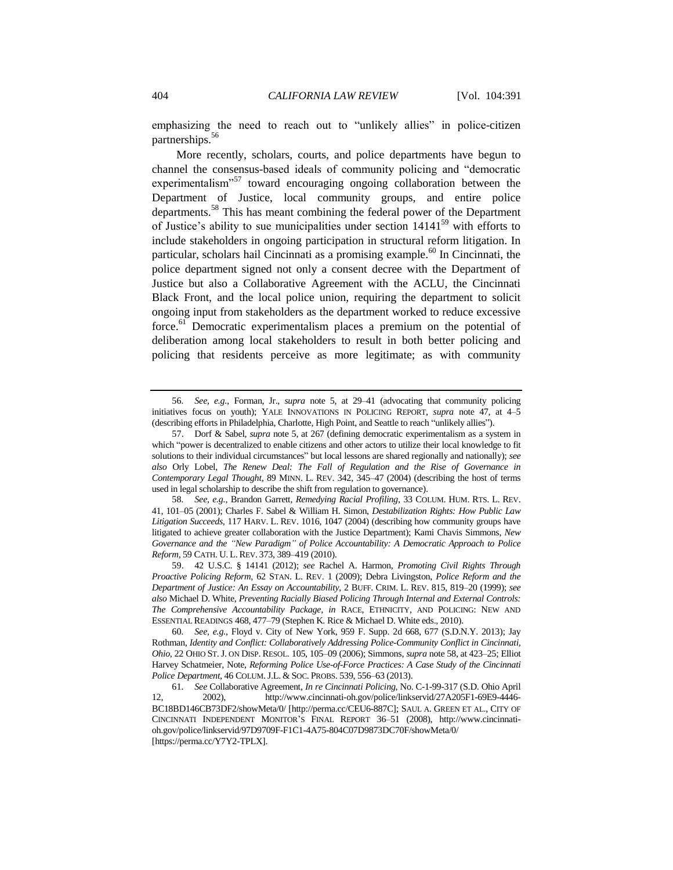emphasizing the need to reach out to "unlikely allies" in police-citizen partnerships.<sup>56</sup>

<span id="page-13-2"></span><span id="page-13-1"></span><span id="page-13-0"></span>More recently, scholars, courts, and police departments have begun to channel the consensus-based ideals of community policing and "democratic experimentalism"<sup>57</sup> toward encouraging ongoing collaboration between the Department of Justice, local community groups, and entire police departments.<sup>58</sup> This has meant combining the federal power of the Department of Justice's ability to sue municipalities under section  $14141^{59}$  with efforts to include stakeholders in ongoing participation in structural reform litigation. In particular, scholars hail Cincinnati as a promising example. $^{60}$  In Cincinnati, the police department signed not only a consent decree with the Department of Justice but also a Collaborative Agreement with the ACLU, the Cincinnati Black Front, and the local police union, requiring the department to solicit ongoing input from stakeholders as the department worked to reduce excessive force.<sup>61</sup> Democratic experimentalism places a premium on the potential of deliberation among local stakeholders to result in both better policing and policing that residents perceive as more legitimate; as with community

58*. See, e.g.*, Brandon Garrett, *Remedying Racial Profiling*, 33 COLUM. HUM. RTS. L. REV. 41, 101–05 (2001); Charles F. Sabel & William H. Simon, *Destabilization Rights: How Public Law Litigation Succeeds*, 117 HARV. L. REV. 1016, 1047 (2004) (describing how community groups have litigated to achieve greater collaboration with the Justice Department); Kami Chavis Simmons, *New Governance and the "New Paradigm" of Police Accountability: A Democratic Approach to Police Reform,* 59 CATH. U. L. REV. 373, 389–419 (2010).

59. 42 U.S.C. § 14141 (2012); *see* Rachel A. Harmon, *Promoting Civil Rights Through Proactive Policing Reform*, 62 STAN. L. REV. 1 (2009); Debra Livingston, *Police Reform and the Department of Justice: An Essay on Accountability*, 2 BUFF. CRIM. L. REV. 815, 819–20 (1999); *see also* Michael D. White, *Preventing Racially Biased Policing Through Internal and External Controls: The Comprehensive Accountability Package*, *in* RACE, ETHNICITY, AND POLICING: NEW AND ESSENTIAL READINGS 468, 477–79 (Stephen K. Rice & Michael D. White eds., 2010).

<sup>56</sup>*. See, e.g.*, Forman, Jr., *supra* note [5,](#page-2-1) at 29–41 (advocating that community policing initiatives focus on youth); YALE INNOVATIONS IN POLICING REPORT, *supra* note [47,](#page-11-0) at 4–5 (describing efforts in Philadelphia, Charlotte, High Point, and Seattle to reach "unlikely allies").

<sup>57.</sup> Dorf & Sabel, *supra* note [5,](#page-2-1) at 267 (defining democratic experimentalism as a system in which "power is decentralized to enable citizens and other actors to utilize their local knowledge to fit solutions to their individual circumstances" but local lessons are shared regionally and nationally); *see also* Orly Lobel, *The Renew Deal: The Fall of Regulation and the Rise of Governance in Contemporary Legal Thought*, 89 MINN. L. REV. 342, 345–47 (2004) (describing the host of terms used in legal scholarship to describe the shift from regulation to governance).

<sup>60</sup>*. See, e.g.*, Floyd v. City of New York, 959 F. Supp. 2d 668, 677 (S.D.N.Y. 2013); Jay Rothman, *Identity and Conflict: Collaboratively Addressing Police-Community Conflict in Cincinnati, Ohio*, 22 OHIO ST.J. ON DISP. RESOL. 105, 105–09 (2006); Simmons, *supra* not[e 58,](#page-13-0) at 423–25; Elliot Harvey Schatmeier, Note, *Reforming Police Use-of-Force Practices: A Case Study of the Cincinnati Police Department*, 46 COLUM.J.L. & SOC. PROBS. 539, 556–63 (2013).

<sup>61</sup>*. See* Collaborative Agreement, *In re Cincinnati Policing*, No. C-1-99-317 (S.D. Ohio April 12, 2002), http://www.cincinnati-oh.gov/police/linkservid/27A205F1-69E9-4446- BC18BD146CB73DF2/showMeta/0/ [http://perma.cc/CEU6-887C]; SAUL A. GREEN ET AL., CITY OF CINCINNATI INDEPENDENT MONITOR'S FINAL REPORT 36–51 (2008), http://www.cincinnatioh.gov/police/linkservid/97D9709F-F1C1-4A75-804C07D9873DC70F/showMeta/0/ [https://perma.cc/Y7Y2-TPLX].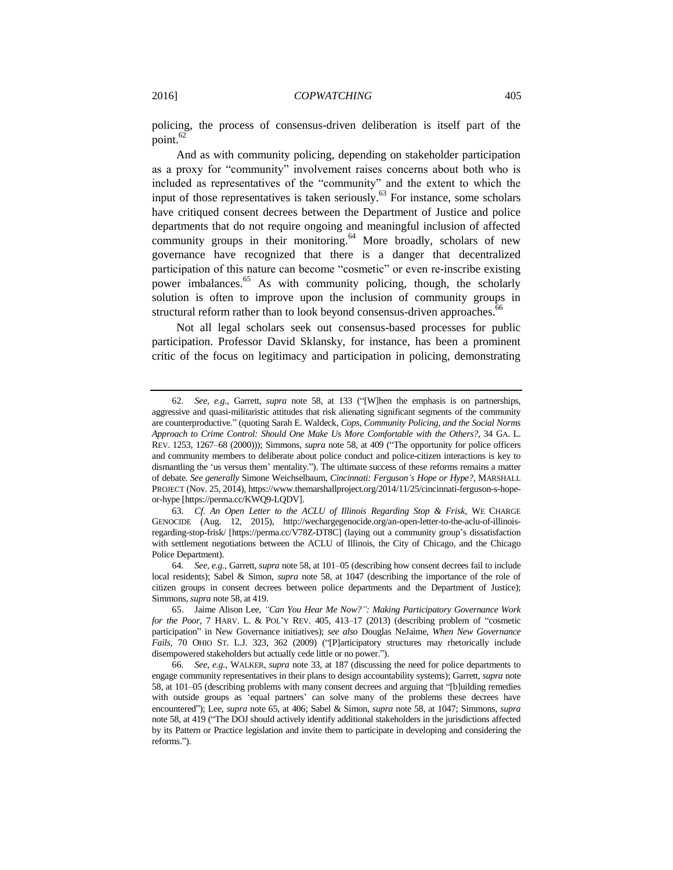policing, the process of consensus-driven deliberation is itself part of the point. $62$ 

And as with community policing, depending on stakeholder participation as a proxy for "community" involvement raises concerns about both who is included as representatives of the "community" and the extent to which the input of those representatives is taken seriously. $^{63}$  For instance, some scholars have critiqued consent decrees between the Department of Justice and police departments that do not require ongoing and meaningful inclusion of affected community groups in their monitoring. $64$  More broadly, scholars of new governance have recognized that there is a danger that decentralized participation of this nature can become "cosmetic" or even re-inscribe existing power imbalances.<sup>65</sup> As with community policing, though, the scholarly solution is often to improve upon the inclusion of community groups in structural reform rather than to look beyond consensus-driven approaches.<sup>66</sup>

<span id="page-14-0"></span>Not all legal scholars seek out consensus-based processes for public participation. Professor David Sklansky, for instance, has been a prominent critic of the focus on legitimacy and participation in policing, demonstrating

<sup>62</sup>*. See, e.g.*, Garrett, *supra* note [58,](#page-13-0) at 133 ("[W]hen the emphasis is on partnerships, aggressive and quasi-militaristic attitudes that risk alienating significant segments of the community are counterproductive." (quoting Sarah E. Waldeck, *Cops, Community Policing, and the Social Norms Approach to Crime Control: Should One Make Us More Comfortable with the Others?*, 34 GA. L. REV. 1253, 1267–68 (2000))); Simmons, *supra* not[e 58,](#page-13-0) at 409 ("The opportunity for police officers and community members to deliberate about police conduct and police-citizen interactions is key to dismantling the 'us versus them' mentality."). The ultimate success of these reforms remains a matter of debate. *See generally* Simone Weichselbaum, *Cincinnati: Ferguson's Hope or Hype?*, MARSHALL PROJECT (Nov. 25, 2014), https://www.themarshallproject.org/2014/11/25/cincinnati-ferguson-s-hopeor-hype [https://perma.cc/KWQ9-LQDV].

<sup>63</sup>*. Cf. An Open Letter to the ACLU of Illinois Regarding Stop & Frisk*, WE CHARGE GENOCIDE (Aug. 12, 2015), http://wechargegenocide.org/an-open-letter-to-the-aclu-of-illinoisregarding-stop-frisk/ [https://perma.cc/V78Z-DT8C] (laying out a community group's dissatisfaction with settlement negotiations between the ACLU of Illinois, the City of Chicago, and the Chicago Police Department).

<sup>64</sup>*. See, e.g.*, Garrett, *supra* not[e 58,](#page-13-0) at 101–05 (describing how consent decrees fail to include local residents); Sabel & Simon, *supra* note [58,](#page-13-0) at 1047 (describing the importance of the role of citizen groups in consent decrees between police departments and the Department of Justice); Simmons, *supra* not[e 58,](#page-13-0) at 419.

<sup>65.</sup> Jaime Alison Lee, *"Can You Hear Me Now?": Making Participatory Governance Work for the Poor*, 7 HARV. L. & POL'Y REV. 405, 413–17 (2013) (describing problem of "cosmetic participation" in New Governance initiatives); *see also* Douglas NeJaime, *When New Governance Fails*, 70 OHIO ST. L.J. 323, 362 (2009) ("[P]articipatory structures may rhetorically include disempowered stakeholders but actually cede little or no power.").

<sup>66</sup>*. See, e.g.*, WALKER, *supra* note [33,](#page-8-1) at 187 (discussing the need for police departments to engage community representatives in their plans to design accountability systems); Garrett, *supra* note [58,](#page-13-0) at 101–05 (describing problems with many consent decrees and arguing that "[b]uilding remedies with outside groups as 'equal partners' can solve many of the problems these decrees have encountered"); Lee, *supra* note [65,](#page-14-0) at 406; Sabel & Simon, *supra* note [58,](#page-13-0) at 1047; Simmons, *supra* not[e 58,](#page-13-0) at 419 ("The DOJ should actively identify additional stakeholders in the jurisdictions affected by its Pattern or Practice legislation and invite them to participate in developing and considering the reforms.").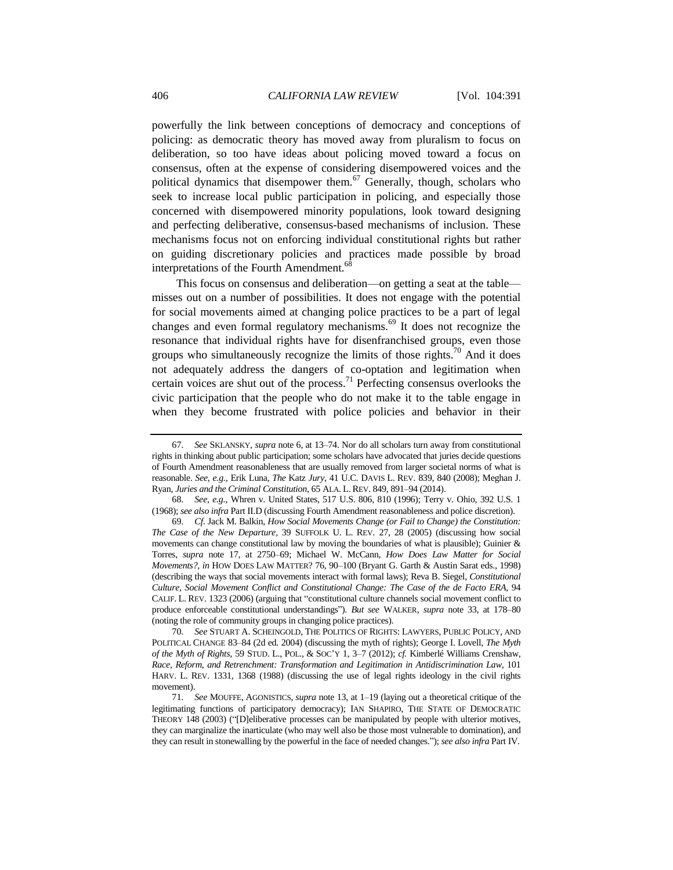<span id="page-15-0"></span>powerfully the link between conceptions of democracy and conceptions of policing: as democratic theory has moved away from pluralism to focus on deliberation, so too have ideas about policing moved toward a focus on consensus, often at the expense of considering disempowered voices and the political dynamics that disempower them.<sup>67</sup> Generally, though, scholars who seek to increase local public participation in policing, and especially those concerned with disempowered minority populations, look toward designing and perfecting deliberative, consensus-based mechanisms of inclusion. These mechanisms focus not on enforcing individual constitutional rights but rather on guiding discretionary policies and practices made possible by broad interpretations of the Fourth Amendment.<sup>6</sup>

<span id="page-15-1"></span>This focus on consensus and deliberation—on getting a seat at the table misses out on a number of possibilities. It does not engage with the potential for social movements aimed at changing police practices to be a part of legal changes and even formal regulatory mechanisms.<sup>69</sup> It does not recognize the resonance that individual rights have for disenfranchised groups, even those groups who simultaneously recognize the limits of those rights.<sup>70</sup> And it does not adequately address the dangers of co-optation and legitimation when certain voices are shut out of the process.<sup>71</sup> Perfecting consensus overlooks the civic participation that the people who do not make it to the table engage in when they become frustrated with police policies and behavior in their

<span id="page-15-2"></span><sup>67</sup>*. See* SKLANSKY, *supra* not[e 6,](#page-2-2) at 13–74. Nor do all scholars turn away from constitutional rights in thinking about public participation; some scholars have advocated that juries decide questions of Fourth Amendment reasonableness that are usually removed from larger societal norms of what is reasonable. *See, e.g.*, Erik Luna, *The* Katz *Jury*, 41 U.C. DAVIS L. REV. 839, 840 (2008); Meghan J. Ryan, *Juries and the Criminal Constitution*, 65 ALA. L. REV. 849, 891–94 (2014).

<sup>68</sup>*. See, e.g.*, Whren v. United States, 517 U.S. 806, 810 (1996); Terry v. Ohio, 392 U.S. 1 (1968); *see also infra* Part II.D (discussing Fourth Amendment reasonableness and police discretion).

<sup>69</sup>*. Cf.* Jack M. Balkin, *How Social Movements Change (or Fail to Change) the Constitution: The Case of the New Departure*, 39 SUFFOLK U. L. REV. 27, 28 (2005) (discussing how social movements can change constitutional law by moving the boundaries of what is plausible); Guinier  $\&$ Torres, *supra* note [17,](#page-4-2) at 2750–69; Michael W. McCann, *How Does Law Matter for Social Movements?*, *in* HOW DOES LAW MATTER? 76, 90–100 (Bryant G. Garth & Austin Sarat eds., 1998) (describing the ways that social movements interact with formal laws); Reva B. Siegel, *Constitutional Culture, Social Movement Conflict and Constitutional Change: The Case of the de Facto ERA*, 94 CALIF. L. REV. 1323 (2006) (arguing that "constitutional culture channels social movement conflict to produce enforceable constitutional understandings"). *But see* WALKER, *supra* note [33,](#page-8-1) at 178–80 (noting the role of community groups in changing police practices).

<sup>70</sup>*. See* STUART A. SCHEINGOLD, THE POLITICS OF RIGHTS: LAWYERS, PUBLIC POLICY, AND POLITICAL CHANGE 83–84 (2d ed. 2004) (discussing the myth of rights); George I. Lovell, *The Myth of the Myth of Rights*, 59 STUD. L., POL., & SOC'Y 1, 3–7 (2012); *cf.* Kimberlé Williams Crenshaw, *Race, Reform, and Retrenchment: Transformation and Legitimation in Antidiscrimination Law*, 101 HARV. L. REV. 1331, 1368 (1988) (discussing the use of legal rights ideology in the civil rights movement).

<sup>71</sup>*. See* MOUFFE, AGONISTICS, *supra* not[e 13,](#page-4-3) at 1–19 (laying out a theoretical critique of the legitimating functions of participatory democracy); IAN SHAPIRO, THE STATE OF DEMOCRATIC THEORY 148 (2003) ("[D]eliberative processes can be manipulated by people with ulterior motives, they can marginalize the inarticulate (who may well also be those most vulnerable to domination), and they can result in stonewalling by the powerful in the face of needed changes."); *see also infra* Part IV.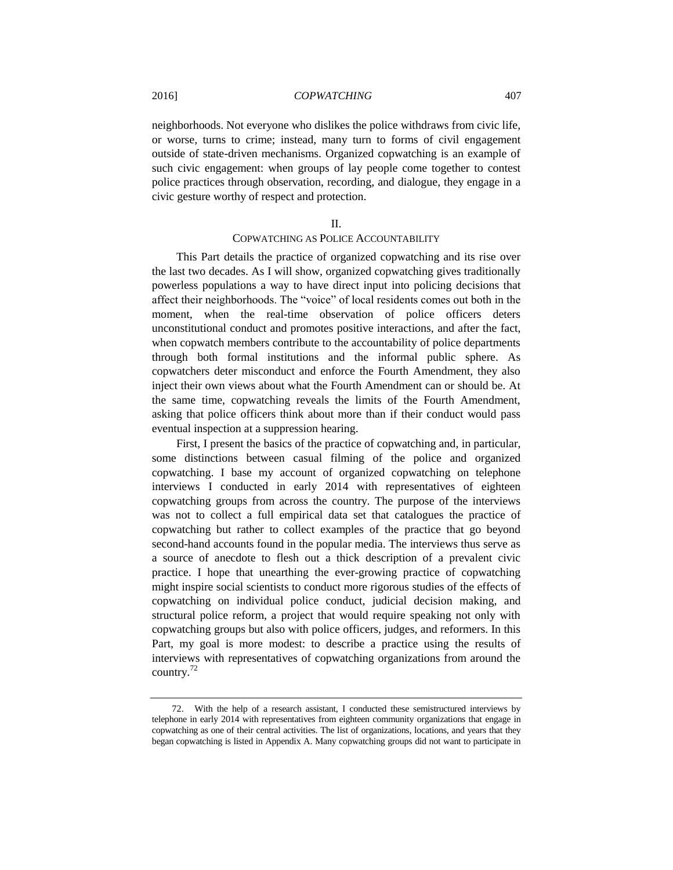neighborhoods. Not everyone who dislikes the police withdraws from civic life, or worse, turns to crime; instead, many turn to forms of civil engagement outside of state-driven mechanisms. Organized copwatching is an example of such civic engagement: when groups of lay people come together to contest police practices through observation, recording, and dialogue, they engage in a civic gesture worthy of respect and protection.

#### II.

## COPWATCHING AS POLICE ACCOUNTABILITY

This Part details the practice of organized copwatching and its rise over the last two decades. As I will show, organized copwatching gives traditionally powerless populations a way to have direct input into policing decisions that affect their neighborhoods. The "voice" of local residents comes out both in the moment, when the real-time observation of police officers deters unconstitutional conduct and promotes positive interactions, and after the fact, when copwatch members contribute to the accountability of police departments through both formal institutions and the informal public sphere. As copwatchers deter misconduct and enforce the Fourth Amendment, they also inject their own views about what the Fourth Amendment can or should be. At the same time, copwatching reveals the limits of the Fourth Amendment, asking that police officers think about more than if their conduct would pass eventual inspection at a suppression hearing.

First, I present the basics of the practice of copwatching and, in particular, some distinctions between casual filming of the police and organized copwatching. I base my account of organized copwatching on telephone interviews I conducted in early 2014 with representatives of eighteen copwatching groups from across the country. The purpose of the interviews was not to collect a full empirical data set that catalogues the practice of copwatching but rather to collect examples of the practice that go beyond second-hand accounts found in the popular media. The interviews thus serve as a source of anecdote to flesh out a thick description of a prevalent civic practice. I hope that unearthing the ever-growing practice of copwatching might inspire social scientists to conduct more rigorous studies of the effects of copwatching on individual police conduct, judicial decision making, and structural police reform, a project that would require speaking not only with copwatching groups but also with police officers, judges, and reformers. In this Part, my goal is more modest: to describe a practice using the results of interviews with representatives of copwatching organizations from around the country.<sup>72</sup>

<sup>72.</sup> With the help of a research assistant, I conducted these semistructured interviews by telephone in early 2014 with representatives from eighteen community organizations that engage in copwatching as one of their central activities. The list of organizations, locations, and years that they began copwatching is listed in Appendix A. Many copwatching groups did not want to participate in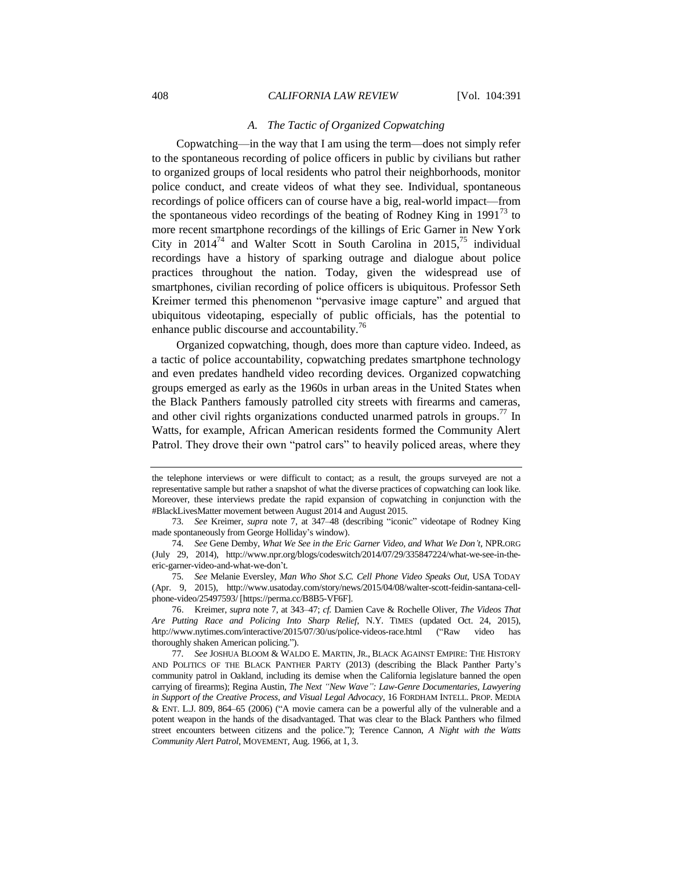#### *A. The Tactic of Organized Copwatching*

Copwatching—in the way that I am using the term—does not simply refer to the spontaneous recording of police officers in public by civilians but rather to organized groups of local residents who patrol their neighborhoods, monitor police conduct, and create videos of what they see. Individual, spontaneous recordings of police officers can of course have a big, real-world impact—from the spontaneous video recordings of the beating of Rodney King in 1991<sup>73</sup> to more recent smartphone recordings of the killings of Eric Garner in New York City in  $2014^{74}$  and Walter Scott in South Carolina in  $2015^{75}$  individual recordings have a history of sparking outrage and dialogue about police practices throughout the nation. Today, given the widespread use of smartphones, civilian recording of police officers is ubiquitous. Professor Seth Kreimer termed this phenomenon "pervasive image capture" and argued that ubiquitous videotaping, especially of public officials, has the potential to enhance public discourse and accountability.<sup>76</sup>

Organized copwatching, though, does more than capture video. Indeed, as a tactic of police accountability, copwatching predates smartphone technology and even predates handheld video recording devices. Organized copwatching groups emerged as early as the 1960s in urban areas in the United States when the Black Panthers famously patrolled city streets with firearms and cameras, and other civil rights organizations conducted unarmed patrols in groups.<sup>77</sup> In Watts, for example, African American residents formed the Community Alert Patrol. They drove their own "patrol cars" to heavily policed areas, where they

<span id="page-17-0"></span>the telephone interviews or were difficult to contact; as a result, the groups surveyed are not a representative sample but rather a snapshot of what the diverse practices of copwatching can look like. Moreover, these interviews predate the rapid expansion of copwatching in conjunction with the #BlackLivesMatter movement between August 2014 and August 2015.

<sup>73</sup>*. See* Kreimer, *supra* note [7,](#page-2-0) at 347–48 (describing "iconic" videotape of Rodney King made spontaneously from George Holliday's window).

<sup>74</sup>*. See* Gene Demby, *What We See in the Eric Garner Video, and What We Don't*, NPR.ORG (July 29, 2014), http://www.npr.org/blogs/codeswitch/2014/07/29/335847224/what-we-see-in-theeric-garner-video-and-what-we-don't.

<sup>75</sup>*. See* Melanie Eversley, *Man Who Shot S.C. Cell Phone Video Speaks Out*, USA TODAY (Apr. 9, 2015), http://www.usatoday.com/story/news/2015/04/08/walter-scott-feidin-santana-cellphone-video/25497593/ [https://perma.cc/B8B5-VF6F].

<sup>76.</sup> Kreimer, *supra* note [7,](#page-2-0) at 343–47; *cf.* Damien Cave & Rochelle Oliver, *The Videos That Are Putting Race and Policing Into Sharp Relief*, N.Y. TIMES (updated Oct. 24, 2015), http://www.nytimes.com/interactive/2015/07/30/us/police-videos-race.html ("Raw video has thoroughly shaken American policing.").

<sup>77</sup>*. See* JOSHUA BLOOM & WALDO E. MARTIN, JR., BLACK AGAINST EMPIRE: THE HISTORY AND POLITICS OF THE BLACK PANTHER PARTY (2013) (describing the Black Panther Party's community patrol in Oakland, including its demise when the California legislature banned the open carrying of firearms); Regina Austin*, The Next "New Wave": Law-Genre Documentaries, Lawyering in Support of the Creative Process, and Visual Legal Advocacy*, 16 FORDHAM INTELL. PROP. MEDIA & ENT. L.J. 809, 864–65 (2006) ("A movie camera can be a powerful ally of the vulnerable and a potent weapon in the hands of the disadvantaged. That was clear to the Black Panthers who filmed street encounters between citizens and the police."); Terence Cannon, *A Night with the Watts Community Alert Patrol*, MOVEMENT, Aug. 1966, at 1, 3.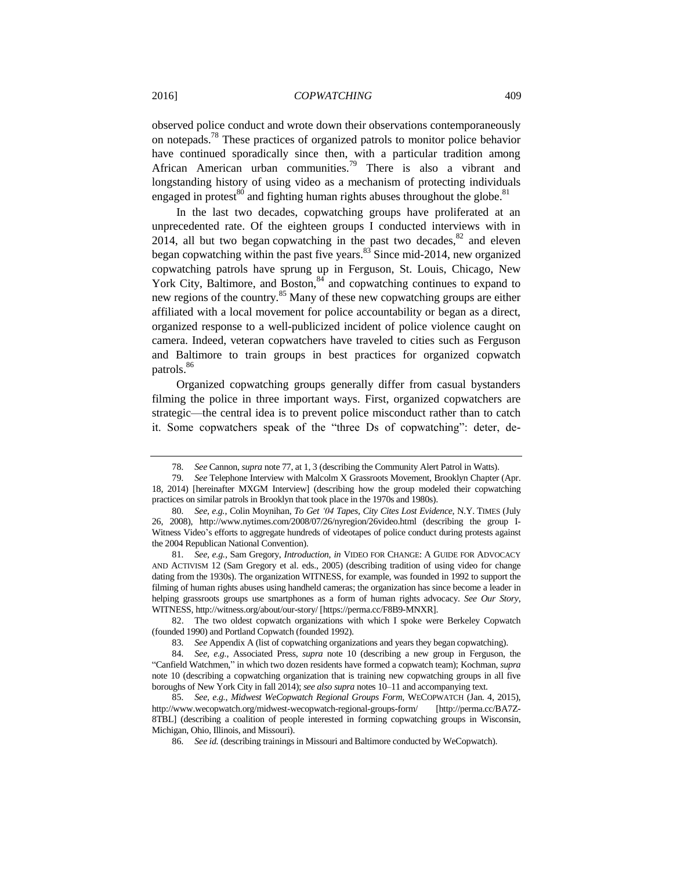<span id="page-18-1"></span><span id="page-18-0"></span>observed police conduct and wrote down their observations contemporaneously on notepads.<sup>78</sup> These practices of organized patrols to monitor police behavior have continued sporadically since then, with a particular tradition among African American urban communities.<sup>79</sup> There is also a vibrant and longstanding history of using video as a mechanism of protecting individuals engaged in protest<sup>80</sup> and fighting human rights abuses throughout the globe.<sup>81</sup>

<span id="page-18-3"></span><span id="page-18-2"></span>In the last two decades, copwatching groups have proliferated at an unprecedented rate. Of the eighteen groups I conducted interviews with in 2014, all but two began copwatching in the past two decades, $82$  and eleven began copwatching within the past five years. $83$  Since mid-2014, new organized copwatching patrols have sprung up in Ferguson, St. Louis, Chicago, New York City, Baltimore, and Boston, 84 and copwatching continues to expand to new regions of the country.<sup>85</sup> Many of these new copwatching groups are either affiliated with a local movement for police accountability or began as a direct, organized response to a well-publicized incident of police violence caught on camera. Indeed, veteran copwatchers have traveled to cities such as Ferguson and Baltimore to train groups in best practices for organized copwatch patrols.<sup>86</sup>

Organized copwatching groups generally differ from casual bystanders filming the police in three important ways. First, organized copwatchers are strategic—the central idea is to prevent police misconduct rather than to catch it. Some copwatchers speak of the "three Ds of copwatching": deter, de-

<sup>78</sup>*. See* Cannon, *supra* not[e 77,](#page-17-0) at 1, 3 (describing the Community Alert Patrol in Watts).

<sup>79</sup>*. See* Telephone Interview with Malcolm X Grassroots Movement, Brooklyn Chapter (Apr. 18, 2014) [hereinafter MXGM Interview] (describing how the group modeled their copwatching practices on similar patrols in Brooklyn that took place in the 1970s and 1980s).

<sup>80</sup>*. See, e.g.*, Colin Moynihan, *To Get '04 Tapes, City Cites Lost Evidence*, N.Y. TIMES (July 26, 2008), http://www.nytimes.com/2008/07/26/nyregion/26video.html (describing the group I-Witness Video's efforts to aggregate hundreds of videotapes of police conduct during protests against the 2004 Republican National Convention).

<sup>81</sup>*. See, e.g.*, Sam Gregory, *Introduction*, *in* VIDEO FOR CHANGE: A GUIDE FOR ADVOCACY AND ACTIVISM 12 (Sam Gregory et al. eds., 2005) (describing tradition of using video for change dating from the 1930s). The organization WITNESS, for example, was founded in 1992 to support the filming of human rights abuses using handheld cameras; the organization has since become a leader in helping grassroots groups use smartphones as a form of human rights advocacy. *See Our Story*, WITNESS, http://witness.org/about/our-story/ [https://perma.cc/F8B9-MNXR].

<sup>82.</sup> The two oldest copwatch organizations with which I spoke were Berkeley Copwatch (founded 1990) and Portland Copwatch (founded 1992).

<sup>83</sup>*. See* Appendix A (list of copwatching organizations and years they began copwatching).

<sup>84</sup>*. See, e.g.*, Associated Press, *supra* note [10](#page-3-0) (describing a new group in Ferguson, the "Canfield Watchmen," in which two dozen residents have formed a copwatch team); Kochman, *supra*  note [10](#page-3-0) (describing a copwatching organization that is training new copwatching groups in all five boroughs of New York City in fall 2014); *see also supra* note[s 10](#page-3-0)[–11](#page-3-1) and accompanying text.

<sup>85</sup>*. See, e.g.*, *Midwest WeCopwatch Regional Groups Form*, WECOPWATCH (Jan. 4, 2015), http://www.wecopwatch.org/midwest-wecopwatch-regional-groups-form/ [http://perma.cc/BA7Z-8TBL] (describing a coalition of people interested in forming copwatching groups in Wisconsin, Michigan, Ohio, Illinois, and Missouri).

<sup>86</sup>*. See id.* (describing trainings in Missouri and Baltimore conducted by WeCopwatch).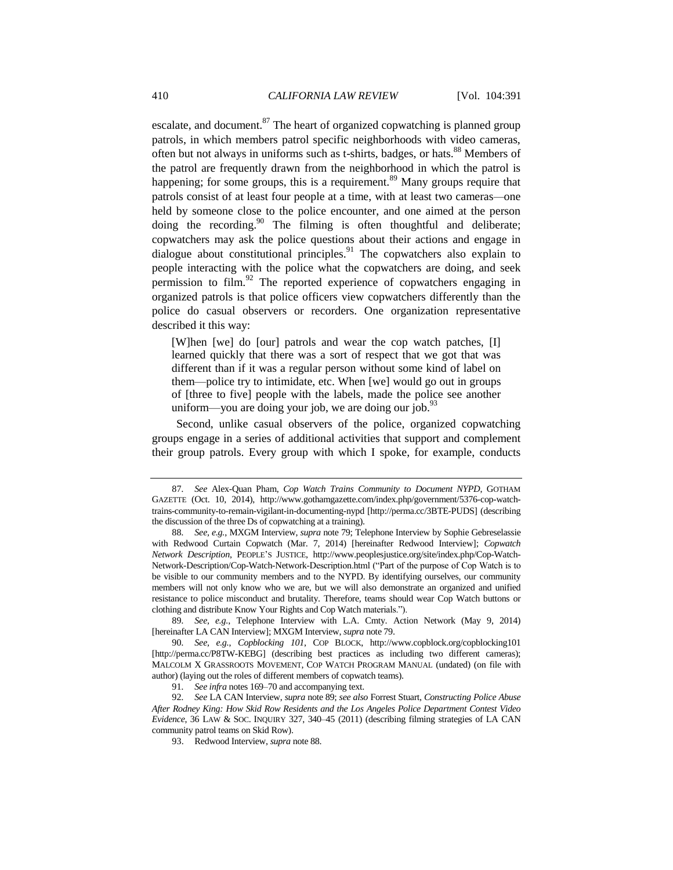<span id="page-19-3"></span><span id="page-19-1"></span><span id="page-19-0"></span>escalate, and document. $87$  The heart of organized copwatching is planned group patrols, in which members patrol specific neighborhoods with video cameras, often but not always in uniforms such as t-shirts, badges, or hats.<sup>88</sup> Members of the patrol are frequently drawn from the neighborhood in which the patrol is happening; for some groups, this is a requirement.<sup>89</sup> Many groups require that patrols consist of at least four people at a time, with at least two cameras*—*one held by someone close to the police encounter, and one aimed at the person doing the recording.<sup>90</sup> The filming is often thoughtful and deliberate; copwatchers may ask the police questions about their actions and engage in dialogue about constitutional principles. $91$  The copwatchers also explain to people interacting with the police what the copwatchers are doing, and seek permission to film. $^{92}$  The reported experience of copwatchers engaging in organized patrols is that police officers view copwatchers differently than the police do casual observers or recorders. One organization representative described it this way:

<span id="page-19-2"></span>[W]hen [we] do [our] patrols and wear the cop watch patches, [I] learned quickly that there was a sort of respect that we got that was different than if it was a regular person without some kind of label on them—police try to intimidate, etc. When [we] would go out in groups of [three to five] people with the labels, made the police see another uniform—you are doing your job, we are doing our job.<sup>93</sup>

Second, unlike casual observers of the police, organized copwatching groups engage in a series of additional activities that support and complement their group patrols. Every group with which I spoke, for example, conducts

<sup>87</sup>*. See* Alex-Quan Pham, *Cop Watch Trains Community to Document NYPD*, GOTHAM GAZETTE (Oct. 10, 2014), http://www.gothamgazette.com/index.php/government/5376-cop-watchtrains-community-to-remain-vigilant-in-documenting-nypd [http://perma.cc/3BTE-PUDS] (describing the discussion of the three Ds of copwatching at a training).

<sup>88</sup>*. See, e.g.*, MXGM Interview, *supra* not[e 79;](#page-18-1) Telephone Interview by Sophie Gebreselassie with Redwood Curtain Copwatch (Mar. 7, 2014) [hereinafter Redwood Interview]; *Copwatch Network Description*, PEOPLE'S JUSTICE, http://www.peoplesjustice.org/site/index.php/Cop-Watch-Network-Description/Cop-Watch-Network-Description.html ("Part of the purpose of Cop Watch is to be visible to our community members and to the NYPD. By identifying ourselves, our community members will not only know who we are, but we will also demonstrate an organized and unified resistance to police misconduct and brutality. Therefore, teams should wear Cop Watch buttons or clothing and distribute Know Your Rights and Cop Watch materials.").

<sup>89</sup>*. See, e.g.*, Telephone Interview with L.A. Cmty. Action Network (May 9, 2014) [hereinafter LA CAN Interview]; MXGM Interview, *supra* not[e 79.](#page-18-1)

<sup>90</sup>*. See, e.g.*, *Copblocking 101*, COP BLOCK, http://www.copblock.org/copblocking101 [http://perma.cc/P8TW-KEBG] (describing best practices as including two different cameras); MALCOLM X GRASSROOTS MOVEMENT, COP WATCH PROGRAM MANUAL (undated) (on file with author) (laying out the roles of different members of copwatch teams).

<sup>91</sup>*. See infra* notes 169–70 and accompanying text.

<sup>92</sup>*. See* LA CAN Interview, *supra* not[e 89;](#page-19-0) *see also* Forrest Stuart, *Constructing Police Abuse After Rodney King: How Skid Row Residents and the Los Angeles Police Department Contest Video Evidence*, 36 LAW & SOC. INQUIRY 327, 340–45 (2011) (describing filming strategies of LA CAN community patrol teams on Skid Row).

<sup>93.</sup> Redwood Interview, *supra* not[e 88.](#page-19-1)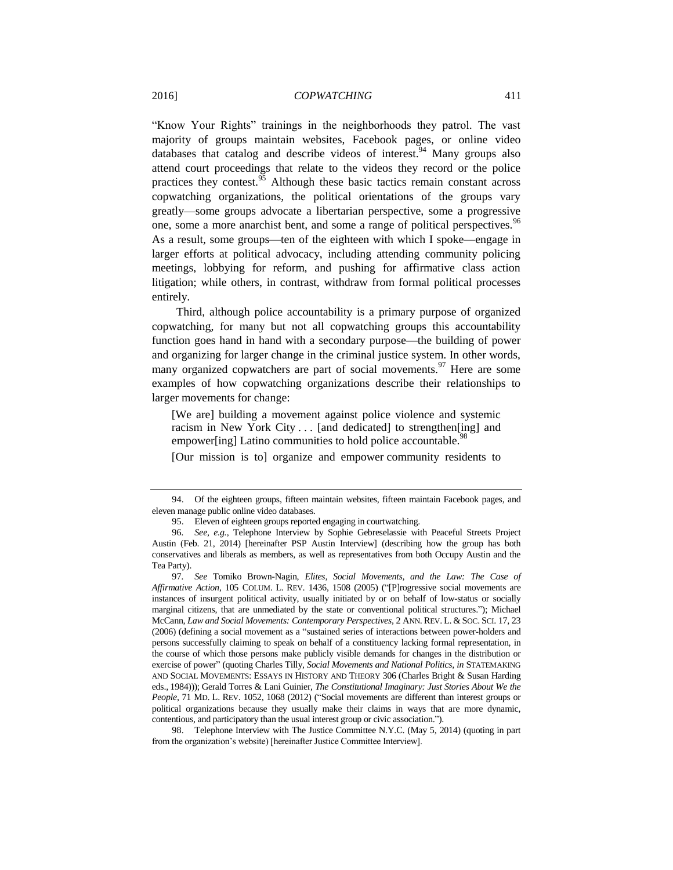"Know Your Rights" trainings in the neighborhoods they patrol. The vast majority of groups maintain websites, Facebook pages, or online video databases that catalog and describe videos of interest. <sup>94</sup> Many groups also attend court proceedings that relate to the videos they record or the police practices they contest. $\frac{95}{6}$  Although these basic tactics remain constant across copwatching organizations, the political orientations of the groups vary greatly—some groups advocate a libertarian perspective, some a progressive one, some a more anarchist bent, and some a range of political perspectives.<sup>96</sup> As a result, some groups—ten of the eighteen with which I spoke—engage in larger efforts at political advocacy, including attending community policing meetings, lobbying for reform, and pushing for affirmative class action litigation; while others, in contrast, withdraw from formal political processes entirely.

<span id="page-20-1"></span>Third, although police accountability is a primary purpose of organized copwatching, for many but not all copwatching groups this accountability function goes hand in hand with a secondary purpose—the building of power and organizing for larger change in the criminal justice system. In other words, many organized copwatchers are part of social movements.<sup>97</sup> Here are some examples of how copwatching organizations describe their relationships to larger movements for change:

[We are] building a movement against police violence and systemic racism in New York City . . . [and dedicated] to strengthen[ing] and empower[ing] Latino communities to hold police accountable.<sup>9</sup>

<span id="page-20-0"></span>[Our mission is to] organize and empower community residents to

98. Telephone Interview with The Justice Committee N.Y.C. (May 5, 2014) (quoting in part from the organization's website) [hereinafter Justice Committee Interview].

<sup>94.</sup> Of the eighteen groups, fifteen maintain websites, fifteen maintain Facebook pages, and eleven manage public online video databases.

<sup>95.</sup> Eleven of eighteen groups reported engaging in courtwatching.

<sup>96</sup>*. See, e.g.*, Telephone Interview by Sophie Gebreselassie with Peaceful Streets Project Austin (Feb. 21, 2014) [hereinafter PSP Austin Interview] (describing how the group has both conservatives and liberals as members, as well as representatives from both Occupy Austin and the Tea Party).

<sup>97</sup>*. See* Tomiko Brown-Nagin, *Elites, Social Movements, and the Law: The Case of Affirmative Action*, 105 COLUM. L. REV. 1436, 1508 (2005) ("[P]rogressive social movements are instances of insurgent political activity, usually initiated by or on behalf of low-status or socially marginal citizens, that are unmediated by the state or conventional political structures."); Michael McCann, *Law and Social Movements: Contemporary Perspectives*, 2 ANN. REV. L. & SOC. SCI. 17, 23 (2006) (defining a social movement as a "sustained series of interactions between power-holders and persons successfully claiming to speak on behalf of a constituency lacking formal representation, in the course of which those persons make publicly visible demands for changes in the distribution or exercise of power" (quoting Charles Tilly, *Social Movements and National Politics*, *in* STATEMAKING AND SOCIAL MOVEMENTS: ESSAYS IN HISTORY AND THEORY 306 (Charles Bright & Susan Harding eds., 1984))); Gerald Torres & Lani Guinier, *The Constitutional Imaginary: Just Stories About We the People*, 71 MD. L. REV. 1052, 1068 (2012) ("Social movements are different than interest groups or political organizations because they usually make their claims in ways that are more dynamic, contentious, and participatory than the usual interest group or civic association.").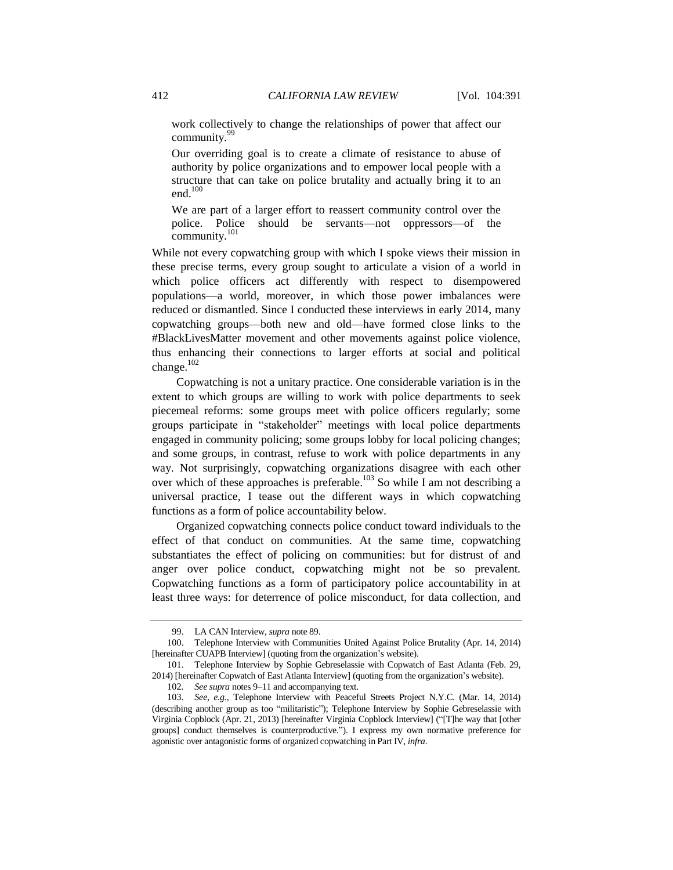work collectively to change the relationships of power that affect our community.<sup>99</sup>

Our overriding goal is to create a climate of resistance to abuse of authority by police organizations and to empower local people with a structure that can take on police brutality and actually bring it to an end. $100$ 

<span id="page-21-2"></span><span id="page-21-1"></span>We are part of a larger effort to reassert community control over the police. Police should be servants—not oppressors—of the community.<sup>101</sup>

While not every copwatching group with which I spoke views their mission in these precise terms, every group sought to articulate a vision of a world in which police officers act differently with respect to disempowered populations—a world, moreover, in which those power imbalances were reduced or dismantled. Since I conducted these interviews in early 2014, many copwatching groups—both new and old—have formed close links to the #BlackLivesMatter movement and other movements against police violence, thus enhancing their connections to larger efforts at social and political change.<sup>102</sup>

Copwatching is not a unitary practice. One considerable variation is in the extent to which groups are willing to work with police departments to seek piecemeal reforms: some groups meet with police officers regularly; some groups participate in "stakeholder" meetings with local police departments engaged in community policing; some groups lobby for local policing changes; and some groups, in contrast, refuse to work with police departments in any way. Not surprisingly, copwatching organizations disagree with each other over which of these approaches is preferable.<sup>103</sup> So while I am not describing a universal practice, I tease out the different ways in which copwatching functions as a form of police accountability below.

<span id="page-21-0"></span>Organized copwatching connects police conduct toward individuals to the effect of that conduct on communities. At the same time, copwatching substantiates the effect of policing on communities: but for distrust of and anger over police conduct, copwatching might not be so prevalent. Copwatching functions as a form of participatory police accountability in at least three ways: for deterrence of police misconduct, for data collection, and

<sup>99.</sup> LA CAN Interview, *supra* not[e 89.](#page-19-0)

<sup>100.</sup> Telephone Interview with Communities United Against Police Brutality (Apr. 14, 2014) [hereinafter CUAPB Interview] (quoting from the organization's website).

<sup>101.</sup> Telephone Interview by Sophie Gebreselassie with Copwatch of East Atlanta (Feb. 29, 2014) [hereinafter Copwatch of East Atlanta Interview] (quoting from the organization's website).

<sup>102</sup>*. See supra* note[s 9](#page-3-2)[–11](#page-3-1) and accompanying text.

<sup>103</sup>*. See, e.g.*, Telephone Interview with Peaceful Streets Project N.Y.C. (Mar. 14, 2014) (describing another group as too "militaristic"); Telephone Interview by Sophie Gebreselassie with Virginia Copblock (Apr. 21, 2013) [hereinafter Virginia Copblock Interview] ("[T]he way that [other groups] conduct themselves is counterproductive."). I express my own normative preference for agonistic over antagonistic forms of organized copwatching in Part IV, *infra*.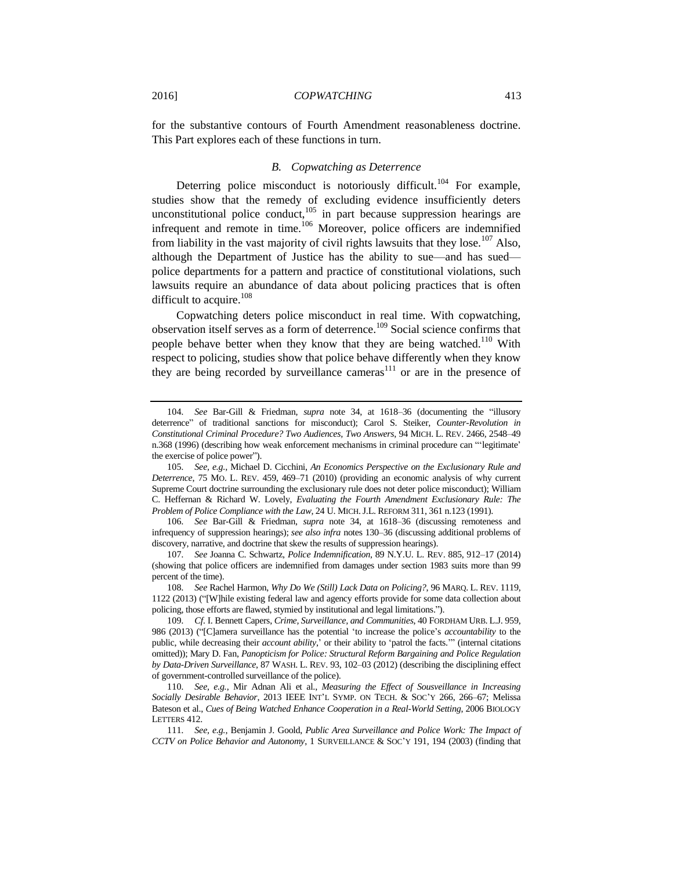for the substantive contours of Fourth Amendment reasonableness doctrine. This Part explores each of these functions in turn.

## <span id="page-22-1"></span><span id="page-22-0"></span>*B. Copwatching as Deterrence*

Deterring police misconduct is notoriously difficult.<sup>104</sup> For example, studies show that the remedy of excluding evidence insufficiently deters unconstitutional police conduct, $105$  in part because suppression hearings are infrequent and remote in time.<sup>106</sup> Moreover, police officers are indemnified from liability in the vast majority of civil rights lawsuits that they lose.<sup>107</sup> Also, although the Department of Justice has the ability to sue—and has sued police departments for a pattern and practice of constitutional violations, such lawsuits require an abundance of data about policing practices that is often difficult to acquire.<sup>108</sup>

Copwatching deters police misconduct in real time. With copwatching, observation itself serves as a form of deterrence.<sup>109</sup> Social science confirms that people behave better when they know that they are being watched.<sup>110</sup> With respect to policing, studies show that police behave differently when they know they are being recorded by surveillance cameras<sup>111</sup> or are in the presence of

<sup>104</sup>*. See* Bar-Gill & Friedman, *supra* note [34,](#page-9-2) at 1618–36 (documenting the "illusory deterrence" of traditional sanctions for misconduct); Carol S. Steiker, *Counter-Revolution in Constitutional Criminal Procedure? Two Audiences, Two Answers*, 94 MICH. L. REV. 2466, 2548–49 n.368 (1996) (describing how weak enforcement mechanisms in criminal procedure can "'legitimate' the exercise of police power").

<sup>105</sup>*. See, e.g.*, Michael D. Cicchini, *An Economics Perspective on the Exclusionary Rule and Deterrence*, 75 MO. L. REV. 459, 469–71 (2010) (providing an economic analysis of why current Supreme Court doctrine surrounding the exclusionary rule does not deter police misconduct); William C. Heffernan & Richard W. Lovely, *Evaluating the Fourth Amendment Exclusionary Rule: The Problem of Police Compliance with the Law*, 24 U. MICH.J.L. REFORM 311, 361 n.123 (1991).

<sup>106</sup>*. See* Bar-Gill & Friedman, *supra* note [34,](#page-9-2) at 1618–36 (discussing remoteness and infrequency of suppression hearings); *see also infra* notes 130–36 (discussing additional problems of discovery, narrative, and doctrine that skew the results of suppression hearings).

<sup>107</sup>*. See* Joanna C. Schwartz, *Police Indemnification*, 89 N.Y.U. L. REV. 885, 912–17 (2014) (showing that police officers are indemnified from damages under section 1983 suits more than 99 percent of the time).

<sup>108</sup>*. See* Rachel Harmon, *Why Do We (Still) Lack Data on Policing?*, 96 MARQ. L. REV. 1119, 1122 (2013) ("[W]hile existing federal law and agency efforts provide for some data collection about policing, those efforts are flawed, stymied by institutional and legal limitations.").

<sup>109</sup>*. Cf.* I. Bennett Capers, *Crime, Surveillance, and Communities*, 40 FORDHAM URB. L.J. 959, 986 (2013) ("[C]amera surveillance has the potential 'to increase the police's *accountability* to the public, while decreasing their *account ability*,' or their ability to 'patrol the facts.'" (internal citations omitted)); Mary D. Fan, *Panopticism for Police: Structural Reform Bargaining and Police Regulation by Data-Driven Surveillance*, 87 WASH. L. REV. 93, 102–03 (2012) (describing the disciplining effect of government-controlled surveillance of the police).

<sup>110</sup>*. See, e.g.*, Mir Adnan Ali et al., *Measuring the Effect of Sousveillance in Increasing Socially Desirable Behavior*, 2013 IEEE INT'L SYMP. ON TECH. & SOC'Y 266, 266–67; Melissa Bateson et al., *Cues of Being Watched Enhance Cooperation in a Real-World Setting*, 2006 BIOLOGY LETTERS 412.

<sup>111</sup>*. See, e.g.*, Benjamin J. Goold, *Public Area Surveillance and Police Work: The Impact of CCTV on Police Behavior and Autonomy*, 1 SURVEILLANCE & SOC'Y 191, 194 (2003) (finding that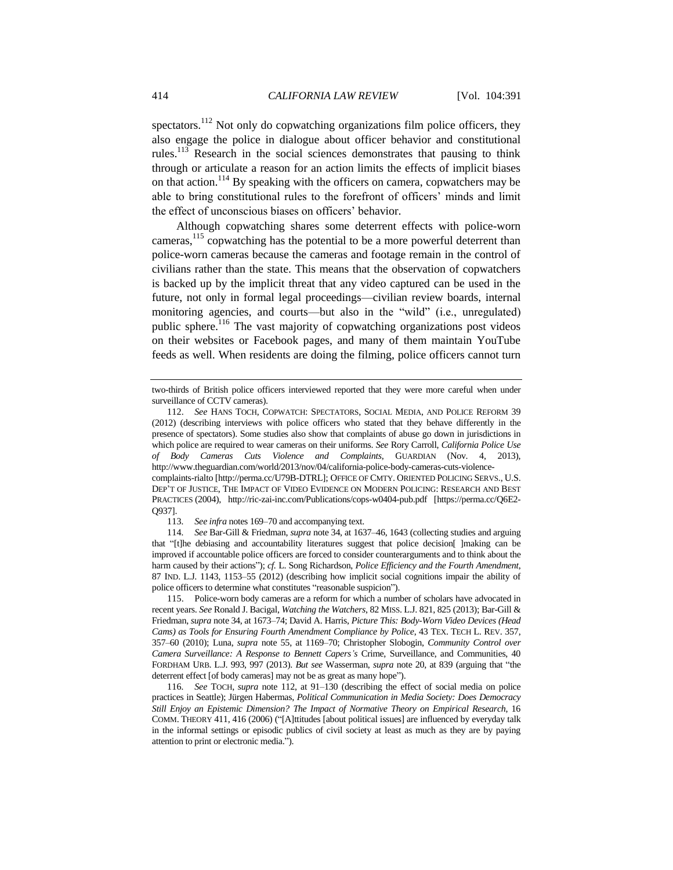<span id="page-23-0"></span>spectators.<sup>112</sup> Not only do copwatching organizations film police officers, they also engage the police in dialogue about officer behavior and constitutional rules.<sup>113</sup> Research in the social sciences demonstrates that pausing to think through or articulate a reason for an action limits the effects of implicit biases on that action.<sup>114</sup> By speaking with the officers on camera, copwatchers may be able to bring constitutional rules to the forefront of officers' minds and limit the effect of unconscious biases on officers' behavior.

Although copwatching shares some deterrent effects with police-worn cameras,<sup>115</sup> copwatching has the potential to be a more powerful deterrent than police-worn cameras because the cameras and footage remain in the control of civilians rather than the state. This means that the observation of copwatchers is backed up by the implicit threat that any video captured can be used in the future, not only in formal legal proceedings—civilian review boards, internal monitoring agencies, and courts—but also in the "wild" (i.e., unregulated) public sphere.<sup>116</sup> The vast majority of copwatching organizations post videos on their websites or Facebook pages, and many of them maintain YouTube feeds as well. When residents are doing the filming, police officers cannot turn

complaints-rialto [http://perma.cc/U79B-DTRL]; OFFICE OF CMTY. ORIENTED POLICING SERVS., U.S. DEP'T OF JUSTICE, THE IMPACT OF VIDEO EVIDENCE ON MODERN POLICING: RESEARCH AND BEST PRACTICES (2004), http://ric-zai-inc.com/Publications/cops-w0404-pub.pdf [https://perma.cc/Q6E2- Q937].

113*. See infra* notes 169–70 and accompanying text.

114*. See* Bar-Gill & Friedman, *supra* not[e 34,](#page-9-2) at 1637–46, 1643 (collecting studies and arguing that "[t]he debiasing and accountability literatures suggest that police decision[ ]making can be improved if accountable police officers are forced to consider counterarguments and to think about the harm caused by their actions"); *cf.* L. Song Richardson, *Police Efficiency and the Fourth Amendment*, 87 IND. L.J. 1143, 1153–55 (2012) (describing how implicit social cognitions impair the ability of police officers to determine what constitutes "reasonable suspicion").

115. Police-worn body cameras are a reform for which a number of scholars have advocated in recent years. *See* Ronald J. Bacigal, *Watching the Watchers*, 82 MISS. L.J. 821, 825 (2013); Bar-Gill & Friedman, *supra* not[e 34,](#page-9-2) at 1673–74; David A. Harris, *Picture This: Body-Worn Video Devices (Head Cams) as Tools for Ensuring Fourth Amendment Compliance by Police*, 43 TEX. TECH L. REV. 357, 357–60 (2010); Luna, *supra* note [55,](#page-12-0) at 1169–70; Christopher Slobogin, *Community Control over Camera Surveillance: A Response to Bennett Capers's* Crime, Surveillance, and Communities, 40 FORDHAM URB. L.J. 993, 997 (2013). *But see* Wasserman, *supra* note [20,](#page-5-1) at 839 (arguing that "the deterrent effect [of body cameras] may not be as great as many hope").

116*. See* TOCH, *supra* note [112,](#page-23-0) at 91–130 (describing the effect of social media on police practices in Seattle); Jürgen Habermas, *Political Communication in Media Society: Does Democracy Still Enjoy an Epistemic Dimension? The Impact of Normative Theory on Empirical Research*, 16 COMM. THEORY 411, 416 (2006) ("[A]ttitudes [about political issues] are influenced by everyday talk in the informal settings or episodic publics of civil society at least as much as they are by paying attention to print or electronic media.").

two-thirds of British police officers interviewed reported that they were more careful when under surveillance of CCTV cameras).

<sup>112.</sup> *See* HANS TOCH, COPWATCH: SPECTATORS, SOCIAL MEDIA, AND POLICE REFORM 39 (2012) (describing interviews with police officers who stated that they behave differently in the presence of spectators). Some studies also show that complaints of abuse go down in jurisdictions in which police are required to wear cameras on their uniforms. *See* Rory Carroll, *California Police Use of Body Cameras Cuts Violence and Complaints*, GUARDIAN (Nov. 4, 2013), http://www.theguardian.com/world/2013/nov/04/california-police-body-cameras-cuts-violence-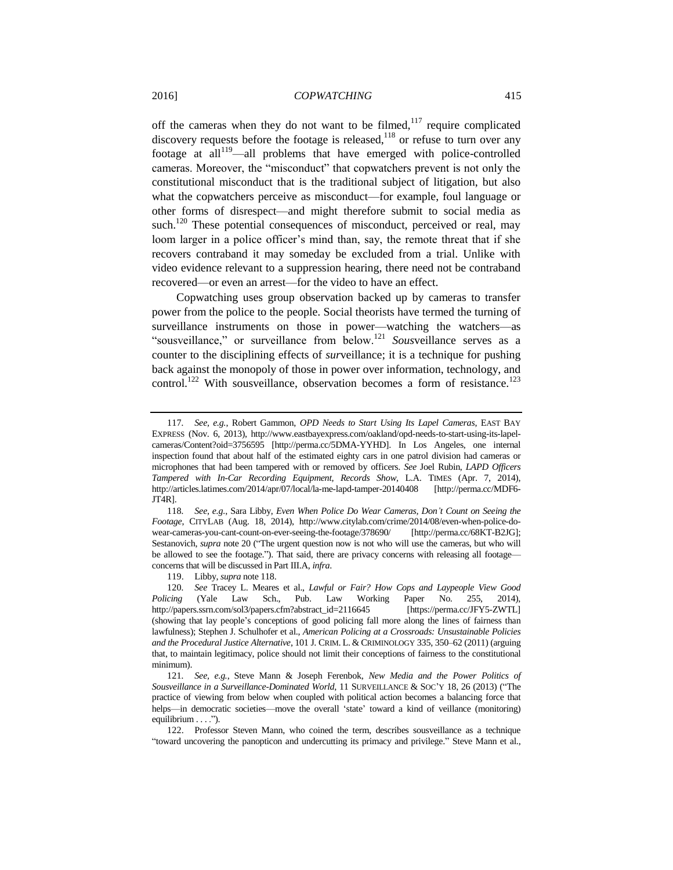<span id="page-24-0"></span>off the cameras when they do not want to be filmed,<sup>117</sup> require complicated discovery requests before the footage is released, $118$  or refuse to turn over any footage at all<sup>119</sup>—all problems that have emerged with police-controlled cameras. Moreover, the "misconduct" that copwatchers prevent is not only the constitutional misconduct that is the traditional subject of litigation, but also what the copwatchers perceive as misconduct—for example, foul language or other forms of disrespect—and might therefore submit to social media as such.<sup>120</sup> These potential consequences of misconduct, perceived or real, may loom larger in a police officer's mind than, say, the remote threat that if she recovers contraband it may someday be excluded from a trial. Unlike with video evidence relevant to a suppression hearing, there need not be contraband recovered—or even an arrest—for the video to have an effect.

<span id="page-24-2"></span>Copwatching uses group observation backed up by cameras to transfer power from the police to the people. Social theorists have termed the turning of surveillance instruments on those in power—watching the watchers—as "sousveillance," or surveillance from below.<sup>121</sup> *Sous*veillance serves as a counter to the disciplining effects of *sur*veillance; it is a technique for pushing back against the monopoly of those in power over information, technology, and control.<sup>122</sup> With sousveillance, observation becomes a form of resistance.<sup>123</sup>

119. Libby, *supra* not[e 118.](#page-24-0)

<span id="page-24-1"></span><sup>117</sup>*. See, e.g.*, Robert Gammon, *OPD Needs to Start Using Its Lapel Cameras*, EAST BAY EXPRESS (Nov. 6, 2013), http://www.eastbayexpress.com/oakland/opd-needs-to-start-using-its-lapelcameras/Content?oid=3756595 [http://perma.cc/5DMA-YYHD]. In Los Angeles, one internal inspection found that about half of the estimated eighty cars in one patrol division had cameras or microphones that had been tampered with or removed by officers. *See* Joel Rubin, *LAPD Officers Tampered with In-Car Recording Equipment, Records Show*, L.A. TIMES (Apr. 7, 2014), http://articles.latimes.com/2014/apr/07/local/la-me-lapd-tamper-20140408 [http://perma.cc/MDF6- JT4R].

<sup>118</sup>*. See, e.g.*, Sara Libby, *Even When Police Do Wear Cameras, Don't Count on Seeing the Footage*, CITYLAB (Aug. 18, 2014), http://www.citylab.com/crime/2014/08/even-when-police-dowear-cameras-you-cant-count-on-ever-seeing-the-footage/378690/ [http://perma.cc/68KT-B2JG]; Sestanovich, *supra* note [20](#page-5-1) ("The urgent question now is not who will use the cameras, but who will be allowed to see the footage."). That said, there are privacy concerns with releasing all footageconcerns that will be discussed in Part III.A, *infra*.

<sup>120</sup>*. See* Tracey L. Meares et al., *Lawful or Fair? How Cops and Laypeople View Good Policing* (Yale Law Sch., Pub. Law Working Paper No. 255, 2014), http://papers.ssrn.com/sol3/papers.cfm?abstract\_id=2116645 [https://perma.cc/JFY5-ZWTL] http://papers.ssrn.com/sol3/papers.cfm?abstract\_id=2116645 (showing that lay people's conceptions of good policing fall more along the lines of fairness than lawfulness); Stephen J. Schulhofer et al., *American Policing at a Crossroads: Unsustainable Policies and the Procedural Justice Alternative*, 101 J. CRIM. L. & CRIMINOLOGY 335, 350–62 (2011) (arguing that, to maintain legitimacy, police should not limit their conceptions of fairness to the constitutional minimum).

<sup>121</sup>*. See, e.g.*, Steve Mann & Joseph Ferenbok, *New Media and the Power Politics of Sousveillance in a Surveillance-Dominated World*, 11 SURVEILLANCE & SOC'Y 18, 26 (2013) ("The practice of viewing from below when coupled with political action becomes a balancing force that helps—in democratic societies—move the overall 'state' toward a kind of veillance (monitoring) equilibrium . . . .").

<sup>122.</sup> Professor Steven Mann, who coined the term, describes sousveillance as a technique "toward uncovering the panopticon and undercutting its primacy and privilege." Steve Mann et al.,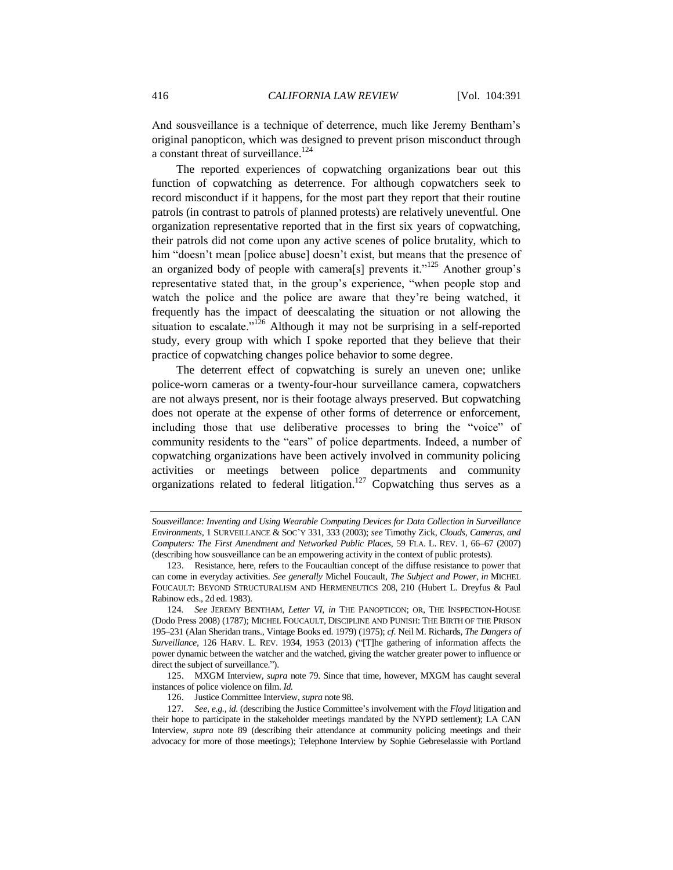And sousveillance is a technique of deterrence, much like Jeremy Bentham's original panopticon, which was designed to prevent prison misconduct through a constant threat of surveillance.<sup>124</sup>

<span id="page-25-0"></span>The reported experiences of copwatching organizations bear out this function of copwatching as deterrence. For although copwatchers seek to record misconduct if it happens, for the most part they report that their routine patrols (in contrast to patrols of planned protests) are relatively uneventful. One organization representative reported that in the first six years of copwatching, their patrols did not come upon any active scenes of police brutality, which to him "doesn't mean [police abuse] doesn't exist, but means that the presence of an organized body of people with camera<sup>[s]</sup> prevents it.<sup>"125</sup> Another group's representative stated that, in the group's experience, "when people stop and watch the police and the police are aware that they're being watched, it frequently has the impact of deescalating the situation or not allowing the situation to escalate."<sup>126</sup> Although it may not be surprising in a self-reported study, every group with which I spoke reported that they believe that their practice of copwatching changes police behavior to some degree.

The deterrent effect of copwatching is surely an uneven one; unlike police-worn cameras or a twenty-four-hour surveillance camera, copwatchers are not always present, nor is their footage always preserved. But copwatching does not operate at the expense of other forms of deterrence or enforcement, including those that use deliberative processes to bring the "voice" of community residents to the "ears" of police departments. Indeed, a number of copwatching organizations have been actively involved in community policing activities or meetings between police departments and community organizations related to federal litigation.<sup>127</sup> Copwatching thus serves as a

*Sousveillance: Inventing and Using Wearable Computing Devices for Data Collection in Surveillance Environments*, 1 SURVEILLANCE & SOC'Y 331, 333 (2003); *see* Timothy Zick, *Clouds, Cameras, and Computers: The First Amendment and Networked Public Places*, 59 FLA. L. REV. 1, 66–67 (2007) (describing how sousveillance can be an empowering activity in the context of public protests).

<sup>123.</sup> Resistance, here, refers to the Foucaultian concept of the diffuse resistance to power that can come in everyday activities. *See generally* Michel Foucault, *The Subject and Power*, *in* MICHEL FOUCAULT: BEYOND STRUCTURALISM AND HERMENEUTICS 208, 210 (Hubert L. Dreyfus & Paul Rabinow eds., 2d ed. 1983).

<sup>124</sup>*. See* JEREMY BENTHAM, *Letter VI*, *in* THE PANOPTICON; OR, THE INSPECTION-HOUSE (Dodo Press 2008) (1787); MICHEL FOUCAULT, DISCIPLINE AND PUNISH: THE BIRTH OF THE PRISON 195–231 (Alan Sheridan trans., Vintage Books ed. 1979) (1975); *cf.* Neil M. Richards, *The Dangers of Surveillance*, 126 HARV. L. REV. 1934, 1953 (2013) ("[T]he gathering of information affects the power dynamic between the watcher and the watched, giving the watcher greater power to influence or direct the subject of surveillance.").

<sup>125.</sup> MXGM Interview, *supra* note [79.](#page-18-1) Since that time, however, MXGM has caught several instances of police violence on film. *Id.*

<sup>126.</sup> Justice Committee Interview, *supra* not[e 98.](#page-20-0)

<sup>127</sup>*. See*, *e.g.*, *id.* (describing the Justice Committee's involvement with the *Floyd* litigation and their hope to participate in the stakeholder meetings mandated by the NYPD settlement); LA CAN Interview, *supra* note [89](#page-19-0) (describing their attendance at community policing meetings and their advocacy for more of those meetings); Telephone Interview by Sophie Gebreselassie with Portland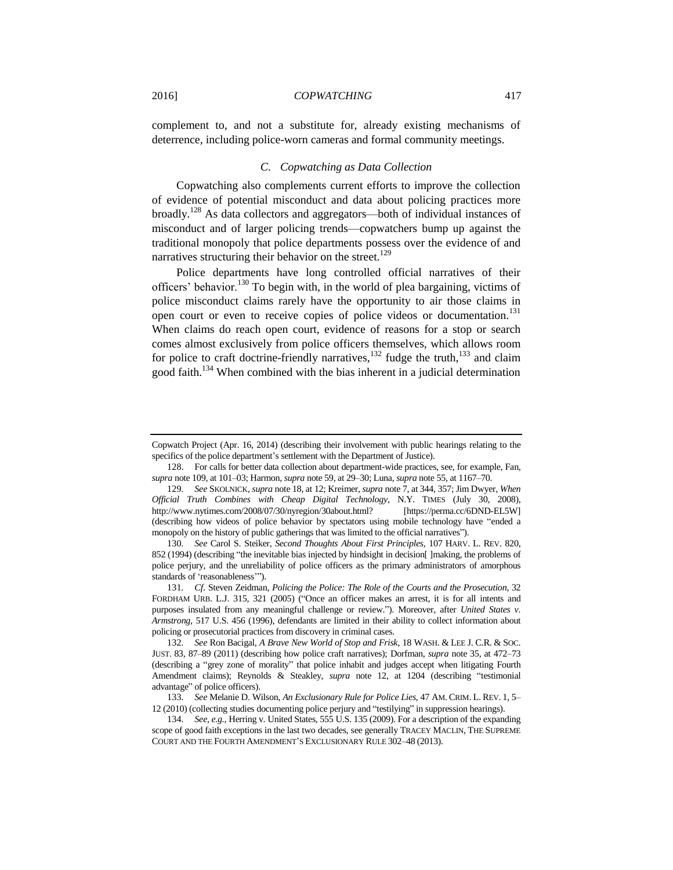complement to, and not a substitute for, already existing mechanisms of deterrence, including police-worn cameras and formal community meetings.

#### <span id="page-26-3"></span><span id="page-26-1"></span><span id="page-26-0"></span>*C. Copwatching as Data Collection*

Copwatching also complements current efforts to improve the collection of evidence of potential misconduct and data about policing practices more broadly.<sup>128</sup> As data collectors and aggregators—both of individual instances of misconduct and of larger policing trends—copwatchers bump up against the traditional monopoly that police departments possess over the evidence of and narratives structuring their behavior on the street.<sup>129</sup>

<span id="page-26-2"></span>Police departments have long controlled official narratives of their officers' behavior.<sup>130</sup> To begin with, in the world of plea bargaining, victims of police misconduct claims rarely have the opportunity to air those claims in open court or even to receive copies of police videos or documentation.<sup>131</sup> When claims do reach open court, evidence of reasons for a stop or search comes almost exclusively from police officers themselves, which allows room for police to craft doctrine-friendly narratives,  $^{132}$  fudge the truth,  $^{133}$  and claim good faith.<sup>134</sup> When combined with the bias inherent in a judicial determination

Copwatch Project (Apr. 16, 2014) (describing their involvement with public hearings relating to the specifics of the police department's settlement with the Department of Justice).

<sup>128.</sup> For calls for better data collection about department-wide practices, see, for example, Fan, *supra* not[e 109,](#page-22-0) at 101–03; Harmon, *supra* not[e 59,](#page-13-1) at 29–30; Luna, *supra* not[e 55,](#page-12-0) at 1167–70.

<sup>129</sup>*. See* SKOLNICK, *supra* not[e 18,](#page-4-0) at 12; Kreimer, *supra* not[e 7,](#page-2-0) at 344, 357; Jim Dwyer, *When Official Truth Combines with Cheap Digital Technology*, N.Y. TIMES (July 30, 2008), http://www.nytimes.com/2008/07/30/nyregion/30about.html? [https://perma.cc/6DND-EL5W] (describing how videos of police behavior by spectators using mobile technology have "ended a monopoly on the history of public gatherings that was limited to the official narratives").

<sup>130</sup>*. See* Carol S. Steiker, *Second Thoughts About First Principles*, 107 HARV. L. REV. 820, 852 (1994) (describing "the inevitable bias injected by hindsight in decision [ ]making, the problems of police perjury, and the unreliability of police officers as the primary administrators of amorphous standards of 'reasonableness'").

<sup>131</sup>*. Cf.* Steven Zeidman, *Policing the Police: The Role of the Courts and the Prosecution*, 32 FORDHAM URB. L.J. 315, 321 (2005) ("Once an officer makes an arrest, it is for all intents and purposes insulated from any meaningful challenge or review."). Moreover, after *United States v. Armstrong*, 517 U.S. 456 (1996), defendants are limited in their ability to collect information about policing or prosecutorial practices from discovery in criminal cases.

<sup>132</sup>*. See* Ron Bacigal, *A Brave New World of Stop and Frisk*, 18 WASH. & LEE J. C.R. & SOC. JUST. 83, 87–89 (2011) (describing how police craft narratives); Dorfman, *supra* not[e 35,](#page-9-3) at 472–73 (describing a "grey zone of morality" that police inhabit and judges accept when litigating Fourth Amendment claims); Reynolds & Steakley, *supra* note [12,](#page-3-3) at 1204 (describing "testimonial advantage" of police officers).

<sup>133</sup>*. See* Melanie D. Wilson, *An Exclusionary Rule for Police Lies*, 47 AM. CRIM. L. REV. 1, 5– 12 (2010) (collecting studies documenting police perjury and "testilying" in suppression hearings).

<sup>134</sup>*. See, e.g.*, Herring v. United States, 555 U.S. 135 (2009). For a description of the expanding scope of good faith exceptions in the last two decades, see generally TRACEY MACLIN, THE SUPREME COURT AND THE FOURTH AMENDMENT'S EXCLUSIONARY RULE 302–48 (2013).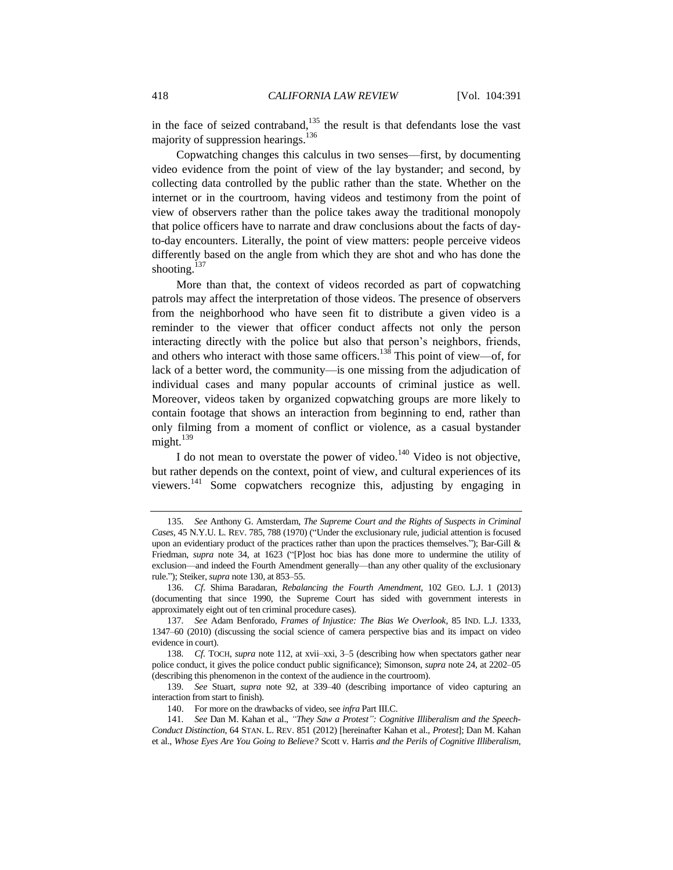<span id="page-27-0"></span>in the face of seized contraband, $135$  the result is that defendants lose the vast majority of suppression hearings.<sup>136</sup>

Copwatching changes this calculus in two senses—first, by documenting video evidence from the point of view of the lay bystander; and second, by collecting data controlled by the public rather than the state. Whether on the internet or in the courtroom, having videos and testimony from the point of view of observers rather than the police takes away the traditional monopoly that police officers have to narrate and draw conclusions about the facts of dayto-day encounters. Literally, the point of view matters: people perceive videos differently based on the angle from which they are shot and who has done the shooting. $137$ 

<span id="page-27-2"></span>More than that, the context of videos recorded as part of copwatching patrols may affect the interpretation of those videos. The presence of observers from the neighborhood who have seen fit to distribute a given video is a reminder to the viewer that officer conduct affects not only the person interacting directly with the police but also that person's neighbors, friends, and others who interact with those same officers.<sup>138</sup> This point of view—of, for lack of a better word, the community—is one missing from the adjudication of individual cases and many popular accounts of criminal justice as well. Moreover, videos taken by organized copwatching groups are more likely to contain footage that shows an interaction from beginning to end, rather than only filming from a moment of conflict or violence, as a casual bystander might. $139$ 

<span id="page-27-1"></span>I do not mean to overstate the power of video. $140$  Video is not objective, but rather depends on the context, point of view, and cultural experiences of its viewers.<sup>141</sup> Some copwatchers recognize this, adjusting by engaging in

<sup>135</sup>*. See* Anthony G. Amsterdam, *The Supreme Court and the Rights of Suspects in Criminal Cases*, 45 N.Y.U. L. REV. 785, 788 (1970) ("Under the exclusionary rule, judicial attention is focused upon an evidentiary product of the practices rather than upon the practices themselves."); Bar-Gill & Friedman, *supra* note [34,](#page-9-2) at 1623 ("[P]ost hoc bias has done more to undermine the utility of exclusion—and indeed the Fourth Amendment generally—than any other quality of the exclusionary rule."); Steiker, *supra* not[e 130,](#page-26-2) at 853–55.

<sup>136</sup>*. Cf.* Shima Baradaran, *Rebalancing the Fourth Amendment*, 102 GEO. L.J. 1 (2013) (documenting that since 1990, the Supreme Court has sided with government interests in approximately eight out of ten criminal procedure cases).

<sup>137</sup>*. See* Adam Benforado, *Frames of Injustice: The Bias We Overlook*, 85 IND. L.J. 1333, 1347–60 (2010) (discussing the social science of camera perspective bias and its impact on video evidence in court).

<sup>138</sup>*. Cf.* TOCH, *supra* note [112,](#page-23-0) at xvii–xxi, 3–5 (describing how when spectators gather near police conduct, it gives the police conduct public significance); Simonson, *supra* not[e 24,](#page-6-0) at 2202–05 (describing this phenomenon in the context of the audience in the courtroom).

<sup>139</sup>*. See* Stuart, *supra* note [92,](#page-19-2) at 339–40 (describing importance of video capturing an interaction from start to finish).

<sup>140.</sup> For more on the drawbacks of video, see *infra* Part III.C.

<sup>141</sup>*. See* Dan M. Kahan et al., *"They Saw a Protest": Cognitive Illiberalism and the Speech-Conduct Distinction*, 64 STAN. L. REV. 851 (2012) [hereinafter Kahan et al., *Protest*]; Dan M. Kahan et al., *Whose Eyes Are You Going to Believe?* Scott v. Harris *and the Perils of Cognitive Illiberalism*,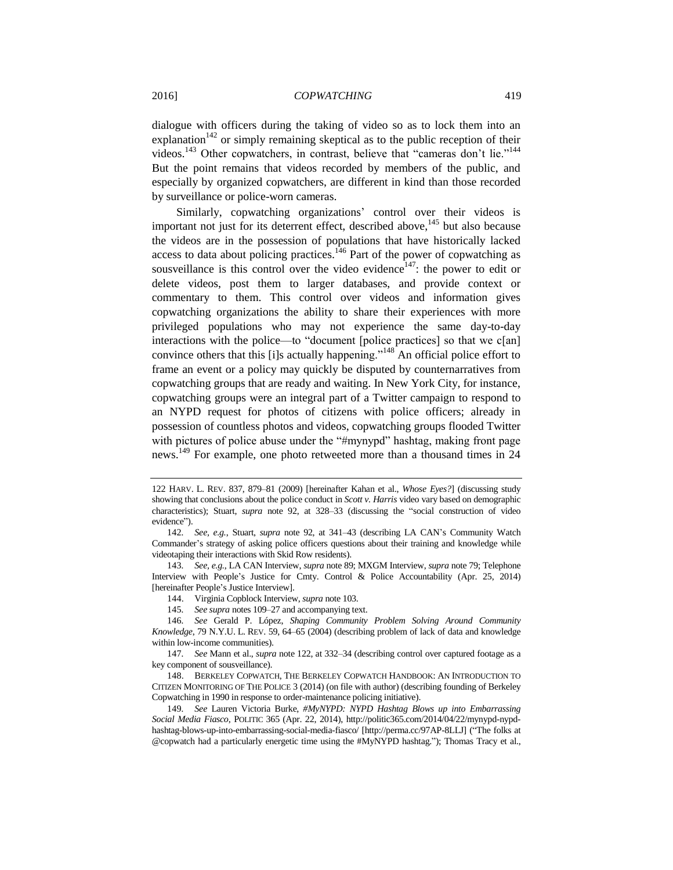<span id="page-28-0"></span>dialogue with officers during the taking of video so as to lock them into an explanation<sup>142</sup> or simply remaining skeptical as to the public reception of their videos.<sup>143</sup> Other copwatchers, in contrast, believe that "cameras don't lie."<sup>144</sup> But the point remains that videos recorded by members of the public, and especially by organized copwatchers, are different in kind than those recorded by surveillance or police-worn cameras.

Similarly, copwatching organizations' control over their videos is important not just for its deterrent effect, described above,  $145$  but also because the videos are in the possession of populations that have historically lacked access to data about policing practices.<sup>146</sup> Part of the power of copwatching as sousveillance is this control over the video evidence<sup>147</sup>: the power to edit or delete videos, post them to larger databases, and provide context or commentary to them. This control over videos and information gives copwatching organizations the ability to share their experiences with more privileged populations who may not experience the same day-to-day interactions with the police—to "document [police practices] so that we c[an] convince others that this [i]s actually happening."<sup>148</sup> An official police effort to frame an event or a policy may quickly be disputed by counternarratives from copwatching groups that are ready and waiting. In New York City, for instance, copwatching groups were an integral part of a Twitter campaign to respond to an NYPD request for photos of citizens with police officers; already in possession of countless photos and videos, copwatching groups flooded Twitter with pictures of police abuse under the "#mynypd" hashtag, making front page news.<sup>149</sup> For example, one photo retweeted more than a thousand times in 24

<sup>122</sup> HARV. L. REV. 837, 879–81 (2009) [hereinafter Kahan et al., *Whose Eyes?*] (discussing study showing that conclusions about the police conduct in *Scott v. Harris* video vary based on demographic characteristics); Stuart, *supra* note [92,](#page-19-2) at 328–33 (discussing the "social construction of video evidence").

<sup>142</sup>*. See, e.g.*, Stuart, *supra* note [92,](#page-19-2) at 341–43 (describing LA CAN's Community Watch Commander's strategy of asking police officers questions about their training and knowledge while videotaping their interactions with Skid Row residents).

<sup>143</sup>*. See, e.g.*, LA CAN Interview, *supra* not[e 89;](#page-19-0) MXGM Interview, *supra* not[e 79;](#page-18-1) Telephone Interview with People's Justice for Cmty. Control & Police Accountability (Apr. 25, 2014) [hereinafter People's Justice Interview].

<sup>144.</sup> Virginia Copblock Interview, *supra* not[e 103.](#page-21-0)

<sup>145</sup>*. See supra* notes 109–27 and accompanying text.

<sup>146</sup>*. See* Gerald P. López, *Shaping Community Problem Solving Around Community Knowledge*, 79 N.Y.U. L. REV. 59, 64–65 (2004) (describing problem of lack of data and knowledge within low-income communities).

<sup>147</sup>*. See* Mann et al., *supra* not[e 122,](#page-24-1) at 332–34 (describing control over captured footage as a key component of sousveillance).

<sup>148.</sup> BERKELEY COPWATCH, THE BERKELEY COPWATCH HANDBOOK: AN INTRODUCTION TO CITIZEN MONITORING OF THE POLICE 3 (2014) (on file with author) (describing founding of Berkeley Copwatching in 1990 in response to order-maintenance policing initiative).

<sup>149</sup>*. See* Lauren Victoria Burke, *#MyNYPD: NYPD Hashtag Blows up into Embarrassing Social Media Fiasco*, POLITIC 365 (Apr. 22, 2014), http://politic365.com/2014/04/22/mynypd-nypdhashtag-blows-up-into-embarrassing-social-media-fiasco/ [http://perma.cc/97AP-8LLJ] ("The folks at @copwatch had a particularly energetic time using the #MyNYPD hashtag."); Thomas Tracy et al.,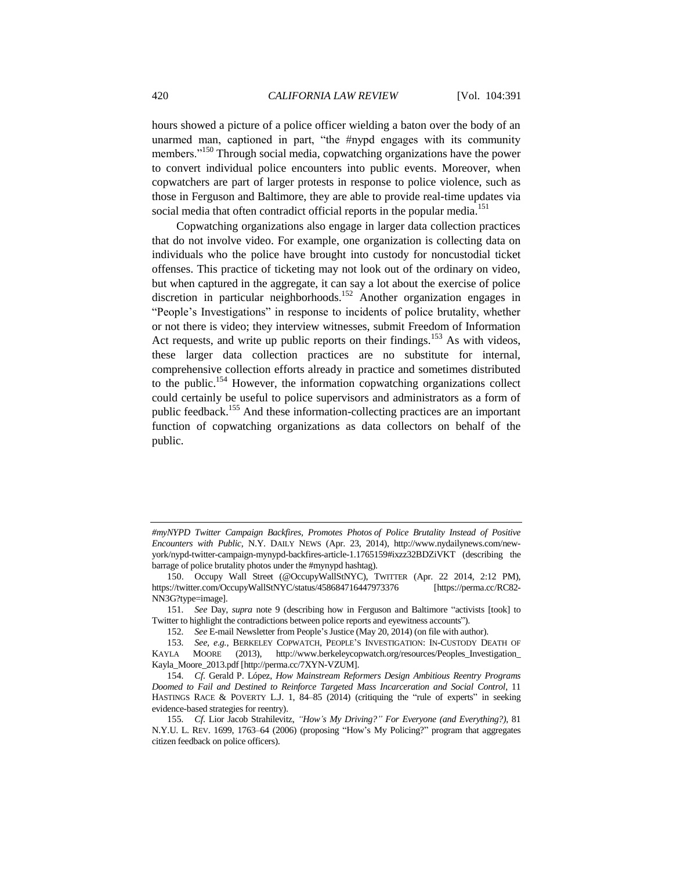hours showed a picture of a police officer wielding a baton over the body of an unarmed man, captioned in part, "the #nypd engages with its community members."<sup>150</sup> Through social media, copwatching organizations have the power to convert individual police encounters into public events. Moreover, when copwatchers are part of larger protests in response to police violence, such as those in Ferguson and Baltimore, they are able to provide real-time updates via social media that often contradict official reports in the popular media.<sup>151</sup>

Copwatching organizations also engage in larger data collection practices that do not involve video. For example, one organization is collecting data on individuals who the police have brought into custody for noncustodial ticket offenses. This practice of ticketing may not look out of the ordinary on video, but when captured in the aggregate, it can say a lot about the exercise of police discretion in particular neighborhoods. <sup>152</sup> Another organization engages in "People's Investigations" in response to incidents of police brutality, whether or not there is video; they interview witnesses, submit Freedom of Information Act requests, and write up public reports on their findings.<sup>153</sup> As with videos, these larger data collection practices are no substitute for internal, comprehensive collection efforts already in practice and sometimes distributed to the public.<sup>154</sup> However, the information copwatching organizations collect could certainly be useful to police supervisors and administrators as a form of public feedback.<sup>155</sup> And these information-collecting practices are an important function of copwatching organizations as data collectors on behalf of the public.

*<sup>#</sup>myNYPD Twitter Campaign Backfires, Promotes Photos of Police Brutality Instead of Positive Encounters with Public*, N.Y. DAILY NEWS (Apr. 23, 2014), http://www.nydailynews.com/newyork/nypd-twitter-campaign-mynypd-backfires-article-1.1765159#ixzz32BDZiVKT (describing the barrage of police brutality photos under the #mynypd hashtag).

<sup>150.</sup> Occupy Wall Street (@OccupyWallStNYC), TWITTER (Apr. 22 2014, 2:12 PM), https://twitter.com/OccupyWallStNYC/status/458684716447973376 [https://perma.cc/RC82- NN3G?type=image].

<sup>151</sup>*. See* Day, *supra* note [9](#page-3-2) (describing how in Ferguson and Baltimore "activists [took] to Twitter to highlight the contradictions between police reports and eyewitness accounts").

<sup>152</sup>*. See* E-mail Newsletter from People's Justice (May 20, 2014) (on file with author).

<sup>153</sup>*. See, e.g.*, BERKELEY COPWATCH, PEOPLE'S INVESTIGATION: IN-CUSTODY DEATH OF KAYLA MOORE (2013), http://www.berkeleycopwatch.org/resources/Peoples\_Investigation\_ Kayla\_Moore\_2013.pdf [http://perma.cc/7XYN-VZUM].

<sup>154</sup>*. Cf.* Gerald P. López, *How Mainstream Reformers Design Ambitious Reentry Programs Doomed to Fail and Destined to Reinforce Targeted Mass Incarceration and Social Control*, 11 HASTINGS RACE & POVERTY L.J. 1, 84–85 (2014) (critiquing the "rule of experts" in seeking evidence-based strategies for reentry).

<sup>155</sup>*. Cf.* Lior Jacob Strahilevitz, *"How's My Driving?" For Everyone (and Everything?)*, 81 N.Y.U. L. REV. 1699, 1763–64 (2006) (proposing "How's My Policing?" program that aggregates citizen feedback on police officers).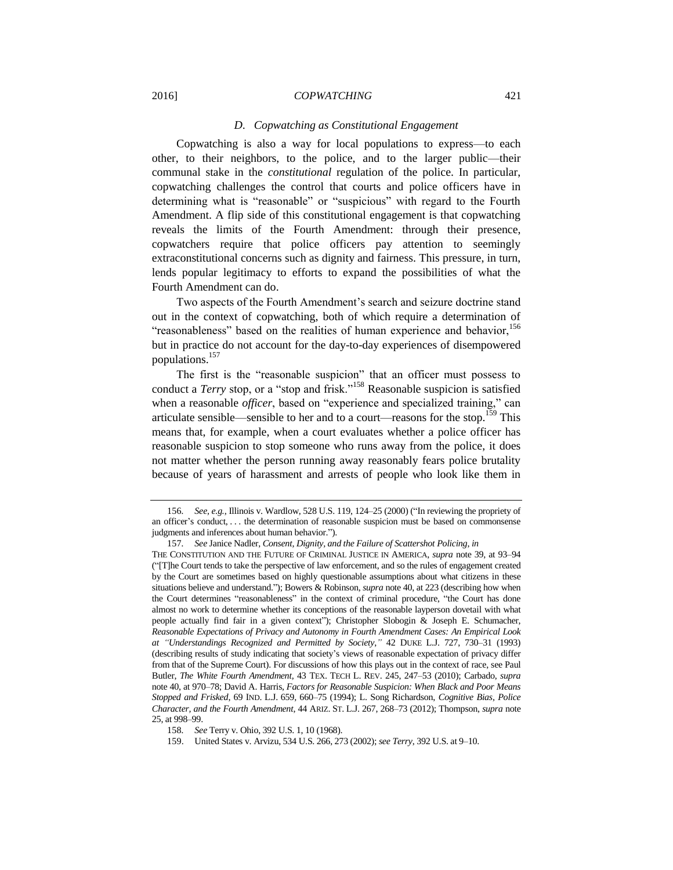#### *D. Copwatching as Constitutional Engagement*

Copwatching is also a way for local populations to express—to each other, to their neighbors, to the police, and to the larger public—their communal stake in the *constitutional* regulation of the police. In particular, copwatching challenges the control that courts and police officers have in determining what is "reasonable" or "suspicious" with regard to the Fourth Amendment. A flip side of this constitutional engagement is that copwatching reveals the limits of the Fourth Amendment: through their presence, copwatchers require that police officers pay attention to seemingly extraconstitutional concerns such as dignity and fairness. This pressure, in turn, lends popular legitimacy to efforts to expand the possibilities of what the Fourth Amendment can do.

Two aspects of the Fourth Amendment's search and seizure doctrine stand out in the context of copwatching, both of which require a determination of "reasonableness" based on the realities of human experience and behavior,<sup>156</sup> but in practice do not account for the day-to-day experiences of disempowered populations.<sup>157</sup>

<span id="page-30-0"></span>The first is the "reasonable suspicion" that an officer must possess to conduct a *Terry* stop, or a "stop and frisk."<sup>158</sup> Reasonable suspicion is satisfied when a reasonable *officer*, based on "experience and specialized training," can articulate sensible—sensible to her and to a court—reasons for the stop.<sup>159</sup> This means that, for example, when a court evaluates whether a police officer has reasonable suspicion to stop someone who runs away from the police, it does not matter whether the person running away reasonably fears police brutality because of years of harassment and arrests of people who look like them in

<sup>156</sup>*. See, e.g.*, Illinois v. Wardlow, 528 U.S. 119, 124–25 (2000) ("In reviewing the propriety of an officer's conduct, . . . the determination of reasonable suspicion must be based on commonsense judgments and inferences about human behavior.").

<sup>157</sup>*. See* Janice Nadler, *Consent, Dignity, and the Failure of Scattershot Policing*, *in*

THE CONSTITUTION AND THE FUTURE OF CRIMINAL JUSTICE IN AMERICA, *supra* not[e 39,](#page-9-0) at 93–94 ("[T]he Court tends to take the perspective of law enforcement, and so the rules of engagement created by the Court are sometimes based on highly questionable assumptions about what citizens in these situations believe and understand."); Bowers & Robinson, *supra* not[e 40,](#page-9-1) at 223 (describing how when the Court determines "reasonableness" in the context of criminal procedure, "the Court has done almost no work to determine whether its conceptions of the reasonable layperson dovetail with what people actually find fair in a given context"); Christopher Slobogin & Joseph E. Schumacher, *Reasonable Expectations of Privacy and Autonomy in Fourth Amendment Cases: An Empirical Look at "Understandings Recognized and Permitted by Society*,*"* 42 DUKE L.J. 727, 730–31 (1993) (describing results of study indicating that society's views of reasonable expectation of privacy differ from that of the Supreme Court). For discussions of how this plays out in the context of race, see Paul Butler, *The White Fourth Amendment,* 43 TEX. TECH L. REV. 245, 247–53 (2010); Carbado, *supra*  not[e 40,](#page-9-1) at 970–78; David A. Harris, *Factors for Reasonable Suspicion: When Black and Poor Means Stopped and Frisked*, 69 IND. L.J. 659, 660–75 (1994); L. Song Richardson, *Cognitive Bias, Police Character, and the Fourth Amendment*, 44 ARIZ. ST. L.J. 267, 268–73 (2012); Thompson, *supra* note [25,](#page-7-3) at 998–99.

<sup>158</sup>*. See* Terry v. Ohio, 392 U.S. 1, 10 (1968).

<sup>159.</sup> United States v. Arvizu, 534 U.S. 266, 273 (2002); *see Terry*, 392 U.S. at 9–10.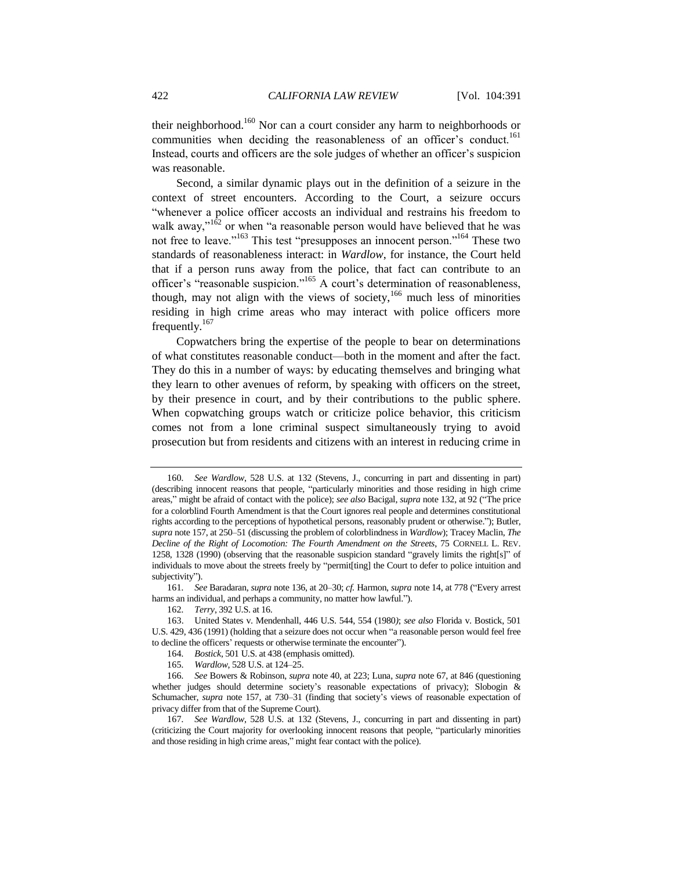<span id="page-31-0"></span>their neighborhood.<sup>160</sup> Nor can a court consider any harm to neighborhoods or communities when deciding the reasonableness of an officer's conduct.<sup>161</sup> Instead, courts and officers are the sole judges of whether an officer's suspicion was reasonable.

Second, a similar dynamic plays out in the definition of a seizure in the context of street encounters. According to the Court, a seizure occurs "whenever a police officer accosts an individual and restrains his freedom to walk away," $162$  or when "a reasonable person would have believed that he was not free to leave."<sup>163</sup> This test "presupposes an innocent person."<sup>164</sup> These two standards of reasonableness interact: in *Wardlow*, for instance, the Court held that if a person runs away from the police, that fact can contribute to an officer's "reasonable suspicion."<sup>165</sup> A court's determination of reasonableness, though, may not align with the views of society,<sup>166</sup> much less of minorities residing in high crime areas who may interact with police officers more frequently.<sup>167</sup>

Copwatchers bring the expertise of the people to bear on determinations of what constitutes reasonable conduct—both in the moment and after the fact. They do this in a number of ways: by educating themselves and bringing what they learn to other avenues of reform, by speaking with officers on the street, by their presence in court, and by their contributions to the public sphere. When copwatching groups watch or criticize police behavior, this criticism comes not from a lone criminal suspect simultaneously trying to avoid prosecution but from residents and citizens with an interest in reducing crime in

<sup>160</sup>*. See Wardlow*, 528 U.S. at 132 (Stevens, J., concurring in part and dissenting in part) (describing innocent reasons that people, "particularly minorities and those residing in high crime areas," might be afraid of contact with the police); *see also* Bacigal, *supra* not[e 132,](#page-26-3) at 92 ("The price for a colorblind Fourth Amendment is that the Court ignores real people and determines constitutional rights according to the perceptions of hypothetical persons, reasonably prudent or otherwise."); Butler, *supra* not[e 157,](#page-30-0) at 250–51 (discussing the problem of colorblindness in *Wardlow*); Tracey Maclin, *The Decline of the Right of Locomotion: The Fourth Amendment on the Streets*, 75 CORNELL L. REV. 1258, 1328 (1990) (observing that the reasonable suspicion standard "gravely limits the right[s]" of individuals to move about the streets freely by "permit[ting] the Court to defer to police intuition and subjectivity").

<sup>161</sup>*. See* Baradaran, *supra* not[e 136,](#page-27-0) at 20–30; *cf.* Harmon, *supra* not[e 14,](#page-4-1) at 778 ("Every arrest harms an individual, and perhaps a community, no matter how lawful.").

<sup>162</sup>*. Terry*, 392 U.S. at 16.

<sup>163.</sup> United States v. Mendenhall, 446 U.S. 544, 554 (1980*)*; *see also* Florida v. Bostick, 501 U.S. 429, 436 (1991) (holding that a seizure does not occur when "a reasonable person would feel free to decline the officers' requests or otherwise terminate the encounter").

<sup>164</sup>*. Bostick*, 501 U.S. at 438 (emphasis omitted).

<sup>165</sup>*. Wardlow*, 528 U.S. at 124–25.

<sup>166</sup>*. See* Bowers & Robinson, *supra* not[e 40,](#page-9-1) at 223; Luna, *supra* not[e 67,](#page-15-0) at 846 (questioning whether judges should determine society's reasonable expectations of privacy); Slobogin & Schumacher, *supra* note [157,](#page-30-0) at 730–31 (finding that society's views of reasonable expectation of privacy differ from that of the Supreme Court).

<sup>167</sup>*. See Wardlow*, 528 U.S. at 132 (Stevens, J., concurring in part and dissenting in part) (criticizing the Court majority for overlooking innocent reasons that people, "particularly minorities and those residing in high crime areas," might fear contact with the police).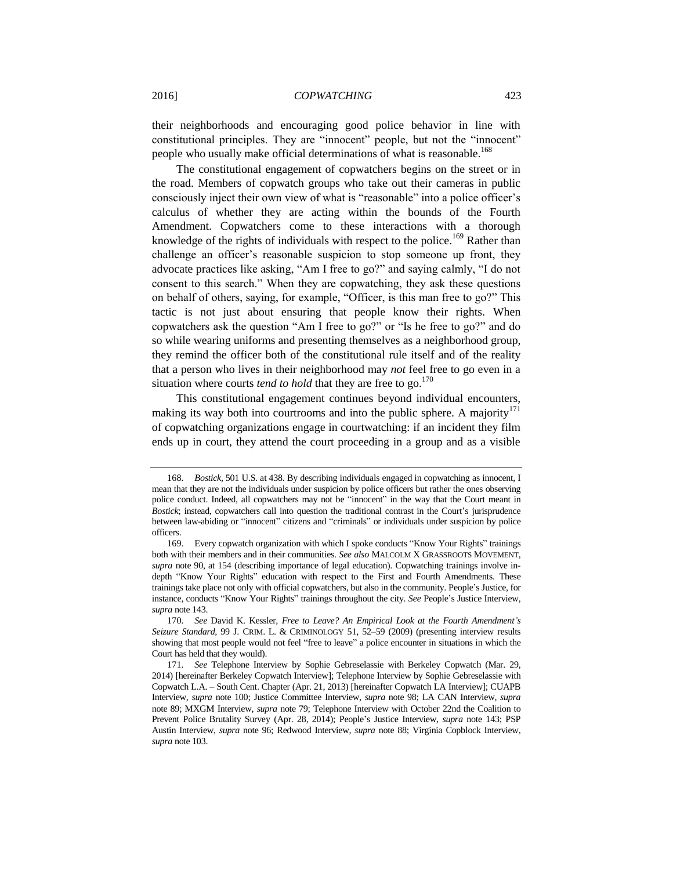their neighborhoods and encouraging good police behavior in line with constitutional principles. They are "innocent" people, but not the "innocent" people who usually make official determinations of what is reasonable.<sup>168</sup>

The constitutional engagement of copwatchers begins on the street or in the road. Members of copwatch groups who take out their cameras in public consciously inject their own view of what is "reasonable" into a police officer's calculus of whether they are acting within the bounds of the Fourth Amendment. Copwatchers come to these interactions with a thorough knowledge of the rights of individuals with respect to the police.<sup>169</sup> Rather than challenge an officer's reasonable suspicion to stop someone up front, they advocate practices like asking, "Am I free to go?" and saying calmly, "I do not consent to this search." When they are copwatching, they ask these questions on behalf of others, saying, for example, "Officer, is this man free to go?" This tactic is not just about ensuring that people know their rights. When copwatchers ask the question "Am I free to go?" or "Is he free to go?" and do so while wearing uniforms and presenting themselves as a neighborhood group, they remind the officer both of the constitutional rule itself and of the reality that a person who lives in their neighborhood may *not* feel free to go even in a situation where courts *tend to hold* that they are free to go.<sup>170</sup>

<span id="page-32-0"></span>This constitutional engagement continues beyond individual encounters, making its way both into courtrooms and into the public sphere. A majority<sup>171</sup> of copwatching organizations engage in courtwatching: if an incident they film ends up in court, they attend the court proceeding in a group and as a visible

<sup>168</sup>*. Bostick*, 501 U.S. at 438. By describing individuals engaged in copwatching as innocent, I mean that they are not the individuals under suspicion by police officers but rather the ones observing police conduct. Indeed, all copwatchers may not be "innocent" in the way that the Court meant in *Bostick*; instead, copwatchers call into question the traditional contrast in the Court's jurisprudence between law-abiding or "innocent" citizens and "criminals" or individuals under suspicion by police officers.

<sup>169.</sup> Every copwatch organization with which I spoke conducts "Know Your Rights" trainings both with their members and in their communities. *See also* MALCOLM X GRASSROOTS MOVEMENT, *supra* not[e 90,](#page-19-3) at 154 (describing importance of legal education). Copwatching trainings involve indepth "Know Your Rights" education with respect to the First and Fourth Amendments. These trainings take place not only with official copwatchers, but also in the community. People's Justice, for instance, conducts "Know Your Rights" trainings throughout the city. *See* People's Justice Interview, *supra* not[e 143.](#page-28-0)

<sup>170</sup>*. See* David K. Kessler, *Free to Leave? An Empirical Look at the Fourth Amendment's Seizure Standard*, 99 J. CRIM. L. & CRIMINOLOGY 51, 52–59 (2009) (presenting interview results showing that most people would not feel "free to leave" a police encounter in situations in which the Court has held that they would).

<sup>171</sup>*. See* Telephone Interview by Sophie Gebreselassie with Berkeley Copwatch (Mar. 29, 2014) [hereinafter Berkeley Copwatch Interview]; Telephone Interview by Sophie Gebreselassie with Copwatch L.A. – South Cent. Chapter (Apr. 21, 2013) [hereinafter Copwatch LA Interview]; CUAPB Interview, *supra* note [100;](#page-21-1) Justice Committee Interview, *supra* note [98;](#page-20-0) LA CAN Interview, *supra*  note [89;](#page-19-0) MXGM Interview, *supra* note [79;](#page-18-1) Telephone Interview with October 22nd the Coalition to Prevent Police Brutality Survey (Apr. 28, 2014); People's Justice Interview, *supra* note [143;](#page-28-0) PSP Austin Interview, *supra* note [96;](#page-20-1) Redwood Interview, *supra* note [88;](#page-19-1) Virginia Copblock Interview, *supra* not[e 103.](#page-21-0)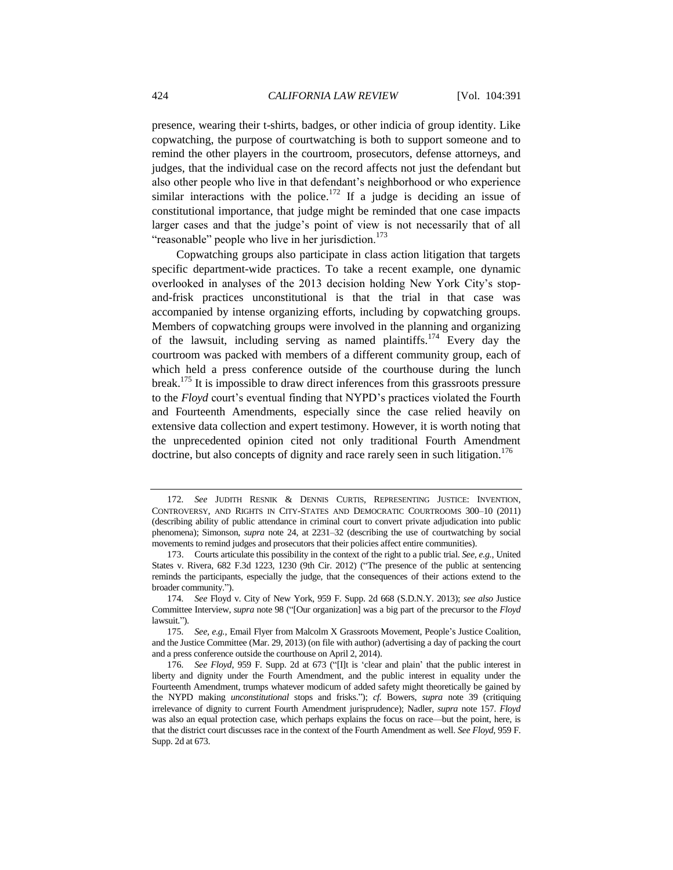presence, wearing their t-shirts, badges, or other indicia of group identity. Like copwatching, the purpose of courtwatching is both to support someone and to remind the other players in the courtroom, prosecutors, defense attorneys, and judges, that the individual case on the record affects not just the defendant but also other people who live in that defendant's neighborhood or who experience similar interactions with the police.<sup>172</sup> If a judge is deciding an issue of constitutional importance, that judge might be reminded that one case impacts larger cases and that the judge's point of view is not necessarily that of all "reasonable" people who live in her jurisdiction.<sup>173</sup>

Copwatching groups also participate in class action litigation that targets specific department-wide practices. To take a recent example, one dynamic overlooked in analyses of the 2013 decision holding New York City's stopand-frisk practices unconstitutional is that the trial in that case was accompanied by intense organizing efforts, including by copwatching groups. Members of copwatching groups were involved in the planning and organizing of the lawsuit, including serving as named plaintiffs.<sup>174</sup> Every day the courtroom was packed with members of a different community group, each of which held a press conference outside of the courthouse during the lunch break.<sup>175</sup> It is impossible to draw direct inferences from this grassroots pressure to the *Floyd* court's eventual finding that NYPD's practices violated the Fourth and Fourteenth Amendments, especially since the case relied heavily on extensive data collection and expert testimony. However, it is worth noting that the unprecedented opinion cited not only traditional Fourth Amendment doctrine, but also concepts of dignity and race rarely seen in such litigation.<sup>176</sup>

<sup>172</sup>*. See* JUDITH RESNIK & DENNIS CURTIS, REPRESENTING JUSTICE: INVENTION, CONTROVERSY, AND RIGHTS IN CITY-STATES AND DEMOCRATIC COURTROOMS 300–10 (2011) (describing ability of public attendance in criminal court to convert private adjudication into public phenomena); Simonson, *supra* note [24,](#page-6-0) at 2231–32 (describing the use of courtwatching by social movements to remind judges and prosecutors that their policies affect entire communities).

<sup>173.</sup> Courts articulate this possibility in the context of the right to a public trial. *See, e.g.*, United States v. Rivera, 682 F.3d 1223, 1230 (9th Cir. 2012) ("The presence of the public at sentencing reminds the participants, especially the judge, that the consequences of their actions extend to the broader community.").

<sup>174</sup>*. See* Floyd v. City of New York, 959 F. Supp. 2d 668 (S.D.N.Y. 2013); *see also* Justice Committee Interview, *supra* note [98](#page-20-0) ("[Our organization] was a big part of the precursor to the *Floyd* lawsuit.").

<sup>175</sup>*. See, e.g.*, Email Flyer from Malcolm X Grassroots Movement, People's Justice Coalition, and the Justice Committee (Mar. 29, 2013) (on file with author) (advertising a day of packing the court and a press conference outside the courthouse on April 2, 2014).

<sup>176</sup>*. See Floyd*, 959 F. Supp. 2d at 673 ("[I]t is 'clear and plain' that the public interest in liberty and dignity under the Fourth Amendment, and the public interest in equality under the Fourteenth Amendment, trumps whatever modicum of added safety might theoretically be gained by the NYPD making *unconstitutional* stops and frisks."); *cf.* Bowers, *supra* note [39](#page-9-0) (critiquing irrelevance of dignity to current Fourth Amendment jurisprudence); Nadler, *supra* note [157.](#page-30-0) *Floyd*  was also an equal protection case, which perhaps explains the focus on race—but the point, here, is that the district court discusses race in the context of the Fourth Amendment as well. *See Floyd*, 959 F. Supp. 2d at 673.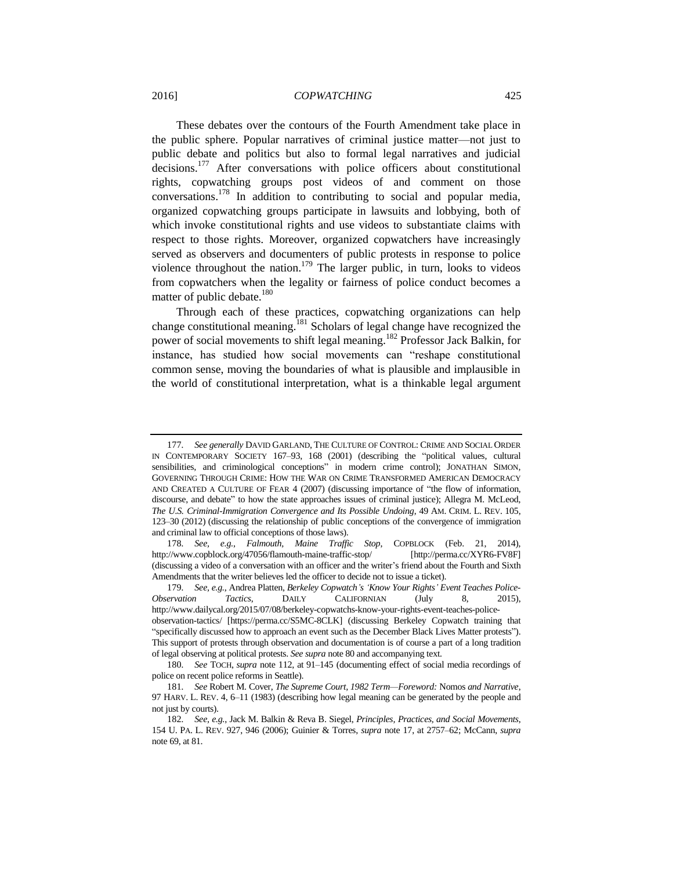These debates over the contours of the Fourth Amendment take place in the public sphere. Popular narratives of criminal justice matter—not just to public debate and politics but also to formal legal narratives and judicial decisions.<sup>177</sup> After conversations with police officers about constitutional rights, copwatching groups post videos of and comment on those conversations.<sup>178</sup> In addition to contributing to social and popular media, organized copwatching groups participate in lawsuits and lobbying, both of which invoke constitutional rights and use videos to substantiate claims with respect to those rights. Moreover, organized copwatchers have increasingly served as observers and documenters of public protests in response to police violence throughout the nation.<sup>179</sup> The larger public, in turn, looks to videos from copwatchers when the legality or fairness of police conduct becomes a matter of public debate.<sup>180</sup>

Through each of these practices, copwatching organizations can help change constitutional meaning.<sup>181</sup> Scholars of legal change have recognized the power of social movements to shift legal meaning.<sup>182</sup> Professor Jack Balkin, for instance, has studied how social movements can "reshape constitutional common sense, moving the boundaries of what is plausible and implausible in the world of constitutional interpretation, what is a thinkable legal argument

<sup>177</sup>*. See generally* DAVID GARLAND, THE CULTURE OF CONTROL: CRIME AND SOCIAL ORDER IN CONTEMPORARY SOCIETY 167–93, 168 (2001) (describing the "political values, cultural sensibilities, and criminological conceptions" in modern crime control); JONATHAN SIMON, GOVERNING THROUGH CRIME: HOW THE WAR ON CRIME TRANSFORMED AMERICAN DEMOCRACY AND CREATED A CULTURE OF FEAR 4 (2007) (discussing importance of "the flow of information, discourse, and debate" to how the state approaches issues of criminal justice); Allegra M. McLeod, *The U.S. Criminal-Immigration Convergence and Its Possible Undoing*, 49 AM. CRIM. L. REV. 105, 123–30 (2012) (discussing the relationship of public conceptions of the convergence of immigration and criminal law to official conceptions of those laws).

<sup>178</sup>*. See, e.g.*, *Falmouth, Maine Traffic Stop*, COPBLOCK (Feb. 21, 2014), http://www.copblock.org/47056/flamouth-maine-traffic-stop/ [http://perma.cc/XYR6-FV8F] (discussing a video of a conversation with an officer and the writer's friend about the Fourth and Sixth Amendments that the writer believes led the officer to decide not to issue a ticket).

<sup>179</sup>*. See, e.g.*, Andrea Platten, *Berkeley Copwatch's 'Know Your Rights' Event Teaches Police-Observation Tactics*, DAILY CALIFORNIAN (July 8, 2015), http://www.dailycal.org/2015/07/08/berkeley-copwatchs-know-your-rights-event-teaches-policeobservation-tactics/ [https://perma.cc/S5MC-8CLK] (discussing Berkeley Copwatch training that "specifically discussed how to approach an event such as the December Black Lives Matter protests"). This support of protests through observation and documentation is of course a part of a long tradition of legal observing at political protests. *See supra* not[e 80](#page-18-2) and accompanying text.

<sup>180</sup>*. See* TOCH, *supra* note [112,](#page-23-0) at 91–145 (documenting effect of social media recordings of police on recent police reforms in Seattle).

<sup>181</sup>*. See* Robert M. Cover, *The Supreme Court, 1982 Term—Foreword:* Nomos *and Narrative*, 97 HARV. L. REV. 4, 6–11 (1983) (describing how legal meaning can be generated by the people and not just by courts).

<sup>182</sup>*. See, e.g.*, Jack M. Balkin & Reva B. Siegel, *Principles, Practices, and Social Movements*, 154 U. PA. L. REV. 927, 946 (2006); Guinier & Torres, *supra* not[e 17,](#page-4-2) at 2757–62; McCann, *supra*  not[e 69,](#page-15-1) at 81.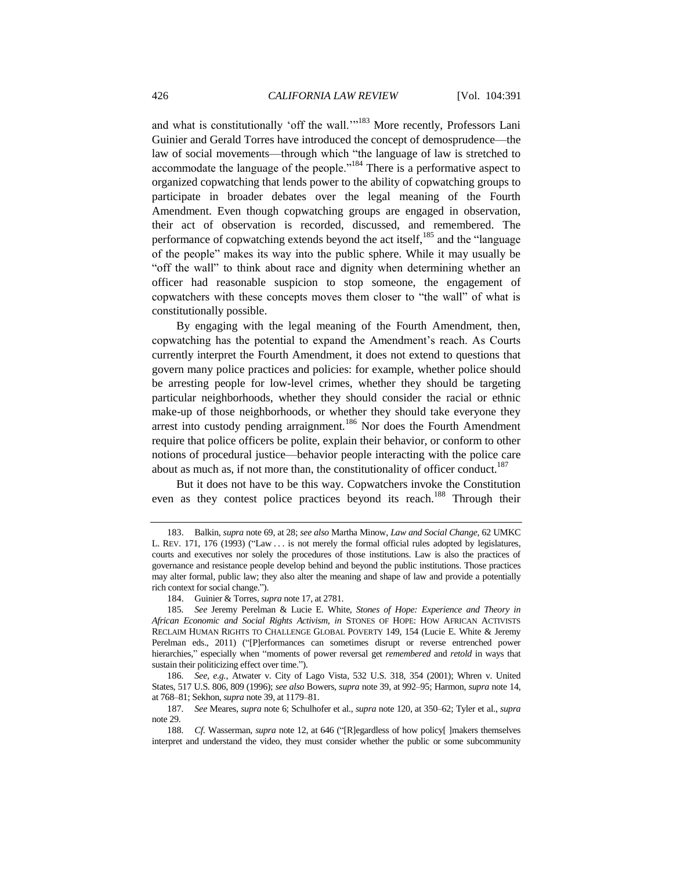and what is constitutionally 'off the wall.'<sup>183</sup> More recently, Professors Lani Guinier and Gerald Torres have introduced the concept of demosprudence—the law of social movements—through which "the language of law is stretched to accommodate the language of the people.<sup>184</sup> There is a performative aspect to organized copwatching that lends power to the ability of copwatching groups to participate in broader debates over the legal meaning of the Fourth Amendment. Even though copwatching groups are engaged in observation, their act of observation is recorded, discussed, and remembered. The performance of copwatching extends beyond the act itself,  $185$  and the "language" of the people" makes its way into the public sphere. While it may usually be "off the wall" to think about race and dignity when determining whether an officer had reasonable suspicion to stop someone, the engagement of copwatchers with these concepts moves them closer to "the wall" of what is constitutionally possible.

By engaging with the legal meaning of the Fourth Amendment, then, copwatching has the potential to expand the Amendment's reach. As Courts currently interpret the Fourth Amendment, it does not extend to questions that govern many police practices and policies: for example, whether police should be arresting people for low-level crimes, whether they should be targeting particular neighborhoods, whether they should consider the racial or ethnic make-up of those neighborhoods, or whether they should take everyone they arrest into custody pending arraignment.<sup>186</sup> Nor does the Fourth Amendment require that police officers be polite, explain their behavior, or conform to other notions of procedural justice—behavior people interacting with the police care about as much as, if not more than, the constitutionality of officer conduct.<sup>187</sup>

But it does not have to be this way. Copwatchers invoke the Constitution even as they contest police practices beyond its reach.<sup>188</sup> Through their

<sup>183.</sup> Balkin, *supra* not[e 69,](#page-15-1) at 28; *see also* Martha Minow, *Law and Social Change*, 62 UMKC L. REV. 171, 176 (1993) ("Law ... is not merely the formal official rules adopted by legislatures, courts and executives nor solely the procedures of those institutions. Law is also the practices of governance and resistance people develop behind and beyond the public institutions. Those practices may alter formal, public law; they also alter the meaning and shape of law and provide a potentially rich context for social change.").

<sup>184.</sup> Guinier & Torres, *supra* not[e 17,](#page-4-2) at 2781.

<sup>185</sup>*. See* Jeremy Perelman & Lucie E. White, *Stones of Hope: Experience and Theory in African Economic and Social Rights Activism*, *in* STONES OF HOPE: HOW AFRICAN ACTIVISTS RECLAIM HUMAN RIGHTS TO CHALLENGE GLOBAL POVERTY 149, 154 (Lucie E. White & Jeremy Perelman eds., 2011) ("[P]erformances can sometimes disrupt or reverse entrenched power hierarchies," especially when "moments of power reversal get *remembered* and *retold* in ways that sustain their politicizing effect over time.").

<sup>186</sup>*. See, e.g.*, Atwater v. City of Lago Vista, 532 U.S. 318, 354 (2001); Whren v. United States, 517 U.S. 806, 809 (1996); *see also* Bowers, *supra* not[e 39,](#page-9-0) at 992–95; Harmon, *supra* not[e 14,](#page-4-1)  at 768–81; Sekhon, *supra* not[e 39,](#page-9-0) at 1179–81.

<sup>187</sup>*. See* Meares, *supra* not[e 6;](#page-2-2) Schulhofer et al., *supra* note [120,](#page-24-2) at 350–62; Tyler et al., *supra*  not[e 29.](#page-7-4)

<sup>188</sup>*. Cf.* Wasserman, *supra* note [12,](#page-3-3) at 646 ("[R]egardless of how policy[ ]makers themselves interpret and understand the video, they must consider whether the public or some subcommunity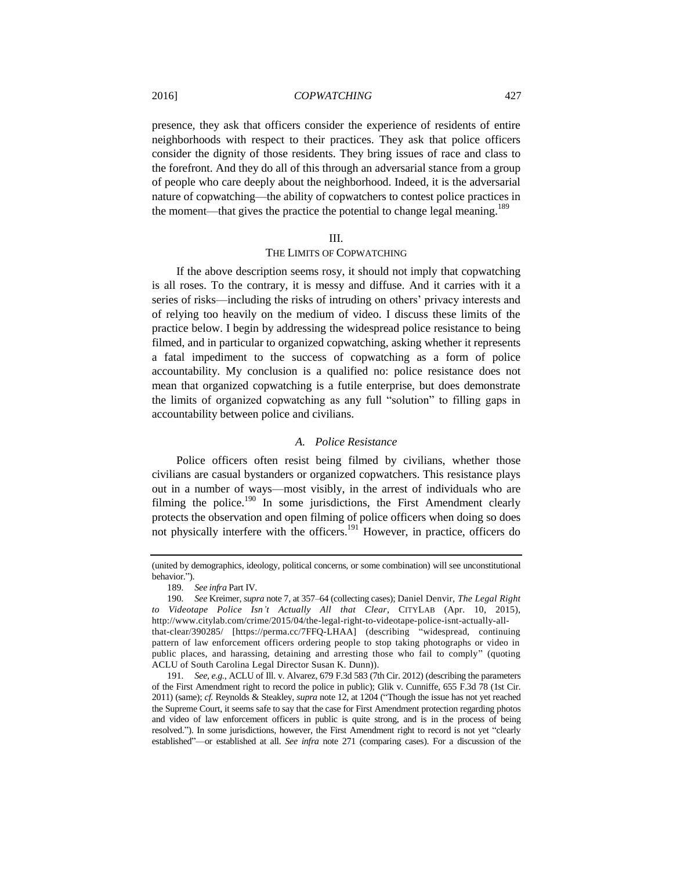presence, they ask that officers consider the experience of residents of entire neighborhoods with respect to their practices. They ask that police officers consider the dignity of those residents. They bring issues of race and class to the forefront. And they do all of this through an adversarial stance from a group of people who care deeply about the neighborhood. Indeed, it is the adversarial nature of copwatching—the ability of copwatchers to contest police practices in the moment—that gives the practice the potential to change legal meaning.<sup>189</sup>

#### III.

#### THE LIMITS OF COPWATCHING

If the above description seems rosy, it should not imply that copwatching is all roses. To the contrary, it is messy and diffuse. And it carries with it a series of risks—including the risks of intruding on others' privacy interests and of relying too heavily on the medium of video. I discuss these limits of the practice below. I begin by addressing the widespread police resistance to being filmed, and in particular to organized copwatching, asking whether it represents a fatal impediment to the success of copwatching as a form of police accountability. My conclusion is a qualified no: police resistance does not mean that organized copwatching is a futile enterprise, but does demonstrate the limits of organized copwatching as any full "solution" to filling gaps in accountability between police and civilians.

#### <span id="page-36-0"></span>*A. Police Resistance*

Police officers often resist being filmed by civilians, whether those civilians are casual bystanders or organized copwatchers. This resistance plays out in a number of ways—most visibly, in the arrest of individuals who are filming the police.<sup>190</sup> In some jurisdictions, the First Amendment clearly protects the observation and open filming of police officers when doing so does not physically interfere with the officers.<sup>191</sup> However, in practice, officers do

<sup>(</sup>united by demographics, ideology, political concerns, or some combination) will see unconstitutional behavior.").

<sup>189</sup>*. See infra* Part IV.

<sup>190</sup>*. See* Kreimer, *supra* not[e 7,](#page-2-0) at 357–64 (collecting cases); Daniel Denvir, *The Legal Right to Videotape Police Isn't Actually All that Clear*, CITYLAB (Apr. 10, 2015), http://www.citylab.com/crime/2015/04/the-legal-right-to-videotape-police-isnt-actually-allthat-clear/390285/ [https://perma.cc/7FFQ-LHAA] (describing "widespread, continuing pattern of law enforcement officers ordering people to stop taking photographs or video in public places, and harassing, detaining and arresting those who fail to comply" (quoting ACLU of South Carolina Legal Director Susan K. Dunn)).

<sup>191</sup>*. See, e.g.*, ACLU of Ill. v. Alvarez, 679 F.3d 583 (7th Cir. 2012) (describing the parameters of the First Amendment right to record the police in public); Glik v. Cunniffe, 655 F.3d 78 (1st Cir. 2011) (same); *cf.* Reynolds & Steakley, *supra* not[e 12,](#page-3-3) at 1204 ("Though the issue has not yet reached the Supreme Court, it seems safe to say that the case for First Amendment protection regarding photos and video of law enforcement officers in public is quite strong, and is in the process of being resolved."). In some jurisdictions, however, the First Amendment right to record is not yet "clearly established"—or established at all. *See infra* note [271](#page-51-0) (comparing cases). For a discussion of the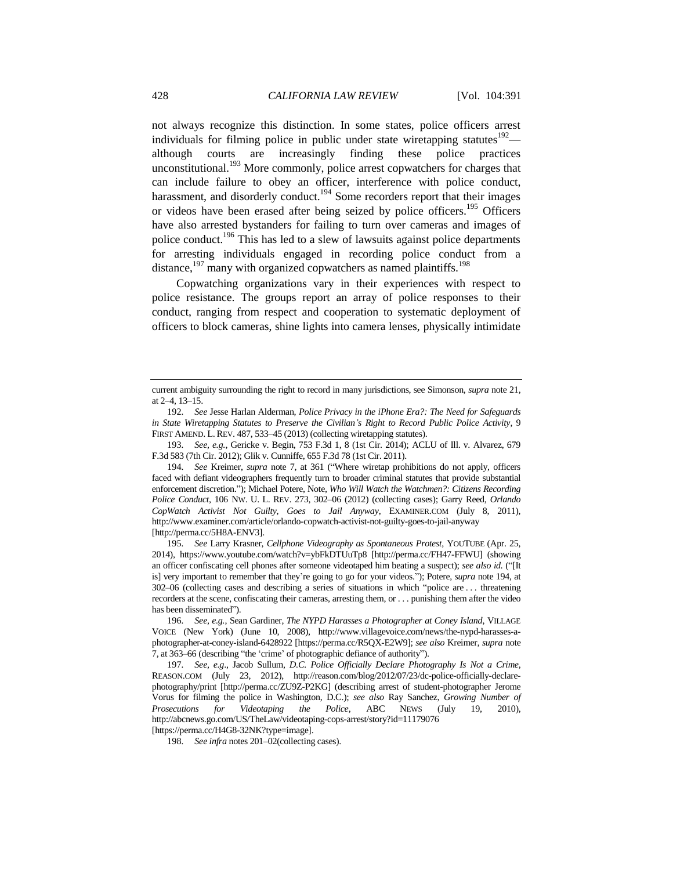<span id="page-37-0"></span>not always recognize this distinction. In some states, police officers arrest individuals for filming police in public under state wiretapping statutes<sup>192</sup> although courts are increasingly finding these police practices unconstitutional.<sup>193</sup> More commonly, police arrest copwatchers for charges that can include failure to obey an officer, interference with police conduct, harassment, and disorderly conduct.<sup>194</sup> Some recorders report that their images or videos have been erased after being seized by police officers.<sup>195</sup> Officers have also arrested bystanders for failing to turn over cameras and images of police conduct.<sup>196</sup> This has led to a slew of lawsuits against police departments for arresting individuals engaged in recording police conduct from a distance, $197$  many with organized copwatchers as named plaintiffs.<sup>198</sup>

Copwatching organizations vary in their experiences with respect to police resistance. The groups report an array of police responses to their conduct, ranging from respect and cooperation to systematic deployment of officers to block cameras, shine lights into camera lenses, physically intimidate

193*. See, e.g.*, Gericke v. Begin, 753 F.3d 1, 8 (1st Cir. 2014); ACLU of Ill. v. Alvarez, 679 F.3d 583 (7th Cir. 2012); Glik v. Cunniffe, 655 F.3d 78 (1st Cir. 2011).

195*. See* Larry Krasner, *Cellphone Videography as Spontaneous Protest*, YOUTUBE (Apr. 25, 2014), https://www.youtube.com/watch?v=ybFkDTUuTp8 [http://perma.cc/FH47-FFWU] (showing an officer confiscating cell phones after someone videotaped him beating a suspect); *see also id.* ("[It is] very important to remember that they're going to go for your videos."); Potere, *supra* not[e 194,](#page-37-0) at 302–06 (collecting cases and describing a series of situations in which "police are . . . threatening recorders at the scene, confiscating their cameras, arresting them, or . . . punishing them after the video has been disseminated").

198*. See infra* note[s 201–](#page-38-0)02(collecting cases).

current ambiguity surrounding the right to record in many jurisdictions, see Simonson, *supra* not[e 21,](#page-5-2)  at 2–4, 13–15.

<sup>192</sup>*. See* Jesse Harlan Alderman, *Police Privacy in the iPhone Era?: The Need for Safeguards in State Wiretapping Statutes to Preserve the Civilian's Right to Record Public Police Activity*, 9 FIRST AMEND. L. REV. 487, 533–45 (2013) (collecting wiretapping statutes).

<sup>194</sup>*. See* Kreimer, *supra* note [7,](#page-2-0) at 361 ("Where wiretap prohibitions do not apply, officers faced with defiant videographers frequently turn to broader criminal statutes that provide substantial enforcement discretion."); Michael Potere, Note, *Who Will Watch the Watchmen?: Citizens Recording Police Conduct*, 106 NW. U. L. REV. 273, 302–06 (2012) (collecting cases); Garry Reed, *Orlando CopWatch Activist Not Guilty, Goes to Jail Anyway*, EXAMINER.COM (July 8, 2011), http://www.examiner.com/article/orlando-copwatch-activist-not-guilty-goes-to-jail-anyway [http://perma.cc/5H8A-ENV3].

<sup>196</sup>*. See, e.g.*, Sean Gardiner, *The NYPD Harasses a Photographer at Coney Island*, VILLAGE VOICE (New York) (June 10, 2008), http://www.villagevoice.com/news/the-nypd-harasses-aphotographer-at-coney-island-6428922 [https://perma.cc/R5QX-E2W9]; *see also* Kreimer, *supra* note [7,](#page-2-0) at 363–66 (describing "the 'crime' of photographic defiance of authority").

<sup>197</sup>*. See, e.g*., Jacob Sullum, *D.C. Police Officially Declare Photography Is Not a Crime*, REASON.COM (July 23, 2012), http://reason.com/blog/2012/07/23/dc-police-officially-declarephotography/print [http://perma.cc/ZU9Z-P2KG] (describing arrest of student-photographer Jerome Vorus for filming the police in Washington, D.C.); *see also* Ray Sanchez, *Growing Number of Prosecutions for Videotaping the Police*, ABC NEWS (July 19, 2010), http://abcnews.go.com/US/TheLaw/videotaping-cops-arrest/story?id=11179076 [https://perma.cc/H4G8-32NK?type=image].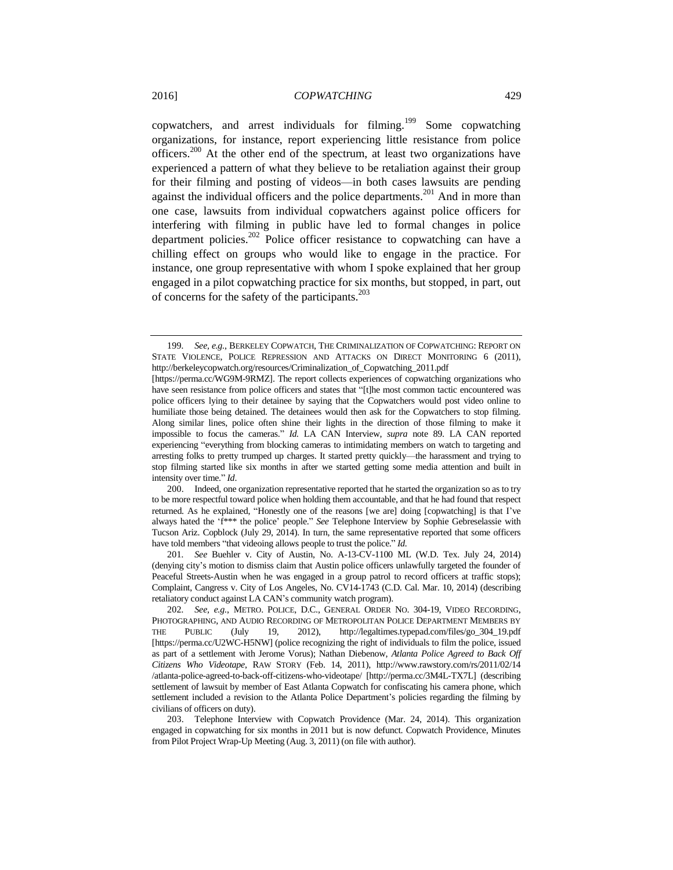<span id="page-38-0"></span>copwatchers, and arrest individuals for filming.<sup>199</sup> Some copwatching organizations, for instance, report experiencing little resistance from police officers.<sup>200</sup> At the other end of the spectrum, at least two organizations have experienced a pattern of what they believe to be retaliation against their group for their filming and posting of videos—in both cases lawsuits are pending against the individual officers and the police departments.<sup>201</sup> And in more than one case, lawsuits from individual copwatchers against police officers for interfering with filming in public have led to formal changes in police department policies.<sup>202</sup> Police officer resistance to copwatching can have a chilling effect on groups who would like to engage in the practice. For instance, one group representative with whom I spoke explained that her group engaged in a pilot copwatching practice for six months, but stopped, in part, out of concerns for the safety of the participants.<sup>203</sup>

200. Indeed, one organization representative reported that he started the organization so as to try to be more respectful toward police when holding them accountable, and that he had found that respect returned. As he explained, "Honestly one of the reasons [we are] doing [copwatching] is that I've always hated the 'f\*\*\* the police' people." *See* Telephone Interview by Sophie Gebreselassie with Tucson Ariz. Copblock (July 29, 2014). In turn, the same representative reported that some officers have told members "that videoing allows people to trust the police." *Id.*

201*. See* Buehler v. City of Austin, No. A-13-CV-1100 ML (W.D. Tex. July 24, 2014) (denying city's motion to dismiss claim that Austin police officers unlawfully targeted the founder of Peaceful Streets-Austin when he was engaged in a group patrol to record officers at traffic stops); Complaint, Cangress v. City of Los Angeles, No. CV14-1743 (C.D. Cal. Mar. 10, 2014) (describing retaliatory conduct against LA CAN's community watch program).

<sup>199</sup>*. See, e.g.*, BERKELEY COPWATCH, THE CRIMINALIZATION OF COPWATCHING: REPORT ON STATE VIOLENCE, POLICE REPRESSION AND ATTACKS ON DIRECT MONITORING 6 (2011), http://berkeleycopwatch.org/resources/Criminalization\_of\_Copwatching\_2011.pdf

<sup>[</sup>https://perma.cc/WG9M-9RMZ]. The report collects experiences of copwatching organizations who have seen resistance from police officers and states that "[t]he most common tactic encountered was police officers lying to their detainee by saying that the Copwatchers would post video online to humiliate those being detained. The detainees would then ask for the Copwatchers to stop filming. Along similar lines, police often shine their lights in the direction of those filming to make it impossible to focus the cameras." *Id.* LA CAN Interview, *supra* note [89.](#page-19-0) LA CAN reported experiencing "everything from blocking cameras to intimidating members on watch to targeting and arresting folks to pretty trumped up charges. It started pretty quickly—the harassment and trying to stop filming started like six months in after we started getting some media attention and built in intensity over time." *Id*.

<sup>202</sup>*. See, e.g.*, METRO. POLICE, D.C., GENERAL ORDER NO. 304-19, VIDEO RECORDING, PHOTOGRAPHING, AND AUDIO RECORDING OF METROPOLITAN POLICE DEPARTMENT MEMBERS BY THE PUBLIC (July 19, 2012), http://legaltimes.typepad.com/files/go\_304\_19.pdf [https://perma.cc/U2WC-H5NW] (police recognizing the right of individuals to film the police, issued as part of a settlement with Jerome Vorus); Nathan Diebenow, *Atlanta Police Agreed to Back Off Citizens Who Videotape*, RAW STORY (Feb. 14, 2011), http://www.rawstory.com/rs/2011/02/14 /atlanta-police-agreed-to-back-off-citizens-who-videotape/ [http://perma.cc/3M4L-TX7L] (describing settlement of lawsuit by member of East Atlanta Copwatch for confiscating his camera phone, which settlement included a revision to the Atlanta Police Department's policies regarding the filming by civilians of officers on duty).

<sup>203.</sup> Telephone Interview with Copwatch Providence (Mar. 24, 2014). This organization engaged in copwatching for six months in 2011 but is now defunct. Copwatch Providence, Minutes from Pilot Project Wrap-Up Meeting (Aug. 3, 2011) (on file with author).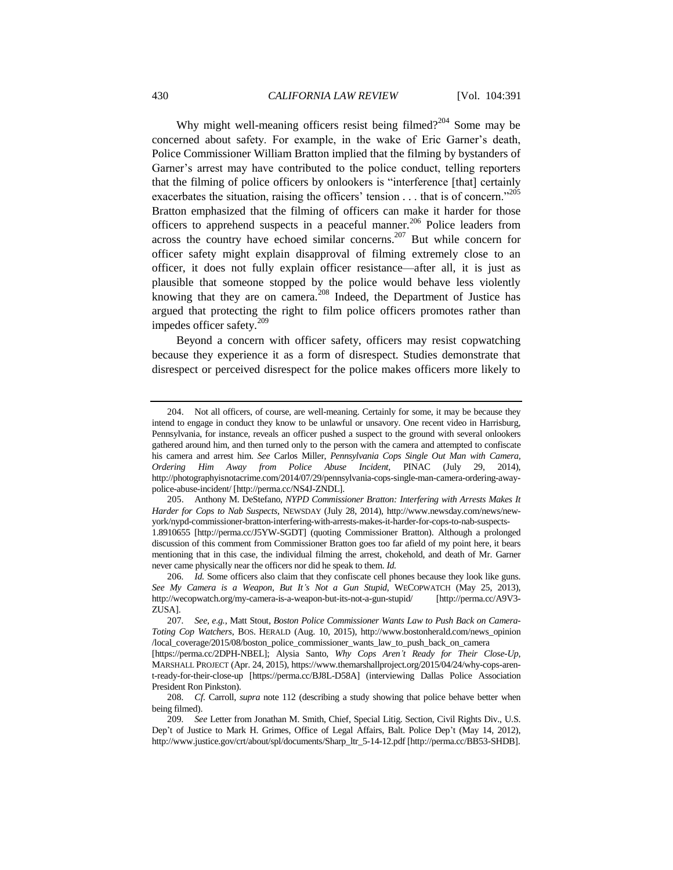Why might well-meaning officers resist being filmed?<sup>204</sup> Some may be concerned about safety. For example, in the wake of Eric Garner's death, Police Commissioner William Bratton implied that the filming by bystanders of Garner's arrest may have contributed to the police conduct, telling reporters that the filming of police officers by onlookers is "interference [that] certainly exacerbates the situation, raising the officers' tension  $\dots$  that is of concern.<sup>205</sup> Bratton emphasized that the filming of officers can make it harder for those officers to apprehend suspects in a peaceful manner.<sup>206</sup> Police leaders from across the country have echoed similar concerns.<sup>207</sup> But while concern for officer safety might explain disapproval of filming extremely close to an officer, it does not fully explain officer resistance—after all, it is just as plausible that someone stopped by the police would behave less violently knowing that they are on camera.<sup>208</sup> Indeed, the Department of Justice has argued that protecting the right to film police officers promotes rather than impedes officer safety. $209$ 

<span id="page-39-0"></span>Beyond a concern with officer safety, officers may resist copwatching because they experience it as a form of disrespect. Studies demonstrate that disrespect or perceived disrespect for the police makes officers more likely to

<sup>204.</sup> Not all officers, of course, are well-meaning. Certainly for some, it may be because they intend to engage in conduct they know to be unlawful or unsavory. One recent video in Harrisburg, Pennsylvania, for instance, reveals an officer pushed a suspect to the ground with several onlookers gathered around him, and then turned only to the person with the camera and attempted to confiscate his camera and arrest him. *See* Carlos Miller, *Pennsylvania Cops Single Out Man with Camera, Ordering Him Away from Police Abuse Incident*, PINAC (July 29, 2014), http://photographyisnotacrime.com/2014/07/29/pennsylvania-cops-single-man-camera-ordering-awaypolice-abuse-incident/ [http://perma.cc/NS4J-ZNDL].

<sup>205.</sup> Anthony M. DeStefano, *NYPD Commissioner Bratton: Interfering with Arrests Makes It Harder for Cops to Nab Suspects*, NEWSDAY (July 28, 2014), http://www.newsday.com/news/newyork/nypd-commissioner-bratton-interfering-with-arrests-makes-it-harder-for-cops-to-nab-suspects-1.8910655 [http://perma.cc/J5YW-SGDT] (quoting Commissioner Bratton). Although a prolonged

discussion of this comment from Commissioner Bratton goes too far afield of my point here, it bears mentioning that in this case, the individual filming the arrest, chokehold, and death of Mr. Garner never came physically near the officers nor did he speak to them. *Id.*

<sup>206</sup>*. Id.* Some officers also claim that they confiscate cell phones because they look like guns. *See My Camera is a Weapon, But It's Not a Gun Stupid*, WECOPWATCH (May 25, 2013), http://wecopwatch.org/my-camera-is-a-weapon-but-its-not-a-gun-stupid/ [http://perma.cc/A9V3- ZUSA].

<sup>207</sup>*. See, e.g.*, Matt Stout, *Boston Police Commissioner Wants Law to Push Back on Camera-Toting Cop Watchers*, BOS. HERALD (Aug. 10, 2015), http://www.bostonherald.com/news\_opinion /local\_coverage/2015/08/boston\_police\_commissioner\_wants\_law\_to\_push\_back\_on\_camera

<sup>[</sup>https://perma.cc/2DPH-NBEL]; Alysia Santo, *Why Cops Aren't Ready for Their Close-Up*, MARSHALL PROJECT (Apr. 24, 2015), https://www.themarshallproject.org/2015/04/24/why-cops-arent-ready-for-their-close-up [https://perma.cc/BJ8L-D58A] (interviewing Dallas Police Association President Ron Pinkston).

<sup>208</sup>*. Cf.* Carroll, *supra* note [112](#page-23-0) (describing a study showing that police behave better when being filmed).

<sup>209</sup>*. See* Letter from Jonathan M. Smith, Chief, Special Litig. Section, Civil Rights Div., U.S. Dep't of Justice to Mark H. Grimes, Office of Legal Affairs, Balt. Police Dep't (May 14, 2012), http://www.justice.gov/crt/about/spl/documents/Sharp\_ltr\_5-14-12.pdf [http://perma.cc/BB53-SHDB].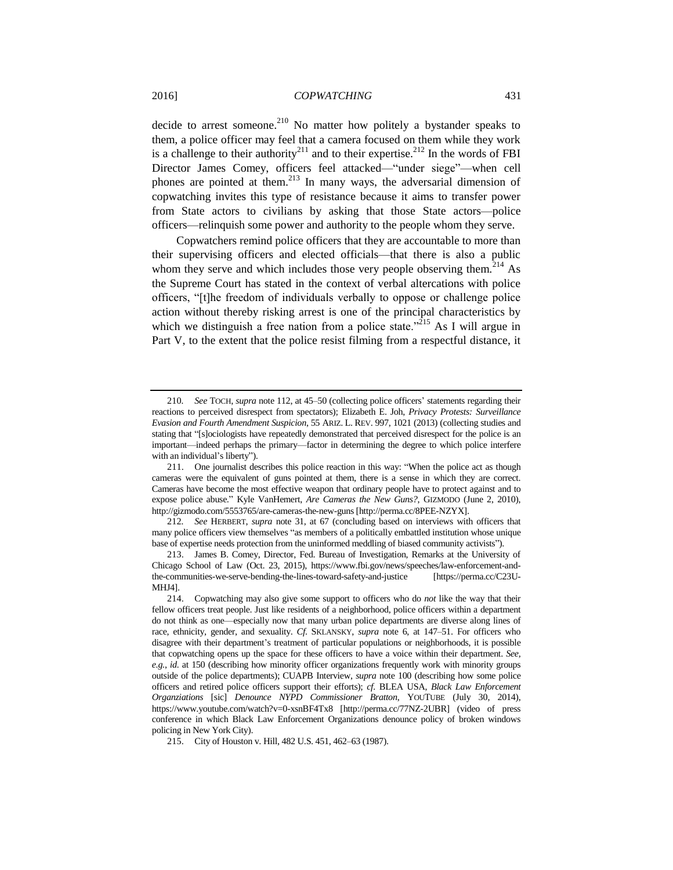<span id="page-40-0"></span>decide to arrest someone.<sup>210</sup> No matter how politely a bystander speaks to them, a police officer may feel that a camera focused on them while they work is a challenge to their authority<sup>211</sup> and to their expertise.<sup>212</sup> In the words of FBI Director James Comey, officers feel attacked—"under siege"—when cell phones are pointed at them. $^{213}$  In many ways, the adversarial dimension of copwatching invites this type of resistance because it aims to transfer power from State actors to civilians by asking that those State actors—police officers—relinquish some power and authority to the people whom they serve.

Copwatchers remind police officers that they are accountable to more than their supervising officers and elected officials—that there is also a public whom they serve and which includes those very people observing them.<sup>214</sup> As the Supreme Court has stated in the context of verbal altercations with police officers, "[t]he freedom of individuals verbally to oppose or challenge police action without thereby risking arrest is one of the principal characteristics by which we distinguish a free nation from a police state.<sup> $215$ </sup> As I will argue in Part V, to the extent that the police resist filming from a respectful distance, it

<sup>210</sup>*. See* TOCH, *supra* note [112,](#page-23-0) at 45–50 (collecting police officers' statements regarding their reactions to perceived disrespect from spectators); Elizabeth E. Joh, *Privacy Protests: Surveillance Evasion and Fourth Amendment Suspicion*, 55 ARIZ. L. REV. 997, 1021 (2013) (collecting studies and stating that "[s]ociologists have repeatedly demonstrated that perceived disrespect for the police is an important—indeed perhaps the primary—factor in determining the degree to which police interfere with an individual's liberty").

<sup>211.</sup> One journalist describes this police reaction in this way: "When the police act as though cameras were the equivalent of guns pointed at them, there is a sense in which they are correct. Cameras have become the most effective weapon that ordinary people have to protect against and to expose police abuse." Kyle VanHemert, *Are Cameras the New Guns?*, GIZMODO (June 2, 2010), http://gizmodo.com/5553765/are-cameras-the-new-guns [http://perma.cc/8PEE-NZYX].

<sup>212</sup>*. See* HERBERT, *supra* note [31,](#page-7-2) at 67 (concluding based on interviews with officers that many police officers view themselves "as members of a politically embattled institution whose unique base of expertise needs protection from the uninformed meddling of biased community activists").

<sup>213.</sup> James B. Comey, Director, Fed. Bureau of Investigation, Remarks at the University of Chicago School of Law (Oct. 23, 2015), https://www.fbi.gov/news/speeches/law-enforcement-andthe-communities-we-serve-bending-the-lines-toward-safety-and-justice [https://perma.cc/C23U-MHJ4].

<sup>214.</sup> Copwatching may also give some support to officers who do *not* like the way that their fellow officers treat people. Just like residents of a neighborhood, police officers within a department do not think as one—especially now that many urban police departments are diverse along lines of race, ethnicity, gender, and sexuality. *Cf.* SKLANSKY, *supra* note [6,](#page-2-2) at 147–51. For officers who disagree with their department's treatment of particular populations or neighborhoods, it is possible that copwatching opens up the space for these officers to have a voice within their department. *See, e.g.*, *id.* at 150 (describing how minority officer organizations frequently work with minority groups outside of the police departments); CUAPB Interview, *supra* note [100](#page-21-1) (describing how some police officers and retired police officers support their efforts); *cf.* BLEA USA, *Black Law Enforcement Organziations* [sic] *Denounce NYPD Commissioner Bratton*, YOUTUBE (July 30, 2014), https://www.youtube.com/watch?v=0-xsnBF4Tx8 [http://perma.cc/77NZ-2UBR] (video of press conference in which Black Law Enforcement Organizations denounce policy of broken windows policing in New York City).

<sup>215.</sup> City of Houston v. Hill, 482 U.S. 451, 462–63 (1987).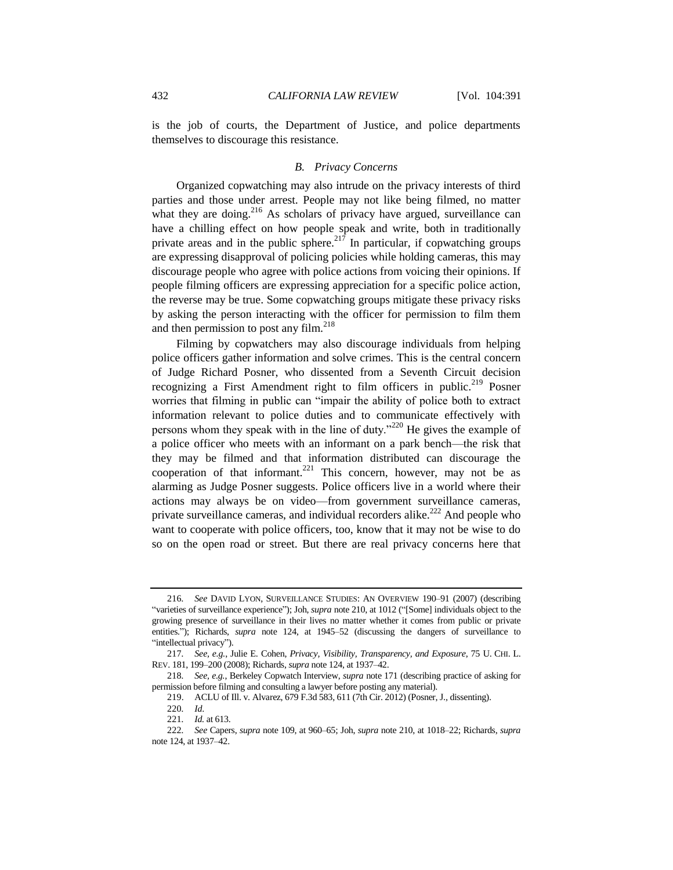is the job of courts, the Department of Justice, and police departments themselves to discourage this resistance.

#### <span id="page-41-0"></span>*B. Privacy Concerns*

Organized copwatching may also intrude on the privacy interests of third parties and those under arrest. People may not like being filmed, no matter what they are doing.<sup>216</sup> As scholars of privacy have argued, surveillance can have a chilling effect on how people speak and write, both in traditionally private areas and in the public sphere.<sup>217</sup> In particular, if copwatching groups are expressing disapproval of policing policies while holding cameras, this may discourage people who agree with police actions from voicing their opinions. If people filming officers are expressing appreciation for a specific police action, the reverse may be true. Some copwatching groups mitigate these privacy risks by asking the person interacting with the officer for permission to film them and then permission to post any film. $^{218}$ 

Filming by copwatchers may also discourage individuals from helping police officers gather information and solve crimes. This is the central concern of Judge Richard Posner, who dissented from a Seventh Circuit decision recognizing a First Amendment right to film officers in public.<sup>219</sup> Posner worries that filming in public can "impair the ability of police both to extract information relevant to police duties and to communicate effectively with persons whom they speak with in the line of duty."<sup>220</sup> He gives the example of a police officer who meets with an informant on a park bench—the risk that they may be filmed and that information distributed can discourage the cooperation of that informant.<sup>221</sup> This concern, however, may not be as alarming as Judge Posner suggests. Police officers live in a world where their actions may always be on video—from government surveillance cameras, private surveillance cameras, and individual recorders alike.<sup>222</sup> And people who want to cooperate with police officers, too, know that it may not be wise to do so on the open road or street. But there are real privacy concerns here that

<sup>216</sup>*. See* DAVID LYON, SURVEILLANCE STUDIES: AN OVERVIEW 190–91 (2007) (describing "varieties of surveillance experience"); Joh, *supra* note [210,](#page-40-0) at 1012 ("[Some] individuals object to the growing presence of surveillance in their lives no matter whether it comes from public or private entities."); Richards, *supra* note [124,](#page-25-0) at 1945–52 (discussing the dangers of surveillance to "intellectual privacy").

<sup>217</sup>*. See, e.g.*, Julie E. Cohen, *Privacy, Visibility, Transparency, and Exposure*, 75 U. CHI. L. REV. 181, 199–200 (2008); Richards, *supra* not[e 124,](#page-25-0) at 1937–42.

<sup>218</sup>*. See, e.g.*, Berkeley Copwatch Interview, *supra* not[e 171](#page-32-0) (describing practice of asking for permission before filming and consulting a lawyer before posting any material).

<sup>219.</sup> ACLU of Ill. v. Alvarez, 679 F.3d 583, 611 (7th Cir. 2012) (Posner, J.*,* dissenting).

<sup>220</sup>*. Id*.

<sup>221</sup>*. Id.* at 613.

<sup>222</sup>*. See* Capers, *supra* not[e 109,](#page-22-0) at 960–65; Joh, *supra* not[e 210,](#page-40-0) at 1018–22; Richards, *supra*  not[e 124,](#page-25-0) at 1937–42.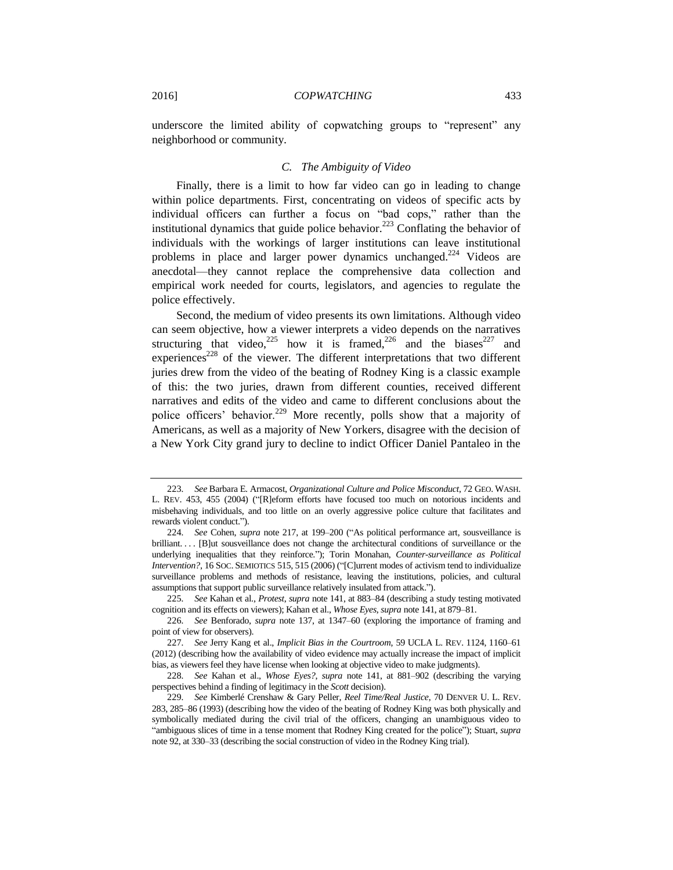underscore the limited ability of copwatching groups to "represent" any neighborhood or community.

#### <span id="page-42-0"></span>*C. The Ambiguity of Video*

Finally, there is a limit to how far video can go in leading to change within police departments. First, concentrating on videos of specific acts by individual officers can further a focus on "bad cops," rather than the institutional dynamics that guide police behavior.<sup>223</sup> Conflating the behavior of individuals with the workings of larger institutions can leave institutional problems in place and larger power dynamics unchanged.<sup>224</sup> Videos are anecdotal—they cannot replace the comprehensive data collection and empirical work needed for courts, legislators, and agencies to regulate the police effectively.

Second, the medium of video presents its own limitations. Although video can seem objective, how a viewer interprets a video depends on the narratives structuring that video,<sup>225</sup> how it is framed,<sup>226</sup> and the biases<sup>227</sup> and experiences<sup>228</sup> of the viewer. The different interpretations that two different juries drew from the video of the beating of Rodney King is a classic example of this: the two juries, drawn from different counties, received different narratives and edits of the video and came to different conclusions about the police officers' behavior.<sup>229</sup> More recently, polls show that a majority of Americans, as well as a majority of New Yorkers, disagree with the decision of a New York City grand jury to decline to indict Officer Daniel Pantaleo in the

<sup>223</sup>*. See* Barbara E. Armacost, *Organizational Culture and Police Misconduct*, 72 GEO. WASH. L. REV. 453, 455 (2004) ("[R]eform efforts have focused too much on notorious incidents and misbehaving individuals, and too little on an overly aggressive police culture that facilitates and rewards violent conduct.").

<sup>224</sup>*. See* Cohen, *supra* note [217,](#page-41-0) at 199–200 ("As political performance art, sousveillance is brilliant.... [B]ut sousveillance does not change the architectural conditions of surveillance or the underlying inequalities that they reinforce."); Torin Monahan, *Counter-surveillance as Political Intervention?*, 16 SOC. SEMIOTICS 515, 515 (2006) ("[C]urrent modes of activism tend to individualize surveillance problems and methods of resistance, leaving the institutions, policies, and cultural assumptions that support public surveillance relatively insulated from attack.").

<sup>225</sup>*. See* Kahan et al., *Protest*, *supra* not[e 141,](#page-27-1) at 883–84 (describing a study testing motivated cognition and its effects on viewers); Kahan et al., *Whose Eyes*, *supra* not[e 141,](#page-27-1) at 879–81.

<sup>226</sup>*. See* Benforado, *supra* note [137,](#page-27-2) at 1347–60 (exploring the importance of framing and point of view for observers).

<sup>227</sup>*. See* Jerry Kang et al., *Implicit Bias in the Courtroom*, 59 UCLA L. REV. 1124, 1160–61 (2012) (describing how the availability of video evidence may actually increase the impact of implicit bias, as viewers feel they have license when looking at objective video to make judgments).

<sup>228</sup>*. See* Kahan et al., *Whose Eyes?*, *supra* note [141,](#page-27-1) at 881–902 (describing the varying perspectives behind a finding of legitimacy in the *Scott* decision).

<sup>229</sup>*. See* Kimberlé Crenshaw & Gary Peller, *Reel Time/Real Justice*, 70 DENVER U. L. REV. 283, 285–86 (1993) (describing how the video of the beating of Rodney King was both physically and symbolically mediated during the civil trial of the officers, changing an unambiguous video to "ambiguous slices of time in a tense moment that Rodney King created for the police"); Stuart, *supra*  not[e 92,](#page-19-2) at 330–33 (describing the social construction of video in the Rodney King trial).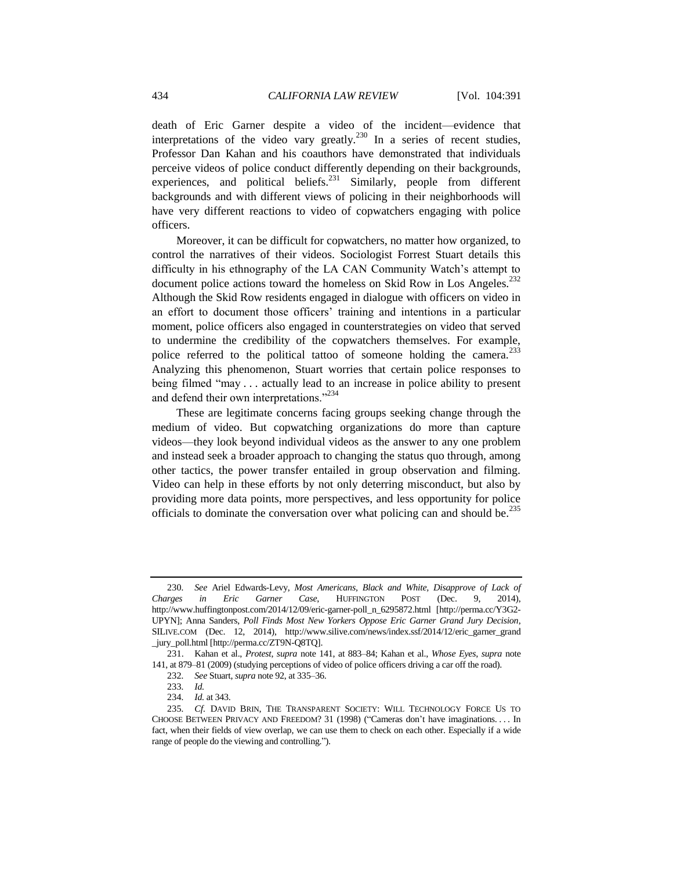death of Eric Garner despite a video of the incident—evidence that interpretations of the video vary greatly.<sup>230</sup> In a series of recent studies, Professor Dan Kahan and his coauthors have demonstrated that individuals perceive videos of police conduct differently depending on their backgrounds, experiences, and political beliefs. $^{231}$  Similarly, people from different backgrounds and with different views of policing in their neighborhoods will have very different reactions to video of copwatchers engaging with police officers.

Moreover, it can be difficult for copwatchers, no matter how organized, to control the narratives of their videos. Sociologist Forrest Stuart details this difficulty in his ethnography of the LA CAN Community Watch's attempt to document police actions toward the homeless on Skid Row in Los Angeles.<sup>232</sup> Although the Skid Row residents engaged in dialogue with officers on video in an effort to document those officers' training and intentions in a particular moment, police officers also engaged in counterstrategies on video that served to undermine the credibility of the copwatchers themselves. For example, police referred to the political tattoo of someone holding the camera.<sup>233</sup> Analyzing this phenomenon, Stuart worries that certain police responses to being filmed "may . . . actually lead to an increase in police ability to present and defend their own interpretations."<sup>234</sup>

These are legitimate concerns facing groups seeking change through the medium of video. But copwatching organizations do more than capture videos—they look beyond individual videos as the answer to any one problem and instead seek a broader approach to changing the status quo through, among other tactics, the power transfer entailed in group observation and filming. Video can help in these efforts by not only deterring misconduct, but also by providing more data points, more perspectives, and less opportunity for police officials to dominate the conversation over what policing can and should be.<sup>235</sup>

<sup>230</sup>*. See* Ariel Edwards-Levy, *Most Americans, Black and White, Disapprove of Lack of Charges in Eric Garner Case*, HUFFINGTON POST (Dec. 9, 2014), http://www.huffingtonpost.com/2014/12/09/eric-garner-poll\_n\_6295872.html [http://perma.cc/Y3G2- UPYN]; Anna Sanders, *Poll Finds Most New Yorkers Oppose Eric Garner Grand Jury Decision*, SILIVE.COM (Dec. 12, 2014), http://www.silive.com/news/index.ssf/2014/12/eric\_garner\_grand \_jury\_poll.html [http://perma.cc/ZT9N-Q8TQ].

<sup>231.</sup> Kahan et al., *Protest*, *supra* note [141,](#page-27-1) at 883–84; Kahan et al., *Whose Eyes*, *supra* note [141,](#page-27-1) at 879–81 (2009) (studying perceptions of video of police officers driving a car off the road).

<sup>232</sup>*. See* Stuart, *supra* not[e 92,](#page-19-2) at 335–36.

<sup>233</sup>*. Id.*

<sup>234</sup>*. Id.* at 343.

<sup>235</sup>*. Cf.* DAVID BRIN, THE TRANSPARENT SOCIETY: WILL TECHNOLOGY FORCE US TO CHOOSE BETWEEN PRIVACY AND FREEDOM? 31 (1998) ("Cameras don't have imaginations. . . . In fact, when their fields of view overlap, we can use them to check on each other. Especially if a wide range of people do the viewing and controlling.").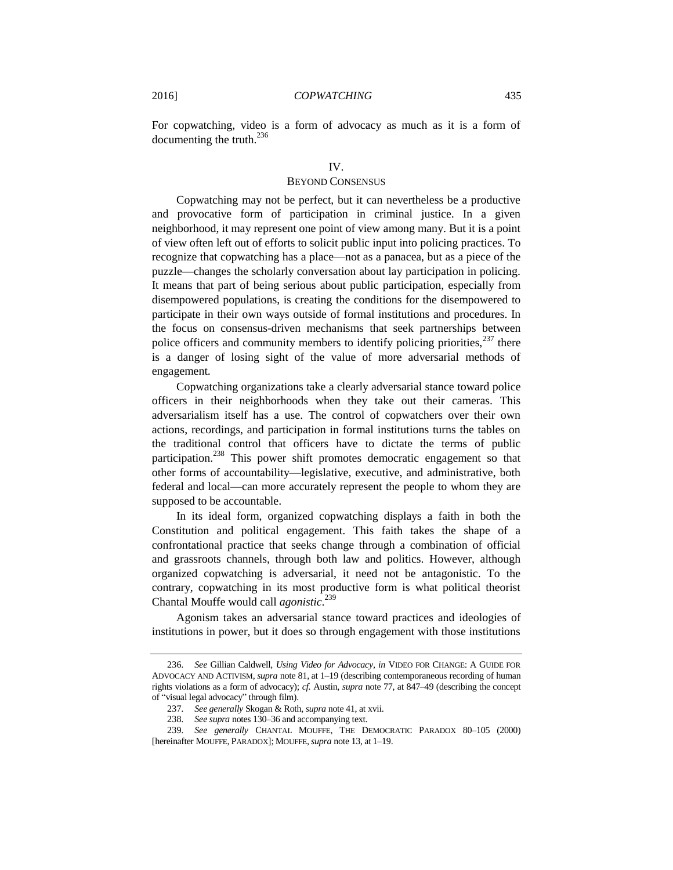For copwatching, video is a form of advocacy as much as it is a form of documenting the truth.<sup>236</sup>

#### IV.

### BEYOND CONSENSUS

Copwatching may not be perfect, but it can nevertheless be a productive and provocative form of participation in criminal justice. In a given neighborhood, it may represent one point of view among many. But it is a point of view often left out of efforts to solicit public input into policing practices. To recognize that copwatching has a place—not as a panacea, but as a piece of the puzzle—changes the scholarly conversation about lay participation in policing. It means that part of being serious about public participation, especially from disempowered populations, is creating the conditions for the disempowered to participate in their own ways outside of formal institutions and procedures. In the focus on consensus-driven mechanisms that seek partnerships between police officers and community members to identify policing priorities, $237$  there is a danger of losing sight of the value of more adversarial methods of engagement.

Copwatching organizations take a clearly adversarial stance toward police officers in their neighborhoods when they take out their cameras. This adversarialism itself has a use. The control of copwatchers over their own actions, recordings, and participation in formal institutions turns the tables on the traditional control that officers have to dictate the terms of public participation.<sup>238</sup> This power shift promotes democratic engagement so that other forms of accountability—legislative, executive, and administrative, both federal and local—can more accurately represent the people to whom they are supposed to be accountable.

In its ideal form, organized copwatching displays a faith in both the Constitution and political engagement. This faith takes the shape of a confrontational practice that seeks change through a combination of official and grassroots channels, through both law and politics. However, although organized copwatching is adversarial, it need not be antagonistic. To the contrary, copwatching in its most productive form is what political theorist Chantal Mouffe would call *agonistic*. 239

<span id="page-44-0"></span>Agonism takes an adversarial stance toward practices and ideologies of institutions in power, but it does so through engagement with those institutions

<sup>236</sup>*. See* Gillian Caldwell, *Using Video for Advocacy*, *in* VIDEO FOR CHANGE: A GUIDE FOR ADVOCACY AND ACTIVISM, *supra* not[e 81,](#page-18-3) at 1–19 (describing contemporaneous recording of human rights violations as a form of advocacy); *cf.* Austin, *supra* note [77,](#page-17-0) at 847–49 (describing the concept of "visual legal advocacy" through film).

<sup>237</sup>*. See generally* Skogan & Roth, *supra* not[e 41,](#page-10-0) at xvii.

<sup>238</sup>*. See supra* notes 130–36 and accompanying text.

<sup>239</sup>*. See generally* CHANTAL MOUFFE, THE DEMOCRATIC PARADOX 80–105 (2000) [hereinafter MOUFFE, PARADOX]; MOUFFE,*supra* not[e 13,](#page-4-3) at 1–19.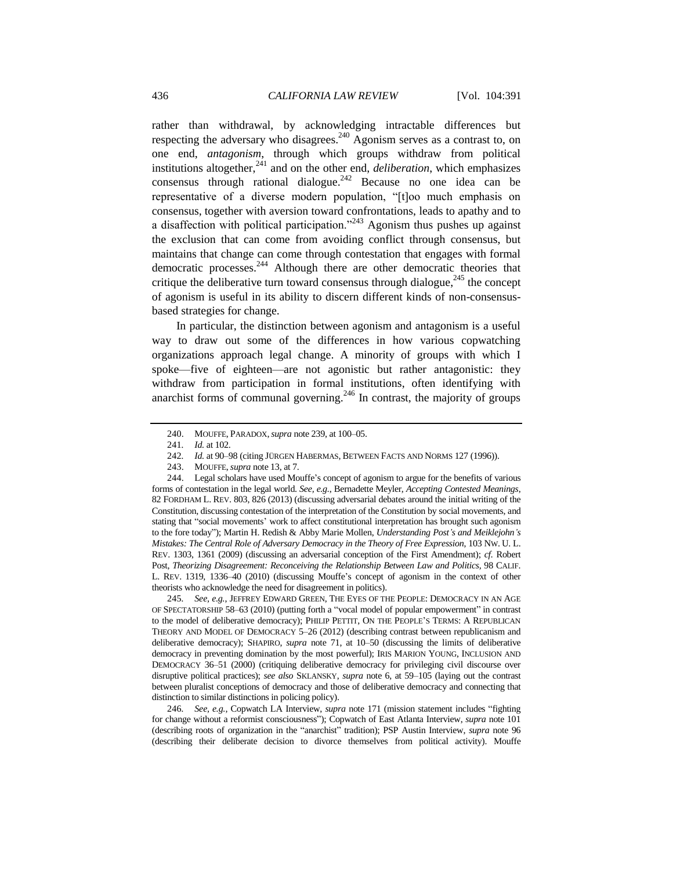rather than withdrawal, by acknowledging intractable differences but respecting the adversary who disagrees.<sup>240</sup> Agonism serves as a contrast to, on one end, *antagonism*, through which groups withdraw from political institutions altogether,<sup>241</sup> and on the other end, *deliberation*, which emphasizes consensus through rational dialogue.<sup>242</sup> Because no one idea can be representative of a diverse modern population, "[t]oo much emphasis on consensus, together with aversion toward confrontations, leads to apathy and to a disaffection with political participation.<sup> $243$ </sup> Agonism thus pushes up against the exclusion that can come from avoiding conflict through consensus, but maintains that change can come through contestation that engages with formal democratic processes.<sup>244</sup> Although there are other democratic theories that critique the deliberative turn toward consensus through dialogue,  $^{245}$  the concept of agonism is useful in its ability to discern different kinds of non-consensusbased strategies for change.

In particular, the distinction between agonism and antagonism is a useful way to draw out some of the differences in how various copwatching organizations approach legal change. A minority of groups with which I spoke—five of eighteen—are not agonistic but rather antagonistic: they withdraw from participation in formal institutions, often identifying with anarchist forms of communal governing.<sup>246</sup> In contrast, the majority of groups

245*. See, e.g.*, JEFFREY EDWARD GREEN, THE EYES OF THE PEOPLE: DEMOCRACY IN AN AGE OF SPECTATORSHIP 58–63 (2010) (putting forth a "vocal model of popular empowerment" in contrast to the model of deliberative democracy); PHILIP PETTIT, ON THE PEOPLE'S TERMS: A REPUBLICAN THEORY AND MODEL OF DEMOCRACY 5–26 (2012) (describing contrast between republicanism and deliberative democracy); SHAPIRO, *supra* note [71,](#page-15-2) at 10–50 (discussing the limits of deliberative democracy in preventing domination by the most powerful); IRIS MARION YOUNG, INCLUSION AND DEMOCRACY 36–51 (2000) (critiquing deliberative democracy for privileging civil discourse over disruptive political practices); *see also* SKLANSKY, *supra* note [6,](#page-2-2) at 59–105 (laying out the contrast between pluralist conceptions of democracy and those of deliberative democracy and connecting that distinction to similar distinctions in policing policy).

246*. See, e.g.*, Copwatch LA Interview, *supra* note [171](#page-32-0) (mission statement includes "fighting for change without a reformist consciousness"); Copwatch of East Atlanta Interview, *supra* not[e 101](#page-21-2) (describing roots of organization in the "anarchist" tradition); PSP Austin Interview, *supra* note [96](#page-20-1) (describing their deliberate decision to divorce themselves from political activity). Mouffe

<sup>240.</sup> MOUFFE, PARADOX,*supra* not[e 239,](#page-44-0) at 100–05.

<sup>241</sup>*. Id.* at 102.

<sup>242</sup>*. Id.* at 90–98 (citing JÜRGEN HABERMAS, BETWEEN FACTS AND NORMS 127 (1996)).

<sup>243.</sup> MOUFFE,*supra* not[e 13,](#page-4-3) at 7.

<sup>244.</sup> Legal scholars have used Mouffe's concept of agonism to argue for the benefits of various forms of contestation in the legal world. *See, e.g.*, Bernadette Meyler, *Accepting Contested Meanings*, 82 FORDHAM L. REV. 803, 826 (2013) (discussing adversarial debates around the initial writing of the Constitution, discussing contestation of the interpretation of the Constitution by social movements, and stating that "social movements' work to affect constitutional interpretation has brought such agonism to the fore today"); Martin H. Redish & Abby Marie Mollen, *Understanding Post's and Meiklejohn's Mistakes: The Central Role of Adversary Democracy in the Theory of Free Expression*, 103 NW. U. L. REV. 1303, 1361 (2009) (discussing an adversarial conception of the First Amendment); *cf.* Robert Post, *Theorizing Disagreement: Reconceiving the Relationship Between Law and Politics,* 98 CALIF. L. REV. 1319, 1336–40 (2010) (discussing Mouffe's concept of agonism in the context of other theorists who acknowledge the need for disagreement in politics).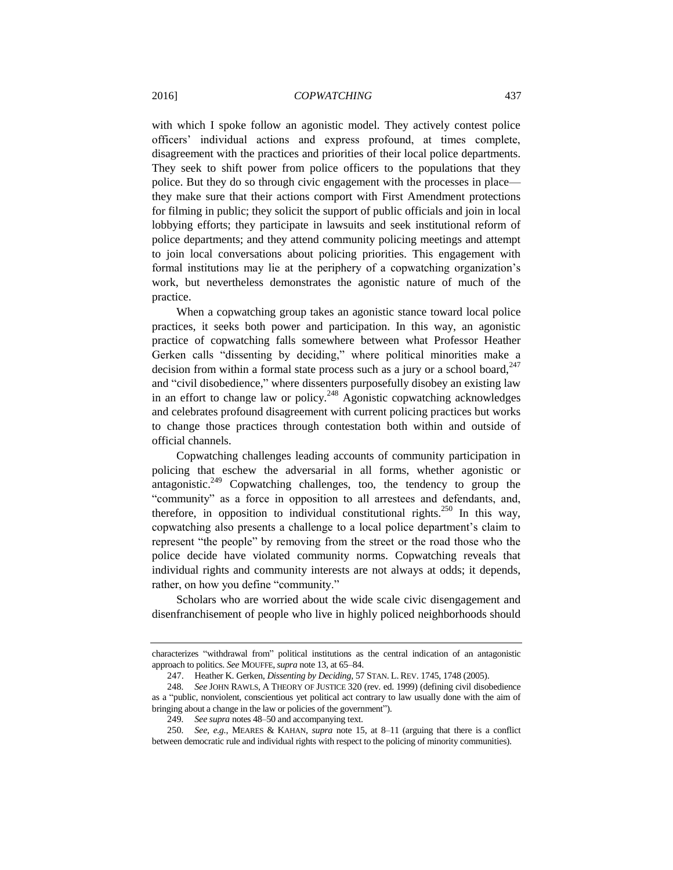with which I spoke follow an agonistic model. They actively contest police officers' individual actions and express profound, at times complete, disagreement with the practices and priorities of their local police departments. They seek to shift power from police officers to the populations that they police. But they do so through civic engagement with the processes in place they make sure that their actions comport with First Amendment protections for filming in public; they solicit the support of public officials and join in local lobbying efforts; they participate in lawsuits and seek institutional reform of police departments; and they attend community policing meetings and attempt to join local conversations about policing priorities. This engagement with formal institutions may lie at the periphery of a copwatching organization's work, but nevertheless demonstrates the agonistic nature of much of the practice.

When a copwatching group takes an agonistic stance toward local police practices, it seeks both power and participation. In this way, an agonistic practice of copwatching falls somewhere between what Professor Heather Gerken calls "dissenting by deciding," where political minorities make a decision from within a formal state process such as a jury or a school board,  $247$ and "civil disobedience," where dissenters purposefully disobey an existing law in an effort to change law or policy.<sup>248</sup> Agonistic copwatching acknowledges and celebrates profound disagreement with current policing practices but works to change those practices through contestation both within and outside of official channels.

Copwatching challenges leading accounts of community participation in policing that eschew the adversarial in all forms, whether agonistic or antagonistic.<sup>249</sup> Copwatching challenges, too, the tendency to group the "community" as a force in opposition to all arrestees and defendants, and, therefore, in opposition to individual constitutional rights.<sup>250</sup> In this way, copwatching also presents a challenge to a local police department's claim to represent "the people" by removing from the street or the road those who the police decide have violated community norms. Copwatching reveals that individual rights and community interests are not always at odds; it depends, rather, on how you define "community."

Scholars who are worried about the wide scale civic disengagement and disenfranchisement of people who live in highly policed neighborhoods should

characterizes "withdrawal from" political institutions as the central indication of an antagonistic approach to politics. *See* MOUFFE,*supra* not[e 13,](#page-4-3) at 65–84.

<sup>247.</sup> Heather K. Gerken, *Dissenting by Deciding*, 57 STAN. L. REV. 1745, 1748 (2005).

<sup>248</sup>*. See* JOHN RAWLS, A THEORY OF JUSTICE 320 (rev. ed. 1999) (defining civil disobedience as a "public, nonviolent, conscientious yet political act contrary to law usually done with the aim of bringing about a change in the law or policies of the government").

<sup>249</sup>*. See supra* note[s 48](#page-11-1)[–50](#page-11-2) and accompanying text.

<sup>250</sup>*. See, e.g.*, MEARES & KAHAN, *supra* note [15,](#page-4-4) at 8–11 (arguing that there is a conflict between democratic rule and individual rights with respect to the policing of minority communities).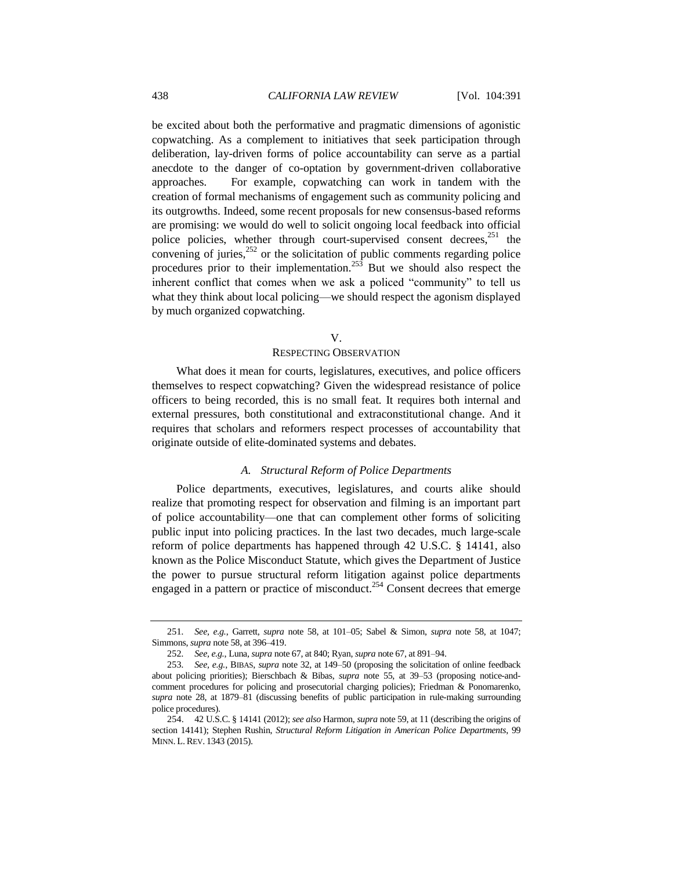be excited about both the performative and pragmatic dimensions of agonistic copwatching. As a complement to initiatives that seek participation through deliberation, lay-driven forms of police accountability can serve as a partial anecdote to the danger of co-optation by government-driven collaborative approaches. For example, copwatching can work in tandem with the creation of formal mechanisms of engagement such as community policing and its outgrowths. Indeed, some recent proposals for new consensus-based reforms are promising: we would do well to solicit ongoing local feedback into official police policies, whether through court-supervised consent decrees,<sup>251</sup> the convening of juries, $252$  or the solicitation of public comments regarding police procedures prior to their implementation.<sup>253</sup> But we should also respect the inherent conflict that comes when we ask a policed "community" to tell us what they think about local policing—we should respect the agonism displayed by much organized copwatching.

#### V.

#### RESPECTING OBSERVATION

What does it mean for courts, legislatures, executives, and police officers themselves to respect copwatching? Given the widespread resistance of police officers to being recorded, this is no small feat. It requires both internal and external pressures, both constitutional and extraconstitutional change. And it requires that scholars and reformers respect processes of accountability that originate outside of elite-dominated systems and debates.

#### <span id="page-47-0"></span>*A. Structural Reform of Police Departments*

Police departments, executives, legislatures, and courts alike should realize that promoting respect for observation and filming is an important part of police accountability—one that can complement other forms of soliciting public input into policing practices. In the last two decades, much large-scale reform of police departments has happened through 42 U.S.C. § 14141, also known as the Police Misconduct Statute, which gives the Department of Justice the power to pursue structural reform litigation against police departments engaged in a pattern or practice of misconduct.<sup>254</sup> Consent decrees that emerge

<sup>251</sup>*. See, e.g.*, Garrett, *supra* note [58,](#page-13-0) at 101–05; Sabel & Simon, *supra* note [58,](#page-13-0) at 1047; Simmons, *supra* not[e 58,](#page-13-0) at 396–419.

<sup>252</sup>*. See, e.g.*, Luna, *supra* not[e 67,](#page-15-0) at 840; Ryan, *supra* not[e 67,](#page-15-0) at 891–94.

<sup>253</sup>*. See, e.g.*, BIBAS, *supra* note [32,](#page-8-0) at 149–50 (proposing the solicitation of online feedback about policing priorities); Bierschbach & Bibas, *supra* note [55,](#page-12-0) at 39–53 (proposing notice-andcomment procedures for policing and prosecutorial charging policies); Friedman & Ponomarenko, *supra* note [28,](#page-7-0) at 1879–81 (discussing benefits of public participation in rule-making surrounding police procedures).

<sup>254.</sup> 42 U.S.C. § 14141 (2012); *see also* Harmon, *supra* not[e 59,](#page-13-1) at 11 (describing the origins of section 14141); Stephen Rushin, *Structural Reform Litigation in American Police Departments*, 99 MINN. L. REV. 1343 (2015).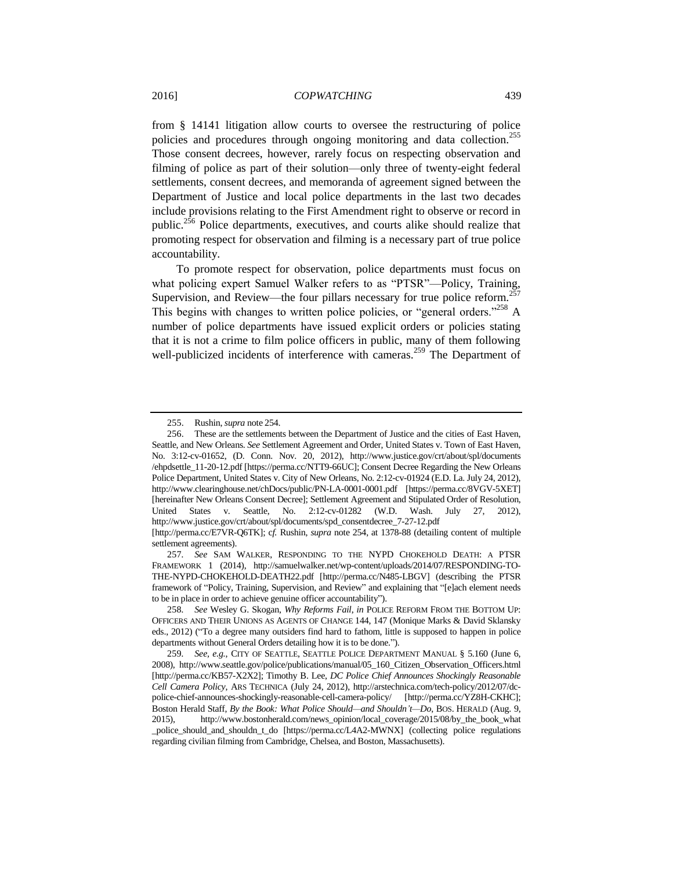from § 14141 litigation allow courts to oversee the restructuring of police policies and procedures through ongoing monitoring and data collection.<sup>255</sup> Those consent decrees, however, rarely focus on respecting observation and filming of police as part of their solution—only three of twenty-eight federal settlements, consent decrees, and memoranda of agreement signed between the Department of Justice and local police departments in the last two decades include provisions relating to the First Amendment right to observe or record in public.<sup>256</sup> Police departments, executives, and courts alike should realize that promoting respect for observation and filming is a necessary part of true police accountability.

<span id="page-48-1"></span><span id="page-48-0"></span>To promote respect for observation, police departments must focus on what policing expert Samuel Walker refers to as "PTSR"—Policy, Training, Supervision, and Review—the four pillars necessary for true police reform.<sup>2</sup> This begins with changes to written police policies, or "general orders."<sup>258</sup> A number of police departments have issued explicit orders or policies stating that it is not a crime to film police officers in public, many of them following well-publicized incidents of interference with cameras.<sup>259</sup> The Department of

<sup>255.</sup> Rushin, *supra* not[e 254.](#page-47-0)

<sup>256.</sup> These are the settlements between the Department of Justice and the cities of East Haven, Seattle, and New Orleans. *See* Settlement Agreement and Order, United States v. Town of East Haven, No. 3:12-cv-01652, (D. Conn. Nov. 20, 2012), http://www.justice.gov/crt/about/spl/documents /ehpdsettle\_11-20-12.pdf [https://perma.cc/NTT9-66UC]; Consent Decree Regarding the New Orleans Police Department, United States v. City of New Orleans, No. 2:12-cv-01924 (E.D. La. July 24, 2012), http://www.clearinghouse.net/chDocs/public/PN-LA-0001-0001.pdf [https://perma.cc/8VGV-5XET] [hereinafter New Orleans Consent Decree]; Settlement Agreement and Stipulated Order of Resolution, United States v. Seattle, No. 2:12-cv-01282 (W.D. Wash. July 27, 2012), http://www.justice.gov/crt/about/spl/documents/spd\_consentdecree\_7-27-12.pdf

<sup>[</sup>http://perma.cc/E7VR-Q6TK]; c*f.* Rushin, *supra* note [254,](#page-47-0) at 1378-88 (detailing content of multiple settlement agreements).

<sup>257</sup>*. See* SAM WALKER, RESPONDING TO THE NYPD CHOKEHOLD DEATH: A PTSR FRAMEWORK 1 (2014), http://samuelwalker.net/wp-content/uploads/2014/07/RESPONDING-TO-THE-NYPD-CHOKEHOLD-DEATH22.pdf [http://perma.cc/N485-LBGV] (describing the PTSR framework of "Policy, Training, Supervision, and Review" and explaining that "[e]ach element needs to be in place in order to achieve genuine officer accountability").

<sup>258</sup>*. See* Wesley G. Skogan, *Why Reforms Fail*, *in* POLICE REFORM FROM THE BOTTOM UP: OFFICERS AND THEIR UNIONS AS AGENTS OF CHANGE 144, 147 (Monique Marks & David Sklansky eds., 2012) ("To a degree many outsiders find hard to fathom, little is supposed to happen in police departments without General Orders detailing how it is to be done.").

<sup>259</sup>*. See, e.g.*, CITY OF SEATTLE, SEATTLE POLICE DEPARTMENT MANUAL § 5.160 (June 6, 2008), http://www.seattle.gov/police/publications/manual/05\_160\_Citizen\_Observation\_Officers.html [http://perma.cc/KB57-X2X2]; Timothy B. Lee, *DC Police Chief Announces Shockingly Reasonable Cell Camera Policy*, ARS TECHNICA (July 24, 2012), http://arstechnica.com/tech-policy/2012/07/dcpolice-chief-announces-shockingly-reasonable-cell-camera-policy/ [http://perma.cc/YZ8H-CKHC]; Boston Herald Staff, *By the Book: What Police Should—and Shouldn't—Do*, BOS. HERALD (Aug. 9, 2015), http://www.bostonherald.com/news\_opinion/local\_coverage/2015/08/by\_the\_book\_what \_police\_should\_and\_shouldn\_t\_do [https://perma.cc/L4A2-MWNX] (collecting police regulations regarding civilian filming from Cambridge, Chelsea, and Boston, Massachusetts).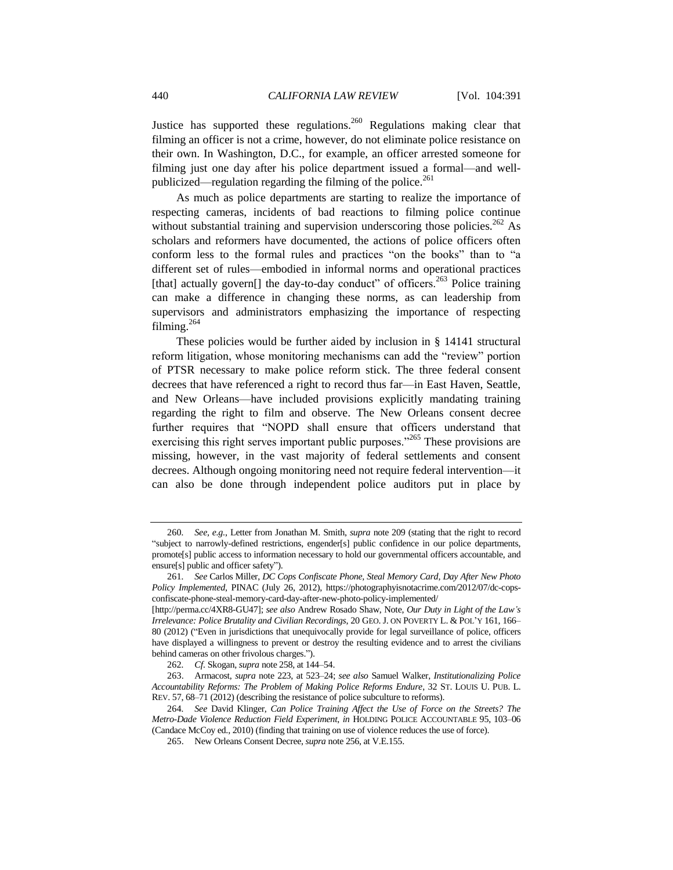Justice has supported these regulations.<sup>260</sup> Regulations making clear that filming an officer is not a crime, however, do not eliminate police resistance on their own. In Washington, D.C., for example, an officer arrested someone for filming just one day after his police department issued a formal—and wellpublicized—regulation regarding the filming of the police.<sup>261</sup>

As much as police departments are starting to realize the importance of respecting cameras, incidents of bad reactions to filming police continue without substantial training and supervision underscoring those policies.<sup>262</sup> As scholars and reformers have documented, the actions of police officers often conform less to the formal rules and practices "on the books" than to "a different set of rules—embodied in informal norms and operational practices [that] actually govern[] the day-to-day conduct" of officers.<sup>263</sup> Police training can make a difference in changing these norms, as can leadership from supervisors and administrators emphasizing the importance of respecting filming.<sup>264</sup>

<span id="page-49-0"></span>These policies would be further aided by inclusion in § 14141 structural reform litigation, whose monitoring mechanisms can add the "review" portion of PTSR necessary to make police reform stick. The three federal consent decrees that have referenced a right to record thus far—in East Haven, Seattle, and New Orleans—have included provisions explicitly mandating training regarding the right to film and observe. The New Orleans consent decree further requires that "NOPD shall ensure that officers understand that exercising this right serves important public purposes."<sup>265</sup> These provisions are missing, however, in the vast majority of federal settlements and consent decrees. Although ongoing monitoring need not require federal intervention—it can also be done through independent police auditors put in place by

<sup>260</sup>*. See, e.g.*, Letter from Jonathan M. Smith, *supra* not[e 209](#page-39-0) (stating that the right to record "subject to narrowly-defined restrictions, engender[s] public confidence in our police departments, promote[s] public access to information necessary to hold our governmental officers accountable, and ensure[s] public and officer safety").

<sup>261</sup>*. See* Carlos Miller, *DC Cops Confiscate Phone, Steal Memory Card, Day After New Photo Policy Implemented*, PINAC (July 26, 2012), https://photographyisnotacrime.com/2012/07/dc-copsconfiscate-phone-steal-memory-card-day-after-new-photo-policy-implemented/

<sup>[</sup>http://perma.cc/4XR8-GU47]; *see also* Andrew Rosado Shaw, Note, *Our Duty in Light of the Law's Irrelevance: Police Brutality and Civilian Recordings*, 20 GEO. J. ON POVERTY L. & POL'Y 161, 166– 80 (2012) ("Even in jurisdictions that unequivocally provide for legal surveillance of police, officers have displayed a willingness to prevent or destroy the resulting evidence and to arrest the civilians behind cameras on other frivolous charges.").

<sup>262</sup>*. Cf.* Skogan*, supra* not[e 258,](#page-48-0) at 144–54.

<sup>263.</sup> Armacost, *supra* note [223,](#page-42-0) at 523–24; *see also* Samuel Walker, *Institutionalizing Police Accountability Reforms: The Problem of Making Police Reforms Endure*, 32 ST. LOUIS U. PUB. L. REV. 57, 68–71 (2012) (describing the resistance of police subculture to reforms).

<sup>264</sup>*. See* David Klinger, *Can Police Training Affect the Use of Force on the Streets? The Metro-Dade Violence Reduction Field Experiment*, *in* HOLDING POLICE ACCOUNTABLE 95, 103–06 (Candace McCoy ed., 2010) (finding that training on use of violence reduces the use of force).

<sup>265.</sup> New Orleans Consent Decree, *supra* not[e 256,](#page-48-1) at V.E.155.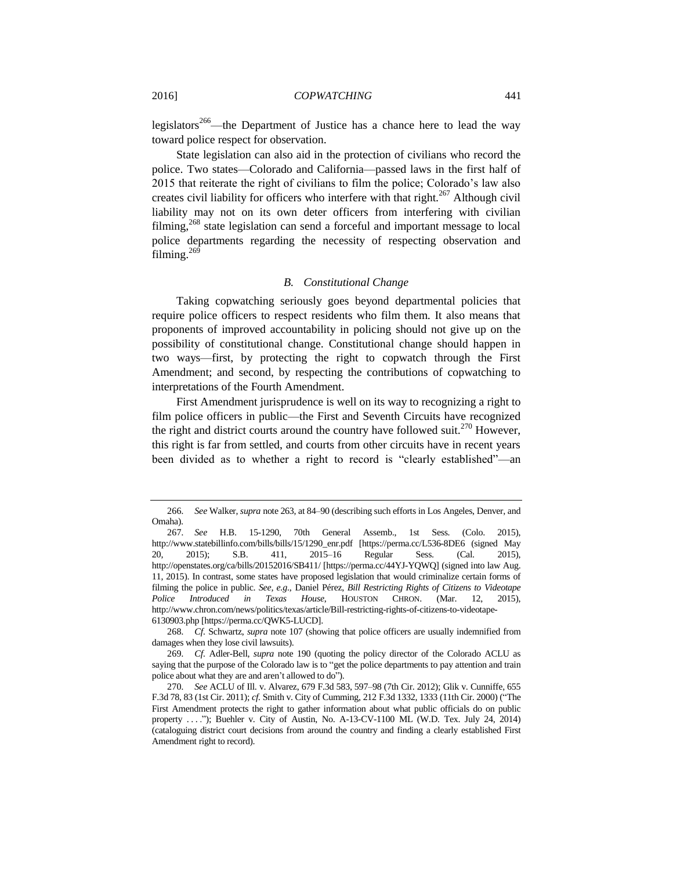legislators<sup>266</sup>—the Department of Justice has a chance here to lead the way toward police respect for observation.

State legislation can also aid in the protection of civilians who record the police. Two states—Colorado and California—passed laws in the first half of 2015 that reiterate the right of civilians to film the police; Colorado's law also creates civil liability for officers who interfere with that right.<sup>267</sup> Although civil liability may not on its own deter officers from interfering with civilian filming,<sup>268</sup> state legislation can send a forceful and important message to local police departments regarding the necessity of respecting observation and filming. $269$ 

#### *B. Constitutional Change*

Taking copwatching seriously goes beyond departmental policies that require police officers to respect residents who film them. It also means that proponents of improved accountability in policing should not give up on the possibility of constitutional change. Constitutional change should happen in two ways—first, by protecting the right to copwatch through the First Amendment; and second, by respecting the contributions of copwatching to interpretations of the Fourth Amendment.

First Amendment jurisprudence is well on its way to recognizing a right to film police officers in public—the First and Seventh Circuits have recognized the right and district courts around the country have followed suit.<sup>270</sup> However, this right is far from settled, and courts from other circuits have in recent years been divided as to whether a right to record is "clearly established"—an

268*. Cf.* Schwartz, *supra* note [107](#page-22-1) (showing that police officers are usually indemnified from damages when they lose civil lawsuits).

<sup>266</sup>*. See* Walker, *supra* not[e 263,](#page-49-0) at 84–90 (describing such efforts in Los Angeles, Denver, and Omaha).

<sup>267</sup>*. See* H.B. 15-1290, 70th General Assemb., 1st Sess. (Colo. 2015), http://www.statebillinfo.com/bills/bills/15/1290\_enr.pdf [https://perma.cc/L536-8DE6 (signed May 20, 2015); S.B. 411, 2015–16 Regular Sess. (Cal. 2015), http://openstates.org/ca/bills/20152016/SB411/ [https://perma.cc/44YJ-YQWQ] (signed into law Aug. 11, 2015). In contrast, some states have proposed legislation that would criminalize certain forms of filming the police in public. *See, e.g.*, Daniel Pérez, *Bill Restricting Rights of Citizens to Videotape Police Introduced in Texas House*, HOUSTON CHRON. (Mar. 12, 2015), http://www.chron.com/news/politics/texas/article/Bill-restricting-rights-of-citizens-to-videotape-6130903.php [https://perma.cc/QWK5-LUCD].

<sup>269</sup>*. Cf.* Adler-Bell, *supra* note [190](#page-36-0) (quoting the policy director of the Colorado ACLU as saying that the purpose of the Colorado law is to "get the police departments to pay attention and train police about what they are and aren't allowed to do").

<sup>270</sup>*. See* ACLU of Ill. v. Alvarez, 679 F.3d 583, 597–98 (7th Cir. 2012); Glik v. Cunniffe, 655 F.3d 78, 83 (1st Cir. 2011); *cf.* Smith v. City of Cumming, 212 F.3d 1332, 1333 (11th Cir. 2000) ("The First Amendment protects the right to gather information about what public officials do on public property . . . ."); Buehler v. City of Austin, No. A-13-CV-1100 ML (W.D. Tex. July 24, 2014) (cataloguing district court decisions from around the country and finding a clearly established First Amendment right to record).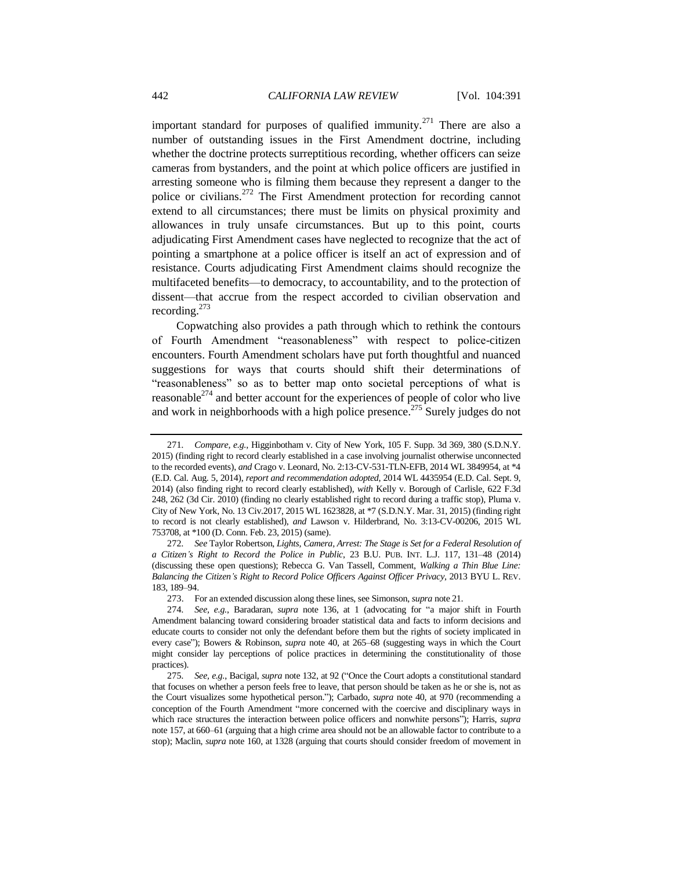<span id="page-51-0"></span>important standard for purposes of qualified immunity.<sup>271</sup> There are also a number of outstanding issues in the First Amendment doctrine, including whether the doctrine protects surreptitious recording, whether officers can seize cameras from bystanders, and the point at which police officers are justified in arresting someone who is filming them because they represent a danger to the police or civilians.<sup>272</sup> The First Amendment protection for recording cannot extend to all circumstances; there must be limits on physical proximity and allowances in truly unsafe circumstances. But up to this point, courts adjudicating First Amendment cases have neglected to recognize that the act of pointing a smartphone at a police officer is itself an act of expression and of resistance. Courts adjudicating First Amendment claims should recognize the multifaceted benefits—to democracy, to accountability, and to the protection of dissent—that accrue from the respect accorded to civilian observation and recording.<sup>273</sup>

Copwatching also provides a path through which to rethink the contours of Fourth Amendment "reasonableness" with respect to police-citizen encounters. Fourth Amendment scholars have put forth thoughtful and nuanced suggestions for ways that courts should shift their determinations of "reasonableness" so as to better map onto societal perceptions of what is reasonable<sup>274</sup> and better account for the experiences of people of color who live and work in neighborhoods with a high police presence.<sup>275</sup> Surely judges do not

<sup>271</sup>*. Compare, e.g.*, Higginbotham v. City of New York, 105 F. Supp. 3d 369, 380 (S.D.N.Y. 2015) (finding right to record clearly established in a case involving journalist otherwise unconnected to the recorded events), *and* Crago v. Leonard, No. 2:13-CV-531-TLN-EFB, 2014 WL 3849954, at \*4 (E.D. Cal. Aug. 5, 2014), *report and recommendation adopted*, 2014 WL 4435954 (E.D. Cal. Sept. 9, 2014) (also finding right to record clearly established), *with* Kelly v. Borough of Carlisle, 622 F.3d 248, 262 (3d Cir. 2010) (finding no clearly established right to record during a traffic stop), Pluma v. City of New York, No. 13 Civ.2017, 2015 WL 1623828, at \*7 (S.D.N.Y. Mar. 31, 2015) (finding right to record is not clearly established), *and* Lawson v. Hilderbrand, No. 3:13-CV-00206, 2015 WL 753708, at \*100 (D. Conn. Feb. 23, 2015) (same).

<sup>272</sup>*. See* Taylor Robertson, *Lights, Camera, Arrest: The Stage is Set for a Federal Resolution of a Citizen's Right to Record the Police in Public*, 23 B.U. PUB. INT. L.J. 117, 131–48 (2014) (discussing these open questions); Rebecca G. Van Tassell, Comment, *Walking a Thin Blue Line: Balancing the Citizen's Right to Record Police Officers Against Officer Privacy*, 2013 BYU L. REV. 183, 189–94.

<sup>273.</sup> For an extended discussion along these lines, see Simonson, *supra* not[e 21.](#page-5-2)

<sup>274</sup>*. See, e.g.*, Baradaran, *supra* note [136,](#page-27-0) at 1 (advocating for "a major shift in Fourth Amendment balancing toward considering broader statistical data and facts to inform decisions and educate courts to consider not only the defendant before them but the rights of society implicated in every case"); Bowers & Robinson, *supra* note [40,](#page-9-1) at 265–68 (suggesting ways in which the Court might consider lay perceptions of police practices in determining the constitutionality of those practices).

<sup>275</sup>*. See, e.g.*, Bacigal, *supra* not[e 132,](#page-26-3) at 92 ("Once the Court adopts a constitutional standard that focuses on whether a person feels free to leave, that person should be taken as he or she is, not as the Court visualizes some hypothetical person."); Carbado, *supra* note [40,](#page-9-1) at 970 (recommending a conception of the Fourth Amendment "more concerned with the coercive and disciplinary ways in which race structures the interaction between police officers and nonwhite persons"); Harris, *supra*  not[e 157,](#page-30-0) at 660–61 (arguing that a high crime area should not be an allowable factor to contribute to a stop); Maclin, *supra* note [160,](#page-31-0) at 1328 (arguing that courts should consider freedom of movement in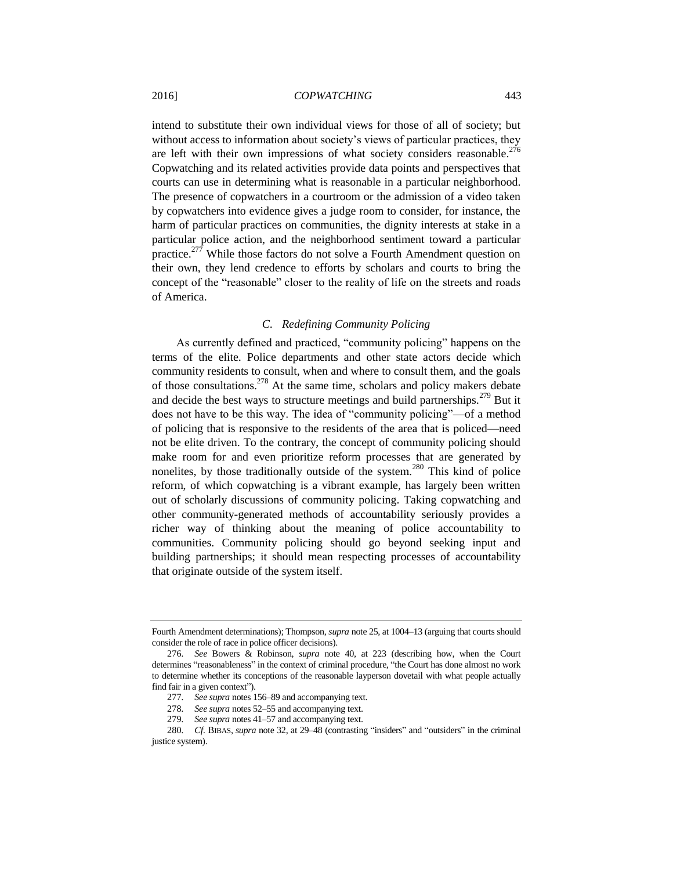intend to substitute their own individual views for those of all of society; but without access to information about society's views of particular practices, they are left with their own impressions of what society considers reasonable.<sup>276</sup> Copwatching and its related activities provide data points and perspectives that courts can use in determining what is reasonable in a particular neighborhood. The presence of copwatchers in a courtroom or the admission of a video taken by copwatchers into evidence gives a judge room to consider, for instance, the harm of particular practices on communities, the dignity interests at stake in a particular police action, and the neighborhood sentiment toward a particular practice.<sup>277</sup> While those factors do not solve a Fourth Amendment question on their own, they lend credence to efforts by scholars and courts to bring the concept of the "reasonable" closer to the reality of life on the streets and roads of America.

#### *C. Redefining Community Policing*

As currently defined and practiced, "community policing" happens on the terms of the elite. Police departments and other state actors decide which community residents to consult, when and where to consult them, and the goals of those consultations.<sup>278</sup> At the same time, scholars and policy makers debate and decide the best ways to structure meetings and build partnerships.<sup>279</sup> But it does not have to be this way. The idea of "community policing"—of a method of policing that is responsive to the residents of the area that is policed—need not be elite driven. To the contrary, the concept of community policing should make room for and even prioritize reform processes that are generated by nonelites, by those traditionally outside of the system.<sup>280</sup> This kind of police reform, of which copwatching is a vibrant example, has largely been written out of scholarly discussions of community policing. Taking copwatching and other community-generated methods of accountability seriously provides a richer way of thinking about the meaning of police accountability to communities. Community policing should go beyond seeking input and building partnerships; it should mean respecting processes of accountability that originate outside of the system itself.

Fourth Amendment determinations); Thompson, *supra* not[e 25,](#page-7-3) at 1004–13 (arguing that courts should consider the role of race in police officer decisions).

<sup>276</sup>*. See* Bowers & Robinson, *supra* note [40,](#page-9-1) at 223 (describing how, when the Court determines "reasonableness" in the context of criminal procedure, "the Court has done almost no work to determine whether its conceptions of the reasonable layperson dovetail with what people actually find fair in a given context").

<sup>277</sup>*. See supra* notes 156–89 and accompanying text.

<sup>278</sup>*. See supra* note[s 52](#page-12-1)[–55](#page-12-0) and accompanying text.

<sup>279</sup>*. See supra* note[s 41](#page-10-0)[–57](#page-13-2) and accompanying text.

<sup>280</sup>*. Cf.* BIBAS, *supra* note [32,](#page-8-0) at 29–48 (contrasting "insiders" and "outsiders" in the criminal justice system).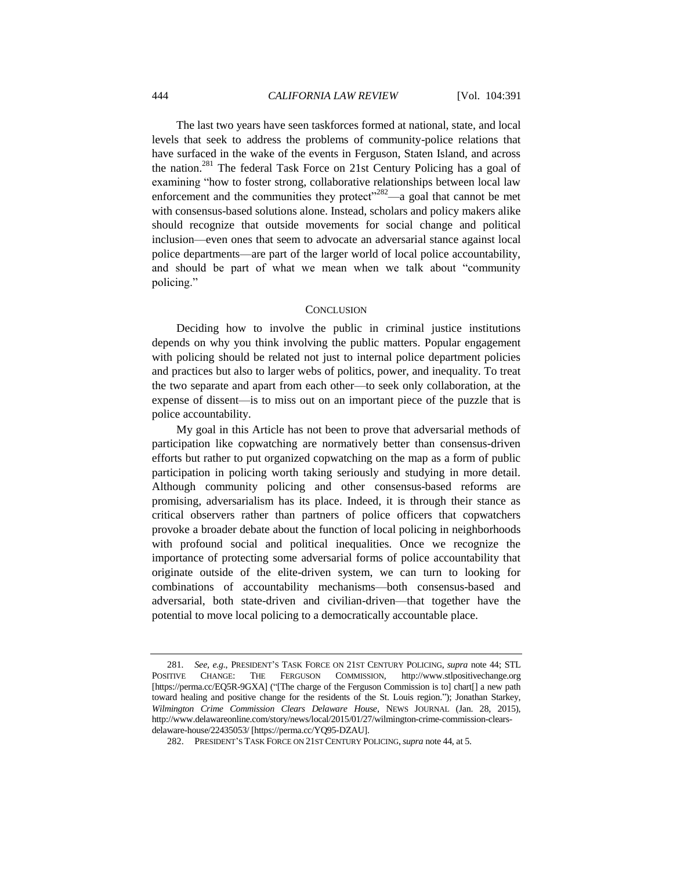The last two years have seen taskforces formed at national, state, and local levels that seek to address the problems of community-police relations that have surfaced in the wake of the events in Ferguson, Staten Island, and across the nation.<sup>281</sup> The federal Task Force on 21st Century Policing has a goal of examining "how to foster strong, collaborative relationships between local law enforcement and the communities they protect<sup> $282$ </sup>—a goal that cannot be met with consensus-based solutions alone. Instead, scholars and policy makers alike should recognize that outside movements for social change and political inclusion—even ones that seem to advocate an adversarial stance against local police departments—are part of the larger world of local police accountability, and should be part of what we mean when we talk about "community policing."

#### **CONCLUSION**

Deciding how to involve the public in criminal justice institutions depends on why you think involving the public matters. Popular engagement with policing should be related not just to internal police department policies and practices but also to larger webs of politics, power, and inequality. To treat the two separate and apart from each other—to seek only collaboration, at the expense of dissent—is to miss out on an important piece of the puzzle that is police accountability.

My goal in this Article has not been to prove that adversarial methods of participation like copwatching are normatively better than consensus-driven efforts but rather to put organized copwatching on the map as a form of public participation in policing worth taking seriously and studying in more detail. Although community policing and other consensus-based reforms are promising, adversarialism has its place. Indeed, it is through their stance as critical observers rather than partners of police officers that copwatchers provoke a broader debate about the function of local policing in neighborhoods with profound social and political inequalities. Once we recognize the importance of protecting some adversarial forms of police accountability that originate outside of the elite-driven system, we can turn to looking for combinations of accountability mechanisms—both consensus-based and adversarial, both state-driven and civilian-driven—that together have the potential to move local policing to a democratically accountable place.

<sup>281</sup>*. See, e.g.*, PRESIDENT'S TASK FORCE ON 21ST CENTURY POLICING, *supra* note [44;](#page-10-2) STL POSITIVE CHANGE: THE FERGUSON COMMISSION, http://www.stlpositivechange.org [https://perma.cc/EQ5R-9GXA] ("[The charge of the Ferguson Commission is to] chart[] a new path toward healing and positive change for the residents of the St. Louis region."); Jonathan Starkey, *Wilmington Crime Commission Clears Delaware House*, NEWS JOURNAL (Jan. 28, 2015), http://www.delawareonline.com/story/news/local/2015/01/27/wilmington-crime-commission-clearsdelaware-house/22435053/ [https://perma.cc/YQ95-DZAU].

<sup>282.</sup> PRESIDENT'S TASK FORCE ON 21ST CENTURY POLICING,*supra* not[e 44,](#page-10-2) at 5.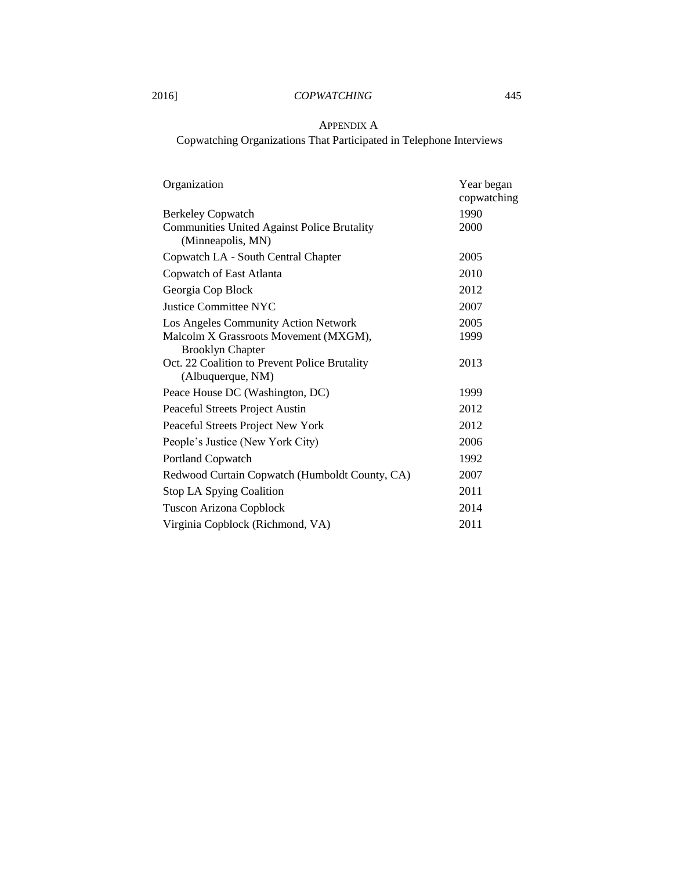## APPENDIX A

Copwatching Organizations That Participated in Telephone Interviews

| Organization                                                                                  | Year began<br>copwatching |
|-----------------------------------------------------------------------------------------------|---------------------------|
| <b>Berkeley Copwatch</b>                                                                      | 1990                      |
| <b>Communities United Against Police Brutality</b><br>(Minneapolis, MN)                       | 2000                      |
| Copwatch LA - South Central Chapter                                                           | 2005                      |
| Copwatch of East Atlanta                                                                      | 2010                      |
| Georgia Cop Block                                                                             | 2012                      |
| <b>Justice Committee NYC</b>                                                                  | 2007                      |
| Los Angeles Community Action Network                                                          | 2005                      |
| Malcolm X Grassroots Movement (MXGM),                                                         | 1999                      |
| <b>Brooklyn Chapter</b><br>Oct. 22 Coalition to Prevent Police Brutality<br>(Albuquerque, NM) | 2013                      |
| Peace House DC (Washington, DC)                                                               | 1999                      |
| Peaceful Streets Project Austin                                                               | 2012                      |
| Peaceful Streets Project New York                                                             | 2012                      |
| People's Justice (New York City)                                                              | 2006                      |
| Portland Copwatch                                                                             | 1992                      |
| Redwood Curtain Copwatch (Humboldt County, CA)                                                | 2007                      |
| Stop LA Spying Coalition                                                                      | 2011                      |
| <b>Tuscon Arizona Copblock</b>                                                                | 2014                      |
| Virginia Copblock (Richmond, VA)                                                              | 2011                      |